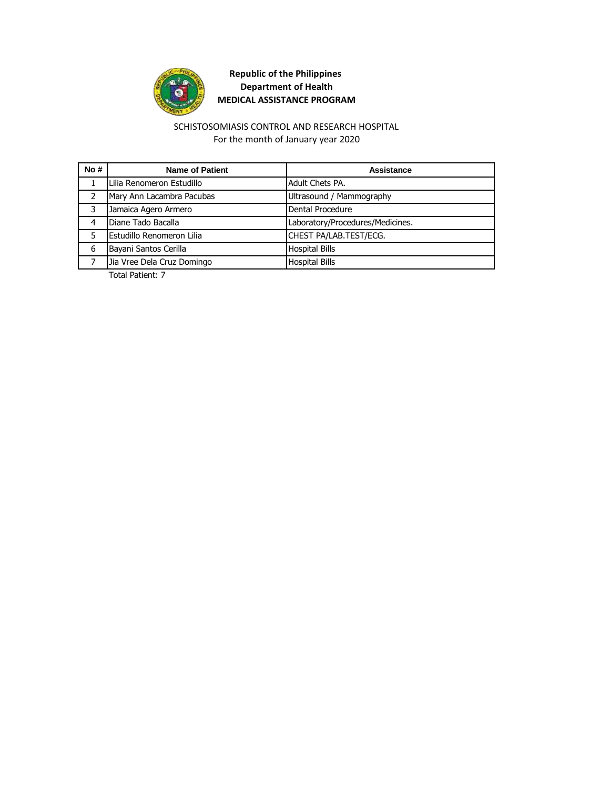

#### For the month of January year 2020 SCHISTOSOMIASIS CONTROL AND RESEARCH HOSPITAL

| No# | <b>Name of Patient</b>     | Assistance                       |
|-----|----------------------------|----------------------------------|
|     | Lilia Renomeron Estudillo  | Adult Chets PA.                  |
|     | Mary Ann Lacambra Pacubas  | Ultrasound / Mammography         |
| 3   | Jamaica Agero Armero       | Dental Procedure                 |
| 4   | Diane Tado Bacalla         | Laboratory/Procedures/Medicines. |
|     | Estudillo Renomeron Lilia  | CHEST PA/LAB.TEST/ECG.           |
| 6   | Bayani Santos Cerilla      | <b>Hospital Bills</b>            |
|     | Jia Vree Dela Cruz Domingo | <b>Hospital Bills</b>            |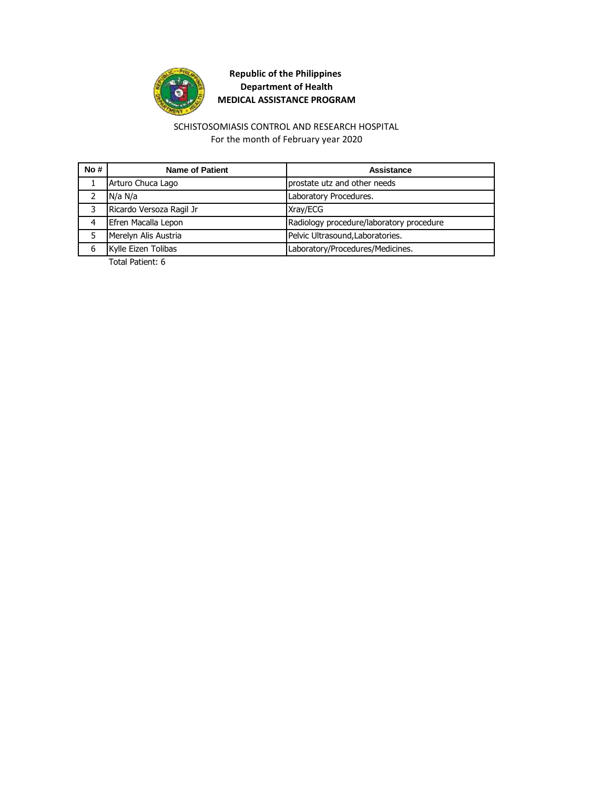

For the month of February year 2020 SCHISTOSOMIASIS CONTROL AND RESEARCH HOSPITAL

| No# | <b>Name of Patient</b>   | Assistance                               |
|-----|--------------------------|------------------------------------------|
|     | Arturo Chuca Lago        | prostate utz and other needs             |
|     | N/a N/a                  | Laboratory Procedures.                   |
| ٦   | Ricardo Versoza Ragil Jr | Xray/ECG                                 |
|     | Efren Macalla Lepon      | Radiology procedure/laboratory procedure |
|     | Merelyn Alis Austria     | Pelvic Ultrasound, Laboratories.         |
| 6   | Kylle Eizen Tolibas      | Laboratory/Procedures/Medicines.         |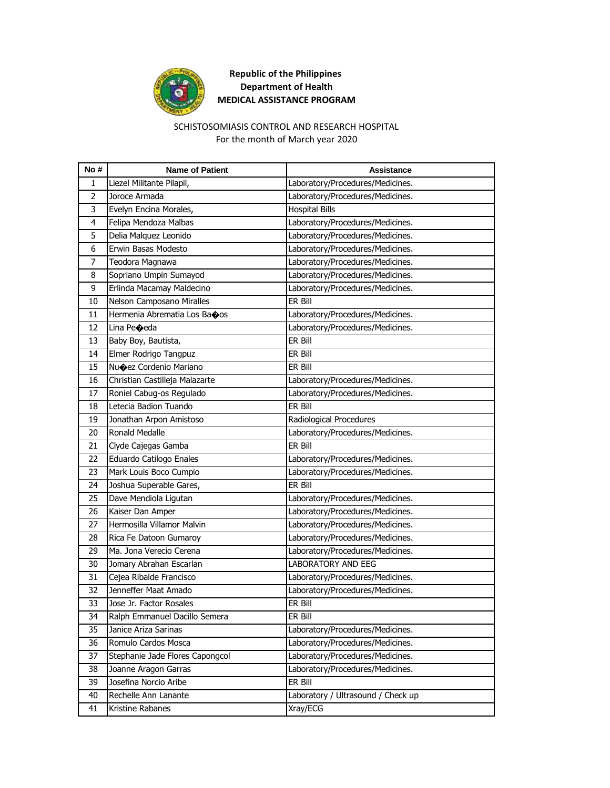

#### For the month of March year 2020 SCHISTOSOMIASIS CONTROL AND RESEARCH HOSPITAL

| No# | <b>Name of Patient</b>          | <b>Assistance</b>                  |
|-----|---------------------------------|------------------------------------|
| 1   | Liezel Militante Pilapil,       | Laboratory/Procedures/Medicines.   |
| 2   | Joroce Armada                   | Laboratory/Procedures/Medicines.   |
| 3   | Evelyn Encina Morales,          | <b>Hospital Bills</b>              |
| 4   | Felipa Mendoza Malbas           | Laboratory/Procedures/Medicines.   |
| 5   | Delia Malquez Leonido           | Laboratory/Procedures/Medicines.   |
| 6   | Erwin Basas Modesto             | Laboratory/Procedures/Medicines.   |
| 7   | Teodora Magnawa                 | Laboratory/Procedures/Medicines.   |
| 8   | Sopriano Umpin Sumayod          | Laboratory/Procedures/Medicines.   |
| 9   | Erlinda Macamay Maldecino       | Laboratory/Procedures/Medicines.   |
| 10  | Nelson Camposano Miralles       | ER Bill                            |
| 11  | Hermenia Abrematia Los Baoos    | Laboratory/Procedures/Medicines.   |
| 12  | Lina Peoeda                     | Laboratory/Procedures/Medicines.   |
| 13  | Baby Boy, Bautista,             | ER Bill                            |
| 14  | Elmer Rodrigo Tangpuz           | ER Bill                            |
| 15  | Nu�ez Cordenio Mariano          | ER Bill                            |
| 16  | Christian Castilleja Malazarte  | Laboratory/Procedures/Medicines.   |
| 17  | Roniel Cabug-os Regulado        | Laboratory/Procedures/Medicines.   |
| 18  | Letecia Badion Tuando           | ER Bill                            |
| 19  | Jonathan Arpon Amistoso         | Radiological Procedures            |
| 20  | <b>Ronald Medalle</b>           | Laboratory/Procedures/Medicines.   |
| 21  | Clyde Cajegas Gamba             | ER Bill                            |
| 22  | Eduardo Catilogo Enales         | Laboratory/Procedures/Medicines.   |
| 23  | Mark Louis Boco Cumpio          | Laboratory/Procedures/Medicines.   |
| 24  | Joshua Superable Gares,         | ER Bill                            |
| 25  | Dave Mendiola Ligutan           | Laboratory/Procedures/Medicines.   |
| 26  | Kaiser Dan Amper                | Laboratory/Procedures/Medicines.   |
| 27  | Hermosilla Villamor Malvin      | Laboratory/Procedures/Medicines.   |
| 28  | Rica Fe Datoon Gumaroy          | Laboratory/Procedures/Medicines.   |
| 29  | Ma. Jona Verecio Cerena         | Laboratory/Procedures/Medicines.   |
| 30  | Jomary Abrahan Escarlan         | <b>LABORATORY AND EEG</b>          |
| 31  | Cejea Ribalde Francisco         | Laboratory/Procedures/Medicines.   |
| 32  | Jenneffer Maat Amado            | Laboratory/Procedures/Medicines.   |
| 33  | Jose Jr. Factor Rosales         | ER Bill                            |
| 34  | Ralph Emmanuel Dacillo Semera   | ER Bill                            |
| 35  | Janice Ariza Sarinas            | Laboratory/Procedures/Medicines.   |
| 36  | Romulo Cardos Mosca             | Laboratory/Procedures/Medicines.   |
| 37  | Stephanie Jade Flores Capongcol | Laboratory/Procedures/Medicines.   |
| 38  | Joanne Aragon Garras            | Laboratory/Procedures/Medicines.   |
| 39  | Josefina Norcio Aribe           | ER Bill                            |
| 40  | Rechelle Ann Lanante            | Laboratory / Ultrasound / Check up |
| 41  | Kristine Rabanes                | Xray/ECG                           |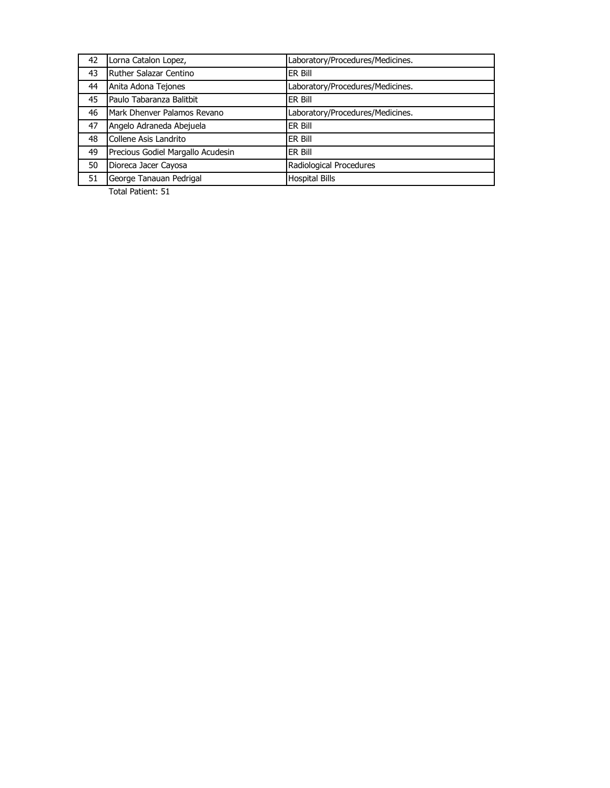| 42 | Lorna Catalon Lopez,              | Laboratory/Procedures/Medicines. |
|----|-----------------------------------|----------------------------------|
| 43 | Ruther Salazar Centino            | ER Bill                          |
| 44 | Anita Adona Tejones               | Laboratory/Procedures/Medicines. |
| 45 | Paulo Tabaranza Balitbit          | ER Bill                          |
| 46 | Mark Dhenver Palamos Revano       | Laboratory/Procedures/Medicines. |
| 47 | Angelo Adraneda Abejuela          | ER Bill                          |
| 48 | Collene Asis Landrito             | ER Bill                          |
| 49 | Precious Godiel Margallo Acudesin | ER Bill                          |
| 50 | Dioreca Jacer Cayosa              | Radiological Procedures          |
| 51 | George Tanauan Pedrigal           | <b>Hospital Bills</b>            |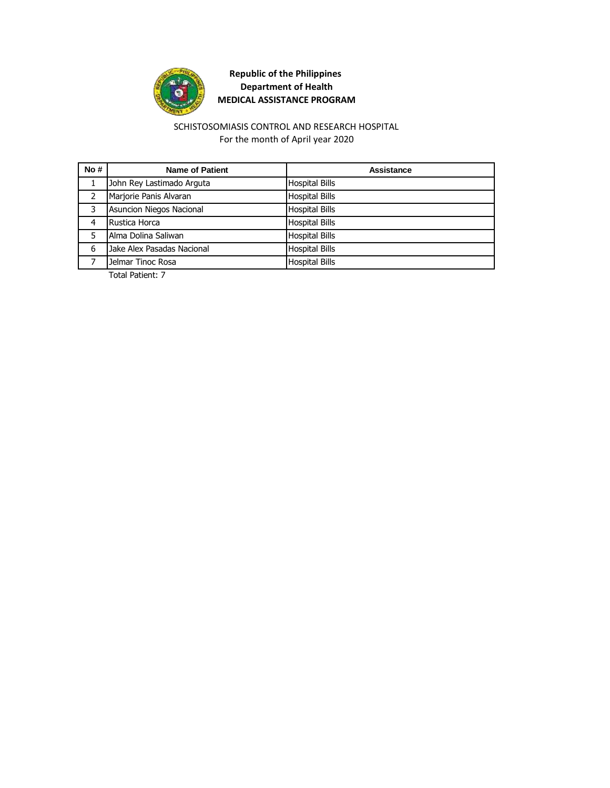

#### For the month of April year 2020 SCHISTOSOMIASIS CONTROL AND RESEARCH HOSPITAL

| No#           | <b>Name of Patient</b>     | Assistance            |
|---------------|----------------------------|-----------------------|
|               | John Rey Lastimado Arguta  | <b>Hospital Bills</b> |
| $\mathcal{L}$ | Marjorie Panis Alvaran     | <b>Hospital Bills</b> |
| 3             | Asuncion Niegos Nacional   | <b>Hospital Bills</b> |
| 4             | Rustica Horca              | <b>Hospital Bills</b> |
|               | Alma Dolina Saliwan        | <b>Hospital Bills</b> |
| 6             | Jake Alex Pasadas Nacional | <b>Hospital Bills</b> |
|               | Jelmar Tinoc Rosa          | <b>Hospital Bills</b> |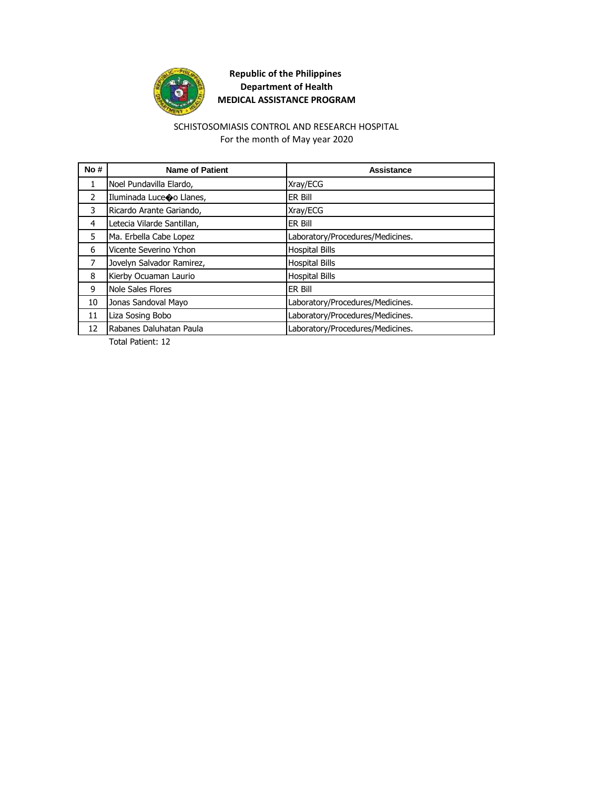

#### For the month of May year 2020 SCHISTOSOMIASIS CONTROL AND RESEARCH HOSPITAL

| No#           | <b>Name of Patient</b>     | Assistance                       |
|---------------|----------------------------|----------------------------------|
| $\mathbf{1}$  | Noel Pundavilla Elardo,    | Xray/ECG                         |
| $\mathcal{P}$ | Iluminada Luceco Llanes,   | <b>ER Bill</b>                   |
| 3             | Ricardo Arante Gariando,   | Xray/ECG                         |
| 4             | Letecia Vilarde Santillan, | <b>ER Bill</b>                   |
| 5             | Ma. Erbella Cabe Lopez     | Laboratory/Procedures/Medicines. |
| 6             | Vicente Severino Ychon     | <b>Hospital Bills</b>            |
| 7             | Jovelyn Salvador Ramirez,  | <b>Hospital Bills</b>            |
| 8             | Kierby Ocuaman Laurio      | <b>Hospital Bills</b>            |
| 9             | Nole Sales Flores          | ER Bill                          |
| 10            | Jonas Sandoval Mayo        | Laboratory/Procedures/Medicines. |
| 11            | Liza Sosing Bobo           | Laboratory/Procedures/Medicines. |
| 12            | Rabanes Daluhatan Paula    | Laboratory/Procedures/Medicines. |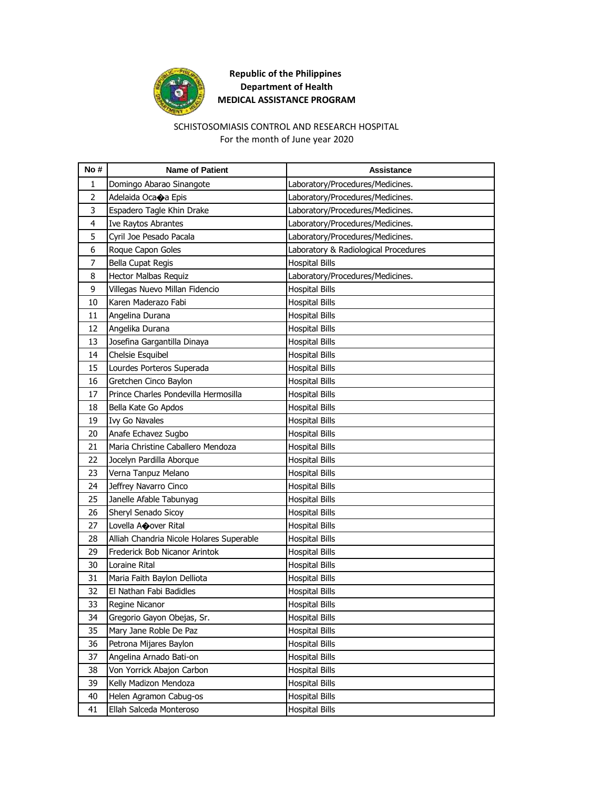

#### SCHISTOSOMIASIS CONTROL AND RESEARCH HOSPITAL For the month of June year 2020

| No # | <b>Name of Patient</b>                   | <b>Assistance</b>                    |
|------|------------------------------------------|--------------------------------------|
| 1    | Domingo Abarao Sinangote                 | Laboratory/Procedures/Medicines.     |
| 2    | Adelaida Oca $\bullet$ a Epis            | Laboratory/Procedures/Medicines.     |
| 3    | Espadero Tagle Khin Drake                | Laboratory/Procedures/Medicines.     |
| 4    | Ive Raytos Abrantes                      | Laboratory/Procedures/Medicines.     |
| 5    | Cyril Joe Pesado Pacala                  | Laboratory/Procedures/Medicines.     |
| 6    | Roque Capon Goles                        | Laboratory & Radiological Procedures |
| 7    | <b>Bella Cupat Regis</b>                 | <b>Hospital Bills</b>                |
| 8    | Hector Malbas Requiz                     | Laboratory/Procedures/Medicines.     |
| 9    | Villegas Nuevo Millan Fidencio           | <b>Hospital Bills</b>                |
| 10   | Karen Maderazo Fabi                      | <b>Hospital Bills</b>                |
| 11   | Angelina Durana                          | Hospital Bills                       |
| 12   | Angelika Durana                          | <b>Hospital Bills</b>                |
| 13   | Josefina Gargantilla Dinaya              | <b>Hospital Bills</b>                |
| 14   | Chelsie Esquibel                         | <b>Hospital Bills</b>                |
| 15   | Lourdes Porteros Superada                | <b>Hospital Bills</b>                |
| 16   | Gretchen Cinco Baylon                    | <b>Hospital Bills</b>                |
| 17   | Prince Charles Pondevilla Hermosilla     | <b>Hospital Bills</b>                |
| 18   | Bella Kate Go Apdos                      | <b>Hospital Bills</b>                |
| 19   | <b>Ivy Go Navales</b>                    | <b>Hospital Bills</b>                |
| 20   | Anafe Echavez Sugbo                      | <b>Hospital Bills</b>                |
| 21   | Maria Christine Caballero Mendoza        | Hospital Bills                       |
| 22   | Jocelyn Pardilla Aborque                 | <b>Hospital Bills</b>                |
| 23   | Verna Tanpuz Melano                      | <b>Hospital Bills</b>                |
| 24   | Jeffrey Navarro Cinco                    | <b>Hospital Bills</b>                |
| 25   | Janelle Afable Tabunyag                  | <b>Hospital Bills</b>                |
| 26   | Sheryl Senado Sicoy                      | Hospital Bills                       |
| 27   | Lovella AOover Rital                     | <b>Hospital Bills</b>                |
| 28   | Alliah Chandria Nicole Holares Superable | <b>Hospital Bills</b>                |
| 29   | Frederick Bob Nicanor Arintok            | <b>Hospital Bills</b>                |
| 30   | Loraine Rital                            | <b>Hospital Bills</b>                |
| 31   | Maria Faith Baylon Delliota              | <b>Hospital Bills</b>                |
| 32   | El Nathan Fabi Badidles                  | <b>Hospital Bills</b>                |
| 33   | Regine Nicanor                           | <b>Hospital Bills</b>                |
| 34   | Gregorio Gayon Obejas, Sr.               | <b>Hospital Bills</b>                |
| 35   | Mary Jane Roble De Paz                   | <b>Hospital Bills</b>                |
| 36   | Petrona Mijares Baylon                   | <b>Hospital Bills</b>                |
| 37   | Angelina Arnado Bati-on                  | <b>Hospital Bills</b>                |
| 38   | Von Yorrick Abajon Carbon                | <b>Hospital Bills</b>                |
| 39   | Kelly Madizon Mendoza                    | <b>Hospital Bills</b>                |
| 40   | Helen Agramon Cabug-os                   | <b>Hospital Bills</b>                |
| 41   | Ellah Salceda Monteroso                  | <b>Hospital Bills</b>                |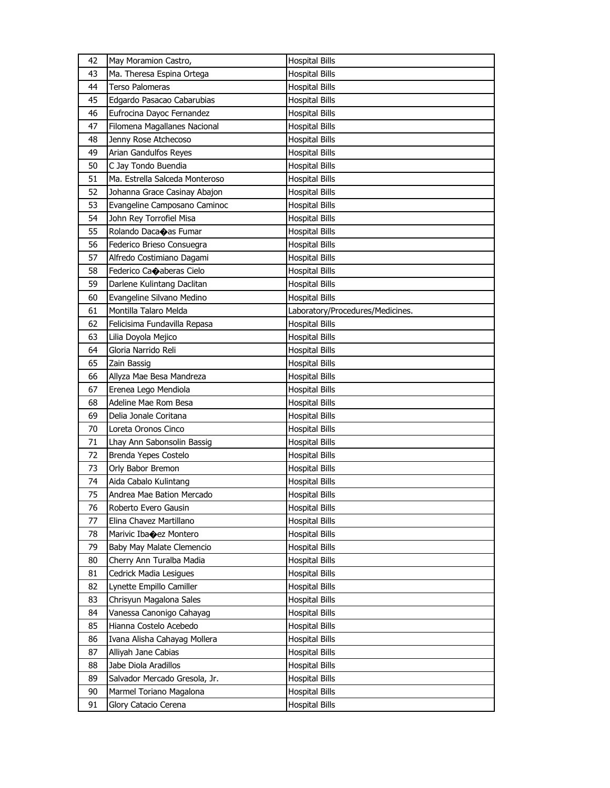| 42       | May Moramion Castro,                               | <b>Hospital Bills</b>                   |
|----------|----------------------------------------------------|-----------------------------------------|
| 43       | Ma. Theresa Espina Ortega                          | <b>Hospital Bills</b>                   |
| 44       | Terso Palomeras                                    | <b>Hospital Bills</b>                   |
| 45       | Edgardo Pasacao Cabarubias                         | Hospital Bills                          |
| 46       | Eufrocina Dayoc Fernandez                          | <b>Hospital Bills</b>                   |
| 47       | Filomena Magallanes Nacional                       | <b>Hospital Bills</b>                   |
| 48       | Jenny Rose Atchecoso                               | Hospital Bills                          |
| 49       | Arian Gandulfos Reyes                              | <b>Hospital Bills</b>                   |
| 50       | C Jay Tondo Buendia                                | <b>Hospital Bills</b>                   |
| 51       | Ma. Estrella Salceda Monteroso                     | <b>Hospital Bills</b>                   |
| 52       | Johanna Grace Casinay Abajon                       | <b>Hospital Bills</b>                   |
| 53       | Evangeline Camposano Caminoc                       | <b>Hospital Bills</b>                   |
| 54       | John Rey Torrofiel Misa                            | Hospital Bills                          |
| 55       | Rolando Daca $\bigcirc$ as Fumar                   | Hospital Bills                          |
| 56       | Federico Brieso Consuegra                          | <b>Hospital Bills</b>                   |
| 57       | Alfredo Costimiano Dagami                          | <b>Hospital Bills</b>                   |
| 58       | Federico Ca $\bigcirc$ aberas Cielo                | Hospital Bills                          |
| 59       | Darlene Kulintang Daclitan                         | <b>Hospital Bills</b>                   |
| 60       | Evangeline Silvano Medino                          | <b>Hospital Bills</b>                   |
| 61       | Montilla Talaro Melda                              | Laboratory/Procedures/Medicines.        |
| 62       | Felicisima Fundavilla Repasa                       | <b>Hospital Bills</b>                   |
| 63       | Lilia Doyola Mejico                                | Hospital Bills                          |
| 64       | Gloria Narrido Reli                                | Hospital Bills                          |
| 65       | Zain Bassig                                        | Hospital Bills                          |
| 66       | Allyza Mae Besa Mandreza                           | <b>Hospital Bills</b>                   |
| 67       | Erenea Lego Mendiola                               | <b>Hospital Bills</b>                   |
| 68       | Adeline Mae Rom Besa                               | Hospital Bills                          |
| 69       | Delia Jonale Coritana                              |                                         |
| 70       | Loreta Oronos Cinco                                | Hospital Bills<br>Hospital Bills        |
| 71       |                                                    | <b>Hospital Bills</b>                   |
| 72       | Lhay Ann Sabonsolin Bassig<br>Brenda Yepes Costelo |                                         |
| 73       |                                                    | Hospital Bills                          |
| 74       | Orly Babor Bremon                                  | <b>Hospital Bills</b>                   |
|          | Aida Cabalo Kulintang                              | <b>Hospital Bills</b>                   |
| 75       | Andrea Mae Bation Mercado                          | <b>Hospital Bills</b>                   |
| 76       | Roberto Evero Gausin                               | <b>Hospital Bills</b>                   |
| 77       | Elina Chavez Martillano<br>Marivic Ibacez Montero  | <b>Hospital Bills</b>                   |
| 78       |                                                    |                                         |
| 79       |                                                    | <b>Hospital Bills</b>                   |
|          | Baby May Malate Clemencio                          | <b>Hospital Bills</b>                   |
| 80       | Cherry Ann Turalba Madia                           | <b>Hospital Bills</b>                   |
| 81       | Cedrick Madia Lesigues                             | <b>Hospital Bills</b>                   |
| 82       | Lynette Empillo Camiller                           | <b>Hospital Bills</b>                   |
| 83       | Chrisyun Magalona Sales                            | <b>Hospital Bills</b>                   |
| 84       | Vanessa Canonigo Cahayag                           | <b>Hospital Bills</b>                   |
| 85       | Hianna Costelo Acebedo                             | <b>Hospital Bills</b>                   |
| 86       | Ivana Alisha Cahayag Mollera                       | <b>Hospital Bills</b>                   |
| 87       | Alliyah Jane Cabias                                | <b>Hospital Bills</b>                   |
| 88       | Jabe Diola Aradillos                               | <b>Hospital Bills</b>                   |
| 89       | Salvador Mercado Gresola, Jr.                      | <b>Hospital Bills</b>                   |
| 90<br>91 | Marmel Toriano Magalona<br>Glory Catacio Cerena    | Hospital Bills<br><b>Hospital Bills</b> |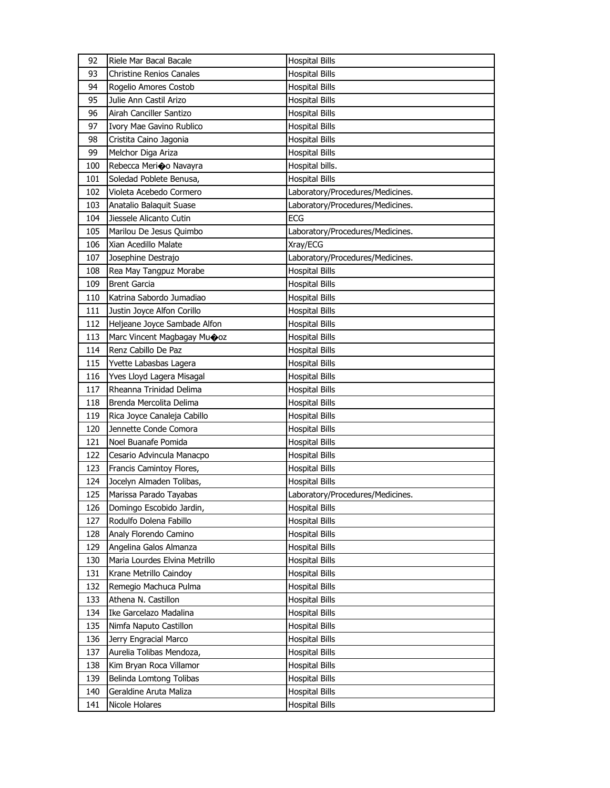| 92  | Riele Mar Bacal Bacale              | <b>Hospital Bills</b>            |
|-----|-------------------------------------|----------------------------------|
| 93  | <b>Christine Renios Canales</b>     | <b>Hospital Bills</b>            |
| 94  | Rogelio Amores Costob               | <b>Hospital Bills</b>            |
| 95  | Julie Ann Castil Arizo              | <b>Hospital Bills</b>            |
| 96  | Airah Canciller Santizo             | <b>Hospital Bills</b>            |
| 97  | Ivory Mae Gavino Rublico            | <b>Hospital Bills</b>            |
| 98  | Cristita Caino Jagonia              | <b>Hospital Bills</b>            |
| 99  | Melchor Diga Ariza                  | <b>Hospital Bills</b>            |
| 100 | Rebecca Merico Navayra              | Hospital bills.                  |
| 101 | Soledad Poblete Benusa,             | <b>Hospital Bills</b>            |
| 102 | Violeta Acebedo Cormero             | Laboratory/Procedures/Medicines. |
| 103 | Anatalio Balaquit Suase             | Laboratory/Procedures/Medicines. |
| 104 | Jiessele Alicanto Cutin             | <b>ECG</b>                       |
| 105 | Marilou De Jesus Quimbo             | Laboratory/Procedures/Medicines. |
| 106 | Xian Acedillo Malate                | Xray/ECG                         |
| 107 | Josephine Destrajo                  | Laboratory/Procedures/Medicines. |
| 108 | Rea May Tangpuz Morabe              | <b>Hospital Bills</b>            |
| 109 | <b>Brent Garcia</b>                 | <b>Hospital Bills</b>            |
| 110 | Katrina Sabordo Jumadiao            | <b>Hospital Bills</b>            |
| 111 | Justin Joyce Alfon Corillo          | <b>Hospital Bills</b>            |
| 112 | Heljeane Joyce Sambade Alfon        | <b>Hospital Bills</b>            |
| 113 | Marc Vincent Magbagay Mu $\odot$ oz | <b>Hospital Bills</b>            |
| 114 | Renz Cabillo De Paz                 | <b>Hospital Bills</b>            |
| 115 | Yvette Labasbas Lagera              | <b>Hospital Bills</b>            |
| 116 | Yves Lloyd Lagera Misagal           | <b>Hospital Bills</b>            |
| 117 | Rheanna Trinidad Delima             | <b>Hospital Bills</b>            |
| 118 | Brenda Mercolita Delima             | <b>Hospital Bills</b>            |
| 119 | Rica Joyce Canaleja Cabillo         | <b>Hospital Bills</b>            |
| 120 | Jennette Conde Comora               | <b>Hospital Bills</b>            |
| 121 | Noel Buanafe Pomida                 | <b>Hospital Bills</b>            |
| 122 | Cesario Advincula Manacpo           | <b>Hospital Bills</b>            |
| 123 | Francis Camintoy Flores,            | <b>Hospital Bills</b>            |
| 124 | Jocelyn Almaden Tolibas,            | <b>Hospital Bills</b>            |
| 125 | Marissa Parado Tayabas              | Laboratory/Procedures/Medicines. |
| 126 | Domingo Escobido Jardin,            | <b>Hospital Bills</b>            |
| 127 | Rodulfo Dolena Fabillo              | <b>Hospital Bills</b>            |
| 128 | Analy Florendo Camino               | <b>Hospital Bills</b>            |
| 129 | Angelina Galos Almanza              | <b>Hospital Bills</b>            |
| 130 | Maria Lourdes Elvina Metrillo       | <b>Hospital Bills</b>            |
| 131 | Krane Metrillo Caindoy              | <b>Hospital Bills</b>            |
| 132 | Remegio Machuca Pulma               | <b>Hospital Bills</b>            |
| 133 | Athena N. Castillon                 | <b>Hospital Bills</b>            |
| 134 | Ike Garcelazo Madalina              | <b>Hospital Bills</b>            |
| 135 | Nimfa Naputo Castillon              | <b>Hospital Bills</b>            |
| 136 | Jerry Engracial Marco               | <b>Hospital Bills</b>            |
| 137 | Aurelia Tolibas Mendoza,            | <b>Hospital Bills</b>            |
| 138 | Kim Bryan Roca Villamor             | <b>Hospital Bills</b>            |
| 139 | Belinda Lomtong Tolibas             | <b>Hospital Bills</b>            |
| 140 | Geraldine Aruta Maliza              | <b>Hospital Bills</b>            |
| 141 | Nicole Holares                      | <b>Hospital Bills</b>            |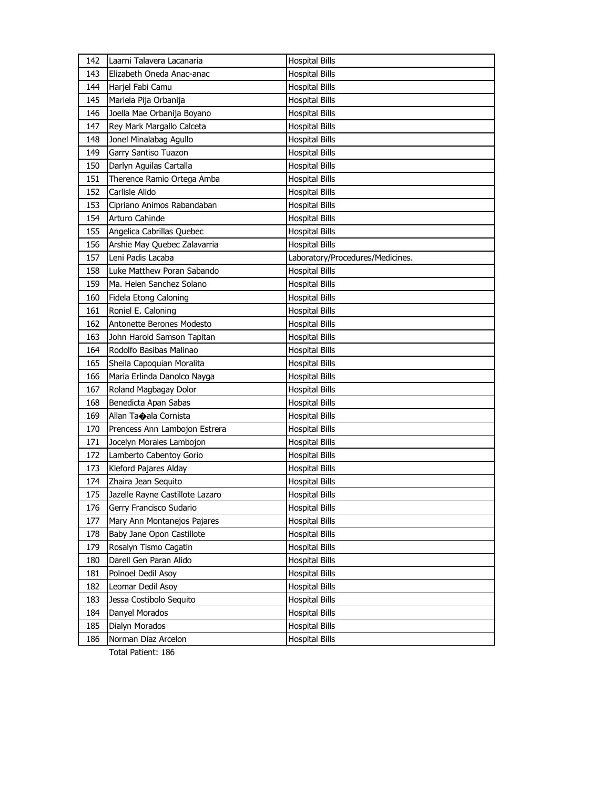| 142 | Laarni Talavera Lacanaria       | <b>Hospital Bills</b>            |
|-----|---------------------------------|----------------------------------|
| 143 | Elizabeth Oneda Anac-anac       | <b>Hospital Bills</b>            |
| 144 | Harjel Fabi Camu                | <b>Hospital Bills</b>            |
| 145 | Mariela Pija Orbanija           | <b>Hospital Bills</b>            |
| 146 | Joella Mae Orbanija Boyano      | <b>Hospital Bills</b>            |
| 147 | Rey Mark Margallo Calceta       | <b>Hospital Bills</b>            |
| 148 | Jonel Minalabag Agullo          | <b>Hospital Bills</b>            |
| 149 | Garry Santiso Tuazon            | <b>Hospital Bills</b>            |
| 150 | Darlyn Aguilas Cartalla         | <b>Hospital Bills</b>            |
| 151 | Therence Ramio Ortega Amba      | <b>Hospital Bills</b>            |
| 152 | Carlisle Alido                  | <b>Hospital Bills</b>            |
| 153 | Cipriano Animos Rabandaban      | <b>Hospital Bills</b>            |
| 154 | Arturo Cahinde                  | Hospital Bills                   |
| 155 | Angelica Cabrillas Quebec       | <b>Hospital Bills</b>            |
| 156 | Arshie May Quebec Zalavarria    | <b>Hospital Bills</b>            |
| 157 | Leni Padis Lacaba               | Laboratory/Procedures/Medicines. |
| 158 | Luke Matthew Poran Sabando      | <b>Hospital Bills</b>            |
| 159 | Ma. Helen Sanchez Solano        | <b>Hospital Bills</b>            |
| 160 | Fidela Etong Caloning           | <b>Hospital Bills</b>            |
| 161 | Roniel E. Caloning              | <b>Hospital Bills</b>            |
| 162 | Antonette Berones Modesto       | <b>Hospital Bills</b>            |
| 163 | John Harold Samson Tapitan      | <b>Hospital Bills</b>            |
| 164 | Rodolfo Basibas Malinao         | Hospital Bills                   |
| 165 | Sheila Capoquian Moralita       | <b>Hospital Bills</b>            |
| 166 | Maria Erlinda Danolco Nayga     | <b>Hospital Bills</b>            |
| 167 | Roland Magbagay Dolor           | <b>Hospital Bills</b>            |
| 168 | Benedicta Apan Sabas            | <b>Hospital Bills</b>            |
| 169 | Allan Taoala Cornista           | <b>Hospital Bills</b>            |
| 170 | Prencess Ann Lambojon Estrera   | <b>Hospital Bills</b>            |
| 171 | Jocelyn Morales Lambojon        | <b>Hospital Bills</b>            |
| 172 | Lamberto Cabentoy Gorio         | Hospital Bills                   |
| 173 | Kleford Pajares Alday           | <b>Hospital Bills</b>            |
| 174 | Zhaira Jean Sequito             | Hospital Bills                   |
| 175 | Jazelle Rayne Castillote Lazaro | <b>Hospital Bills</b>            |
| 176 | Gerry Francisco Sudario         | <b>Hospital Bills</b>            |
| 177 | Mary Ann Montanejos Pajares     | <b>Hospital Bills</b>            |
| 178 | Baby Jane Opon Castillote       | <b>Hospital Bills</b>            |
| 179 | Rosalyn Tismo Cagatin           | <b>Hospital Bills</b>            |
| 180 | Darell Gen Paran Alido          | <b>Hospital Bills</b>            |
| 181 | Polnoel Dedil Asoy              | <b>Hospital Bills</b>            |
| 182 | Leomar Dedil Asoy               | <b>Hospital Bills</b>            |
| 183 | Jessa Costibolo Sequito         | Hospital Bills                   |
| 184 | Danyel Morados                  | <b>Hospital Bills</b>            |
| 185 | Dialyn Morados                  | <b>Hospital Bills</b>            |
| 186 | Norman Diaz Arcelon             | <b>Hospital Bills</b>            |
|     | Total Patient: 186              |                                  |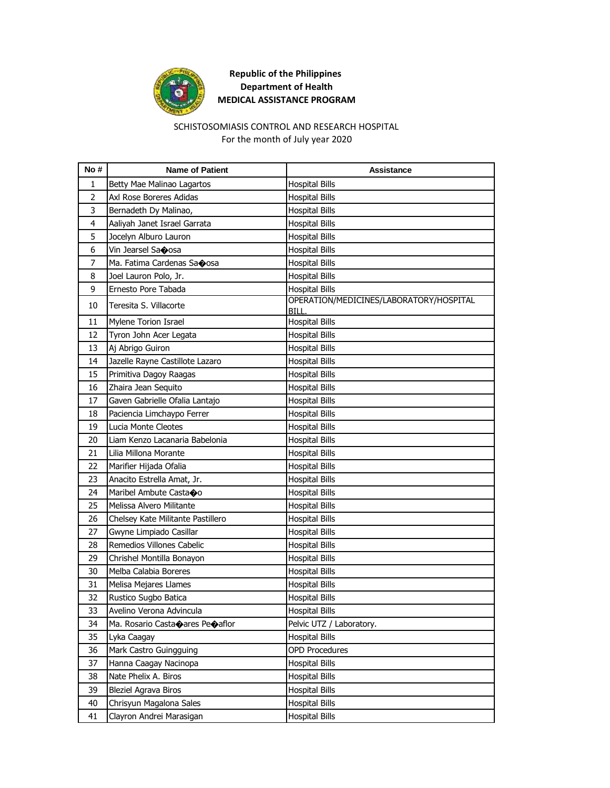

### SCHISTOSOMIASIS CONTROL AND RESEARCH HOSPITAL For the month of July year 2020

| No#            | <b>Name of Patient</b>                                    | <b>Assistance</b>                                |
|----------------|-----------------------------------------------------------|--------------------------------------------------|
| $\mathbf{1}$   | Betty Mae Malinao Lagartos                                | <b>Hospital Bills</b>                            |
| $\overline{2}$ | Axl Rose Boreres Adidas                                   | <b>Hospital Bills</b>                            |
| 3              | Bernadeth Dy Malinao,                                     | <b>Hospital Bills</b>                            |
| 4              | Aaliyah Janet Israel Garrata                              | <b>Hospital Bills</b>                            |
| 5              | Jocelyn Alburo Lauron                                     | Hospital Bills                                   |
| 6              | Vin Jearsel Saoosa                                        | <b>Hospital Bills</b>                            |
| 7              | Ma. Fatima Cardenas Saoosa                                | <b>Hospital Bills</b>                            |
| 8              | Joel Lauron Polo, Jr.                                     | <b>Hospital Bills</b>                            |
| 9              | Ernesto Pore Tabada                                       | Hospital Bills                                   |
| 10             | Teresita S. Villacorte                                    | OPERATION/MEDICINES/LABORATORY/HOSPITAL<br>BILL. |
| 11             | Mylene Torion Israel                                      | <b>Hospital Bills</b>                            |
| 12             | Tyron John Acer Legata                                    | <b>Hospital Bills</b>                            |
| 13             | Aj Abrigo Guiron                                          | <b>Hospital Bills</b>                            |
| 14             | Jazelle Rayne Castillote Lazaro                           | <b>Hospital Bills</b>                            |
| 15             | Primitiva Dagoy Raagas                                    | <b>Hospital Bills</b>                            |
| 16             | Zhaira Jean Sequito                                       | <b>Hospital Bills</b>                            |
| 17             | Gaven Gabrielle Ofalia Lantajo                            | <b>Hospital Bills</b>                            |
| 18             | Paciencia Limchaypo Ferrer                                | <b>Hospital Bills</b>                            |
| 19             | Lucia Monte Cleotes                                       | Hospital Bills                                   |
| 20             | Liam Kenzo Lacanaria Babelonia                            | <b>Hospital Bills</b>                            |
| 21             | Lilia Millona Morante                                     | <b>Hospital Bills</b>                            |
| 22             | Marifier Hijada Ofalia                                    | <b>Hospital Bills</b>                            |
| 23             | Anacito Estrella Amat, Jr.                                | <b>Hospital Bills</b>                            |
| 24             | Maribel Ambute Castaoo                                    | <b>Hospital Bills</b>                            |
| 25             | Melissa Alvero Militante                                  | Hospital Bills                                   |
| 26             | Chelsey Kate Militante Pastillero                         | <b>Hospital Bills</b>                            |
| 27             | Gwyne Limpiado Casillar                                   | <b>Hospital Bills</b>                            |
| 28             | Remedios Villones Cabelic                                 | <b>Hospital Bills</b>                            |
| 29             | Chrishel Montilla Bonayon                                 | <b>Hospital Bills</b>                            |
| 30             | Melba Calabia Boreres                                     | Hospital Bills                                   |
| 31             | Melisa Mejares Llames                                     | <b>Hospital Bills</b>                            |
| 32             | Rustico Sugbo Batica                                      | <b>Hospital Bills</b>                            |
| 33             | Avelino Verona Advincula                                  | <b>Hospital Bills</b>                            |
| 34             | Ma. Rosario Casta $\spadesuit$ ares Pe $\spadesuit$ aflor | Pelvic UTZ / Laboratory.                         |
| 35             | Lyka Caagay                                               | <b>Hospital Bills</b>                            |
| 36             | Mark Castro Guingguing                                    | <b>OPD Procedures</b>                            |
| 37             | Hanna Caagay Nacinopa                                     | <b>Hospital Bills</b>                            |
| 38             | Nate Phelix A. Biros                                      | Hospital Bills                                   |
| 39             | Bleziel Agrava Biros                                      | Hospital Bills                                   |
| 40             | Chrisyun Magalona Sales                                   | <b>Hospital Bills</b>                            |
| 41             | Clayron Andrei Marasigan                                  | <b>Hospital Bills</b>                            |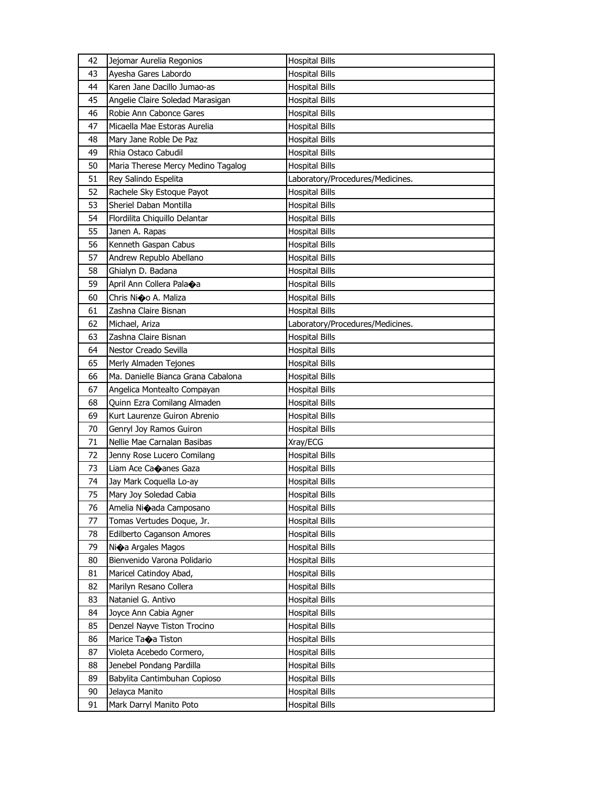| 42<br>Jejomar Aurelia Regonios<br><b>Hospital Bills</b>            |  |
|--------------------------------------------------------------------|--|
| 43<br>Ayesha Gares Labordo<br><b>Hospital Bills</b>                |  |
| Karen Jane Dacillo Jumao-as<br>44<br>Hospital Bills                |  |
| Angelie Claire Soledad Marasigan<br>45<br><b>Hospital Bills</b>    |  |
| 46<br>Robie Ann Cabonce Gares<br><b>Hospital Bills</b>             |  |
| Micaella Mae Estoras Aurelia<br>47<br>Hospital Bills               |  |
| Mary Jane Roble De Paz<br>48<br><b>Hospital Bills</b>              |  |
| Rhia Ostaco Cabudil<br>49<br>Hospital Bills                        |  |
| Maria Therese Mercy Medino Tagalog<br>50<br><b>Hospital Bills</b>  |  |
| Rey Salindo Espelita<br>51<br>Laboratory/Procedures/Medicines.     |  |
| <b>Hospital Bills</b><br>52<br>Rachele Sky Estoque Payot           |  |
| 53<br>Sheriel Daban Montilla<br><b>Hospital Bills</b>              |  |
| 54<br>Flordilita Chiquillo Delantar<br>Hospital Bills              |  |
| 55<br>Janen A. Rapas<br>Hospital Bills                             |  |
| Kenneth Gaspan Cabus<br>56<br><b>Hospital Bills</b>                |  |
| 57<br>Andrew Republo Abellano<br>Hospital Bills                    |  |
| 58<br>Ghialyn D. Badana<br><b>Hospital Bills</b>                   |  |
| 59<br>April Ann Collera Pala $\bigcirc$ a<br><b>Hospital Bills</b> |  |
| Chris Nioo A. Maliza<br>60<br><b>Hospital Bills</b>                |  |
| Zashna Claire Bisnan<br>61<br><b>Hospital Bills</b>                |  |
| 62<br>Michael, Ariza<br>Laboratory/Procedures/Medicines.           |  |
| 63<br>Zashna Claire Bisnan<br><b>Hospital Bills</b>                |  |
| 64<br>Nestor Creado Sevilla<br>Hospital Bills                      |  |
| 65<br>Merly Almaden Tejones<br>Hospital Bills                      |  |
| Ma. Danielle Bianca Grana Cabalona<br>66<br><b>Hospital Bills</b>  |  |
| 67<br>Angelica Montealto Compayan<br>Hospital Bills                |  |
| Quinn Ezra Comilang Almaden<br>68<br><b>Hospital Bills</b>         |  |
| 69<br>Kurt Laurenze Guiron Abrenio<br>Hospital Bills               |  |
| 70<br>Genryl Joy Ramos Guiron<br><b>Hospital Bills</b>             |  |
| Nellie Mae Carnalan Basibas<br>71<br>Xray/ECG                      |  |
| 72<br>Jenny Rose Lucero Comilang<br>Hospital Bills                 |  |
| 73<br>Liam Ace Ca�anes Gaza<br>Hospital Bills                      |  |
| 74<br>Jay Mark Coquella Lo-ay<br>Hospital Bills                    |  |
| 75<br>Mary Joy Soledad Cabia<br><b>Hospital Bills</b>              |  |
| <b>Hospital Bills</b><br>76<br>Amelia Ni $\bullet$ ada Camposano   |  |
| 77<br><b>Hospital Bills</b><br>Tomas Vertudes Doque, Jr.           |  |
| <b>Hospital Bills</b><br>78<br>Edilberto Caganson Amores           |  |
| 79<br>Ni $\bigcirc$ a Argales Magos<br><b>Hospital Bills</b>       |  |
| Bienvenido Varona Polidario<br><b>Hospital Bills</b><br>80         |  |
| 81<br>Maricel Catindoy Abad,<br><b>Hospital Bills</b>              |  |
| 82<br>Marilyn Resano Collera<br><b>Hospital Bills</b>              |  |
| Nataniel G. Antivo<br>Hospital Bills<br>83                         |  |
| <b>Hospital Bills</b><br>84<br>Joyce Ann Cabia Agner               |  |
| 85<br>Denzel Nayve Tiston Trocino<br><b>Hospital Bills</b>         |  |
| Marice Taoa Tiston<br>86<br>Hospital Bills                         |  |
| 87<br>Violeta Acebedo Cormero,<br>Hospital Bills                   |  |
| Jenebel Pondang Pardilla<br>Hospital Bills<br>88                   |  |
| 89<br>Babylita Cantimbuhan Copioso<br><b>Hospital Bills</b>        |  |
| 90<br>Jelayca Manito<br>Hospital Bills                             |  |
| 91<br>Mark Darryl Manito Poto<br><b>Hospital Bills</b>             |  |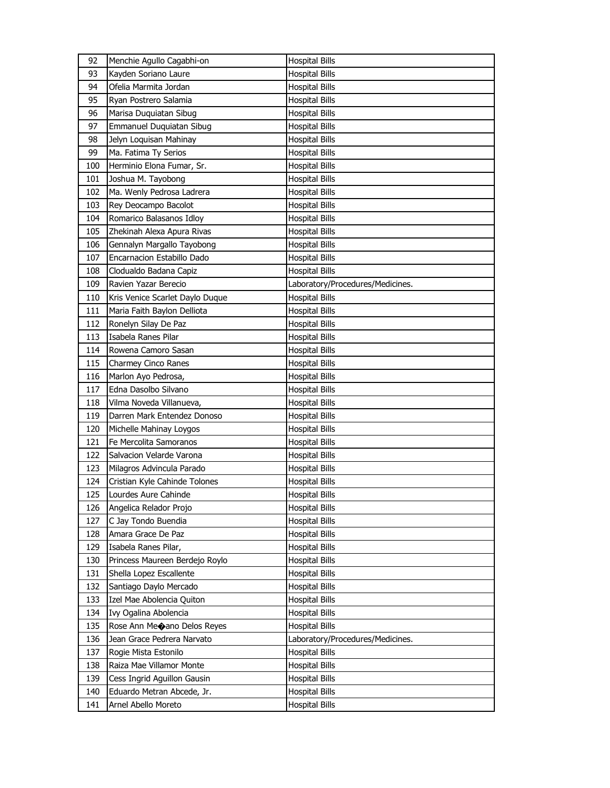| 92  | Menchie Agullo Cagabhi-on              | <b>Hospital Bills</b>            |
|-----|----------------------------------------|----------------------------------|
| 93  | Kayden Soriano Laure                   | <b>Hospital Bills</b>            |
| 94  | Ofelia Marmita Jordan                  | Hospital Bills                   |
| 95  | Ryan Postrero Salamia                  | <b>Hospital Bills</b>            |
| 96  | Marisa Duquiatan Sibug                 | <b>Hospital Bills</b>            |
| 97  | Emmanuel Duquiatan Sibug               | <b>Hospital Bills</b>            |
| 98  | Jelyn Loquisan Mahinay                 | <b>Hospital Bills</b>            |
| 99  | Ma. Fatima Ty Serios                   | <b>Hospital Bills</b>            |
| 100 | Herminio Elona Fumar, Sr.              | Hospital Bills                   |
| 101 | Joshua M. Tayobong                     | <b>Hospital Bills</b>            |
| 102 | Ma. Wenly Pedrosa Ladrera              | <b>Hospital Bills</b>            |
| 103 | Rey Deocampo Bacolot                   | <b>Hospital Bills</b>            |
| 104 | Romarico Balasanos Idloy               | Hospital Bills                   |
| 105 | Zhekinah Alexa Apura Rivas             | Hospital Bills                   |
| 106 | Gennalyn Margallo Tayobong             | <b>Hospital Bills</b>            |
| 107 | Encarnacion Estabillo Dado             | Hospital Bills                   |
| 108 | Clodualdo Badana Capiz                 | <b>Hospital Bills</b>            |
| 109 | Ravien Yazar Berecio                   | Laboratory/Procedures/Medicines. |
| 110 | Kris Venice Scarlet Daylo Duque        | <b>Hospital Bills</b>            |
| 111 | Maria Faith Baylon Delliota            | <b>Hospital Bills</b>            |
| 112 | Ronelyn Silay De Paz                   | Hospital Bills                   |
| 113 | Isabela Ranes Pilar                    | <b>Hospital Bills</b>            |
| 114 | Rowena Camoro Sasan                    | <b>Hospital Bills</b>            |
| 115 | Charmey Cinco Ranes                    | Hospital Bills                   |
| 116 | Marlon Ayo Pedrosa,                    | <b>Hospital Bills</b>            |
| 117 | Edna Dasolbo Silvano                   | Hospital Bills                   |
| 118 | Vilma Noveda Villanueva,               | <b>Hospital Bills</b>            |
| 119 | Darren Mark Entendez Donoso            | <b>Hospital Bills</b>            |
| 120 | Michelle Mahinay Loygos                | Hospital Bills                   |
| 121 | Fe Mercolita Samoranos                 | <b>Hospital Bills</b>            |
| 122 | Salvacion Velarde Varona               | Hospital Bills                   |
| 123 | Milagros Advincula Parado              | Hospital Bills                   |
| 124 | Cristian Kyle Cahinde Tolones          | Hospital Bills                   |
| 125 | Lourdes Aure Cahinde                   | <b>Hospital Bills</b>            |
| 126 | Angelica Relador Projo                 | <b>Hospital Bills</b>            |
| 127 | C Jay Tondo Buendia                    | <b>Hospital Bills</b>            |
| 128 | Amara Grace De Paz                     | <b>Hospital Bills</b>            |
| 129 | Isabela Ranes Pilar,                   | Hospital Bills                   |
| 130 | Princess Maureen Berdejo Roylo         | <b>Hospital Bills</b>            |
| 131 | Shella Lopez Escallente                | <b>Hospital Bills</b>            |
| 132 | Santiago Daylo Mercado                 | <b>Hospital Bills</b>            |
| 133 | Izel Mae Abolencia Quiton              | Hospital Bills                   |
| 134 | Ivy Ogalina Abolencia                  | <b>Hospital Bills</b>            |
| 135 | Rose Ann Me $\bigcirc$ ano Delos Reyes | <b>Hospital Bills</b>            |
| 136 | Jean Grace Pedrera Narvato             | Laboratory/Procedures/Medicines. |
| 137 | Rogie Mista Estonilo                   | <b>Hospital Bills</b>            |
| 138 | Raiza Mae Villamor Monte               | <b>Hospital Bills</b>            |
| 139 | Cess Ingrid Aguillon Gausin            | Hospital Bills                   |
| 140 | Eduardo Metran Abcede, Jr.             | <b>Hospital Bills</b>            |
| 141 | Arnel Abello Moreto                    | <b>Hospital Bills</b>            |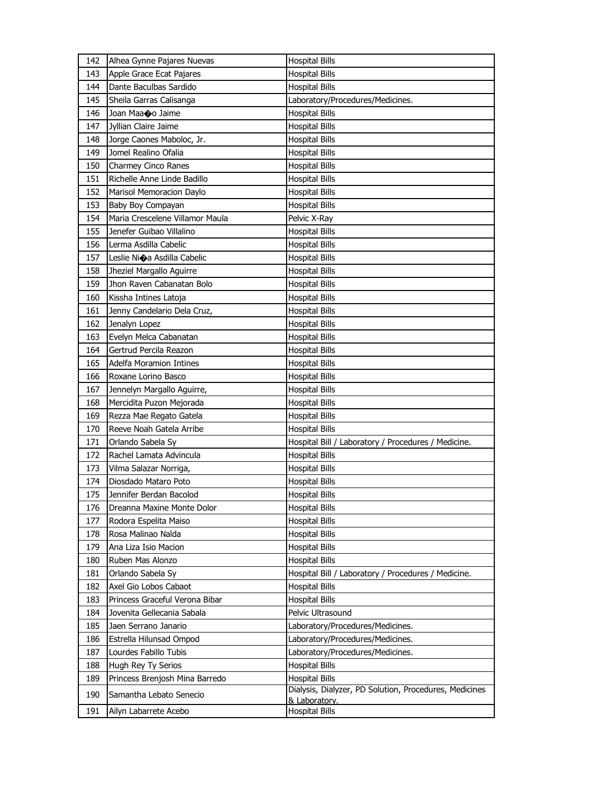| 142 | Alhea Gynne Pajares Nuevas      | <b>Hospital Bills</b>                                  |
|-----|---------------------------------|--------------------------------------------------------|
| 143 | Apple Grace Ecat Pajares        | <b>Hospital Bills</b>                                  |
| 144 | Dante Baculbas Sardido          | Hospital Bills                                         |
| 145 | Sheila Garras Calisanga         | Laboratory/Procedures/Medicines.                       |
| 146 | Joan Maaoo Jaime                | <b>Hospital Bills</b>                                  |
| 147 | Jyllian Claire Jaime            | <b>Hospital Bills</b>                                  |
| 148 | Jorge Caones Maboloc, Jr.       | <b>Hospital Bills</b>                                  |
| 149 | Jomel Realino Ofalia            | <b>Hospital Bills</b>                                  |
| 150 | <b>Charmey Cinco Ranes</b>      | Hospital Bills                                         |
| 151 | Richelle Anne Linde Badillo     | <b>Hospital Bills</b>                                  |
| 152 | Marisol Memoracion Daylo        | <b>Hospital Bills</b>                                  |
| 153 | Baby Boy Compayan               | <b>Hospital Bills</b>                                  |
| 154 | Maria Crescelene Villamor Maula | Pelvic X-Ray                                           |
| 155 | Jenefer Guibao Villalino        | <b>Hospital Bills</b>                                  |
| 156 | Lerma Asdilla Cabelic           | <b>Hospital Bills</b>                                  |
| 157 | Leslie Nioa Asdilla Cabelic     | Hospital Bills                                         |
| 158 | Jheziel Margallo Aguirre        | <b>Hospital Bills</b>                                  |
| 159 | Jhon Raven Cabanatan Bolo       | <b>Hospital Bills</b>                                  |
| 160 | Kissha Intines Latoja           | <b>Hospital Bills</b>                                  |
| 161 | Jenny Candelario Dela Cruz,     | <b>Hospital Bills</b>                                  |
| 162 | Jenalyn Lopez                   | Hospital Bills                                         |
| 163 | Evelyn Melca Cabanatan          | <b>Hospital Bills</b>                                  |
| 164 | Gertrud Percila Reazon          | <b>Hospital Bills</b>                                  |
| 165 | Adelfa Moramion Intines         | Hospital Bills                                         |
| 166 | Roxane Lorino Basco             | <b>Hospital Bills</b>                                  |
| 167 | Jennelyn Margallo Aguirre,      | Hospital Bills                                         |
| 168 | Mercidita Puzon Mejorada        | <b>Hospital Bills</b>                                  |
| 169 | Rezza Mae Regato Gatela         | <b>Hospital Bills</b>                                  |
| 170 | Reeve Noah Gatela Arribe        | <b>Hospital Bills</b>                                  |
| 171 | Orlando Sabela Sy               | Hospital Bill / Laboratory / Procedures / Medicine.    |
| 172 | Rachel Lamata Advincula         | <b>Hospital Bills</b>                                  |
| 173 | Vilma Salazar Norriga,          | Hospital Bills                                         |
| 174 | Diosdado Mataro Poto            | Hospital Bills                                         |
| 175 | Jennifer Berdan Bacolod         | <b>Hospital Bills</b>                                  |
| 176 | Dreanna Maxine Monte Dolor      | <b>Hospital Bills</b>                                  |
| 177 | Rodora Espelita Maiso           | <b>Hospital Bills</b>                                  |
| 178 | Rosa Malinao Nalda              | <b>Hospital Bills</b>                                  |
| 179 | Ana Liza Isio Macion            | Hospital Bills                                         |
| 180 | Ruben Mas Alonzo                | <b>Hospital Bills</b>                                  |
| 181 | Orlando Sabela Sy               | Hospital Bill / Laboratory / Procedures / Medicine.    |
| 182 | Axel Gio Lobos Cabaot           | <b>Hospital Bills</b>                                  |
| 183 | Princess Graceful Verona Bibar  | <b>Hospital Bills</b>                                  |
| 184 | Jovenita Gellecania Sabala      | Pelvic Ultrasound                                      |
| 185 | Jaen Serrano Janario            | Laboratory/Procedures/Medicines.                       |
| 186 | Estrella Hilunsad Ompod         | Laboratory/Procedures/Medicines.                       |
| 187 | Lourdes Fabillo Tubis           | Laboratory/Procedures/Medicines.                       |
| 188 | Hugh Rey Ty Serios              | <b>Hospital Bills</b>                                  |
| 189 | Princess Brenjosh Mina Barredo  | <b>Hospital Bills</b>                                  |
| 190 | Samantha Lebato Senecio         | Dialysis, Dialyzer, PD Solution, Procedures, Medicines |
| 191 | Ailyn Labarrete Acebo           | & Laboratory.<br><b>Hospital Bills</b>                 |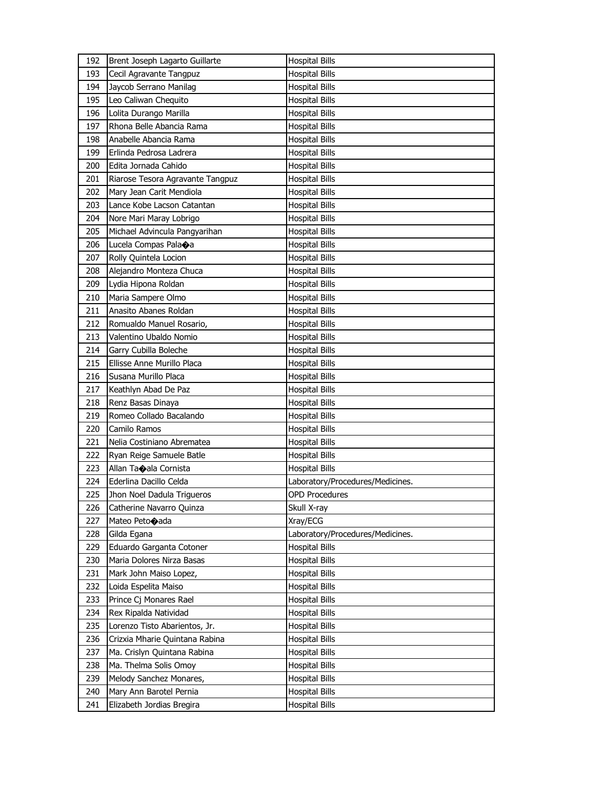| 192 | Brent Joseph Lagarto Guillarte    | <b>Hospital Bills</b>            |
|-----|-----------------------------------|----------------------------------|
| 193 | Cecil Agravante Tangpuz           | <b>Hospital Bills</b>            |
| 194 | Jaycob Serrano Manilag            | <b>Hospital Bills</b>            |
| 195 | Leo Caliwan Chequito              | <b>Hospital Bills</b>            |
| 196 | Lolita Durango Marilla            | <b>Hospital Bills</b>            |
| 197 | Rhona Belle Abancia Rama          | <b>Hospital Bills</b>            |
| 198 | Anabelle Abancia Rama             | <b>Hospital Bills</b>            |
| 199 | Erlinda Pedrosa Ladrera           | <b>Hospital Bills</b>            |
| 200 | Edita Jornada Cahido              | <b>Hospital Bills</b>            |
| 201 | Riarose Tesora Agravante Tangpuz  | <b>Hospital Bills</b>            |
| 202 | Mary Jean Carit Mendiola          | <b>Hospital Bills</b>            |
| 203 | Lance Kobe Lacson Catantan        | <b>Hospital Bills</b>            |
| 204 | Nore Mari Maray Lobrigo           | <b>Hospital Bills</b>            |
| 205 | Michael Advincula Pangyarihan     | <b>Hospital Bills</b>            |
| 206 | Lucela Compas Pala $\spadesuit$ a | <b>Hospital Bills</b>            |
| 207 | Rolly Quintela Locion             | <b>Hospital Bills</b>            |
| 208 | Alejandro Monteza Chuca           | <b>Hospital Bills</b>            |
| 209 | Lydia Hipona Roldan               | <b>Hospital Bills</b>            |
| 210 | Maria Sampere Olmo                | <b>Hospital Bills</b>            |
| 211 | Anasito Abanes Roldan             | <b>Hospital Bills</b>            |
| 212 | Romualdo Manuel Rosario,          | <b>Hospital Bills</b>            |
| 213 | Valentino Ubaldo Nomio            | <b>Hospital Bills</b>            |
| 214 | Garry Cubilla Boleche             | <b>Hospital Bills</b>            |
| 215 | Ellisse Anne Murillo Placa        | <b>Hospital Bills</b>            |
| 216 | Susana Murillo Placa              | <b>Hospital Bills</b>            |
| 217 | Keathlyn Abad De Paz              | Hospital Bills                   |
| 218 | Renz Basas Dinaya                 | <b>Hospital Bills</b>            |
| 219 | Romeo Collado Bacalando           | <b>Hospital Bills</b>            |
| 220 | Camilo Ramos                      | <b>Hospital Bills</b>            |
| 221 | Nelia Costiniano Abrematea        | <b>Hospital Bills</b>            |
| 222 | Ryan Reige Samuele Batle          | <b>Hospital Bills</b>            |
| 223 | Allan Taoala Cornista             | <b>Hospital Bills</b>            |
| 224 | Ederlina Dacillo Celda            | Laboratory/Procedures/Medicines. |
| 225 | Jhon Noel Dadula Trigueros        | <b>OPD Procedures</b>            |
| 226 | Catherine Navarro Quinza          | Skull X-ray                      |
| 227 | Mateo Peto $\bullet$ ada          | Xray/ECG                         |
| 228 | Gilda Egana                       | Laboratory/Procedures/Medicines. |
| 229 | Eduardo Garganta Cotoner          | <b>Hospital Bills</b>            |
| 230 | Maria Dolores Nirza Basas         | <b>Hospital Bills</b>            |
| 231 | Mark John Maiso Lopez,            | <b>Hospital Bills</b>            |
| 232 | Loida Espelita Maiso              | <b>Hospital Bills</b>            |
| 233 | Prince Cj Monares Rael            | <b>Hospital Bills</b>            |
| 234 | Rex Ripalda Natividad             | Hospital Bills                   |
| 235 | Lorenzo Tisto Abarientos, Jr.     | <b>Hospital Bills</b>            |
| 236 | Crizxia Mharie Quintana Rabina    | <b>Hospital Bills</b>            |
| 237 | Ma. Crislyn Quintana Rabina       | <b>Hospital Bills</b>            |
| 238 | Ma. Thelma Solis Omoy             | <b>Hospital Bills</b>            |
| 239 | Melody Sanchez Monares,           | <b>Hospital Bills</b>            |
| 240 | Mary Ann Barotel Pernia           | <b>Hospital Bills</b>            |
| 241 | Elizabeth Jordias Bregira         | <b>Hospital Bills</b>            |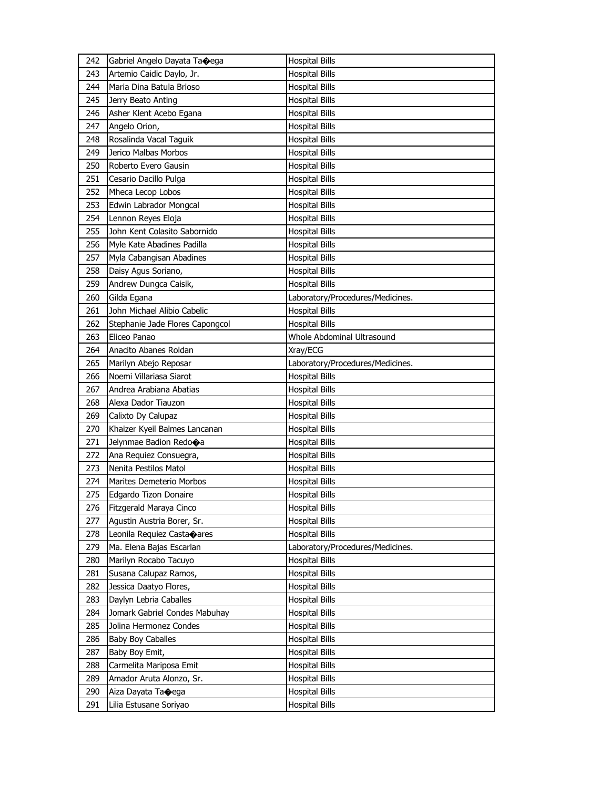| 242 | Gabriel Angelo Dayata Taoega            | <b>Hospital Bills</b>            |
|-----|-----------------------------------------|----------------------------------|
| 243 | Artemio Caidic Daylo, Jr.               | <b>Hospital Bills</b>            |
| 244 | Maria Dina Batula Brioso                | Hospital Bills                   |
| 245 | Jerry Beato Anting                      | <b>Hospital Bills</b>            |
| 246 | Asher Klent Acebo Egana                 | <b>Hospital Bills</b>            |
| 247 | Angelo Orion,                           | <b>Hospital Bills</b>            |
| 248 | Rosalinda Vacal Taguik                  | <b>Hospital Bills</b>            |
| 249 | Jerico Malbas Morbos                    | <b>Hospital Bills</b>            |
| 250 | Roberto Evero Gausin                    | <b>Hospital Bills</b>            |
| 251 | Cesario Dacillo Pulga                   | <b>Hospital Bills</b>            |
| 252 | Mheca Lecop Lobos                       | <b>Hospital Bills</b>            |
| 253 | Edwin Labrador Mongcal                  | <b>Hospital Bills</b>            |
| 254 | Lennon Reyes Eloja                      | <b>Hospital Bills</b>            |
| 255 | John Kent Colasito Sabornido            | <b>Hospital Bills</b>            |
| 256 | Myle Kate Abadines Padilla              | <b>Hospital Bills</b>            |
| 257 | Myla Cabangisan Abadines                | <b>Hospital Bills</b>            |
| 258 | Daisy Agus Soriano,                     | <b>Hospital Bills</b>            |
| 259 | Andrew Dungca Caisik,                   | <b>Hospital Bills</b>            |
| 260 | Gilda Egana                             | Laboratory/Procedures/Medicines. |
| 261 | John Michael Alibio Cabelic             | <b>Hospital Bills</b>            |
| 262 | Stephanie Jade Flores Capongcol         | <b>Hospital Bills</b>            |
| 263 | Eliceo Panao                            | Whole Abdominal Ultrasound       |
| 264 | Anacito Abanes Roldan                   | Xray/ECG                         |
| 265 | Marilyn Abejo Reposar                   | Laboratory/Procedures/Medicines. |
| 266 | Noemi Villariasa Siarot                 | <b>Hospital Bills</b>            |
| 267 | Andrea Arabiana Abatias                 | Hospital Bills                   |
| 268 | Alexa Dador Tiauzon                     | <b>Hospital Bills</b>            |
| 269 | Calixto Dy Calupaz                      | <b>Hospital Bills</b>            |
| 270 | Khaizer Kyeil Balmes Lancanan           | <b>Hospital Bills</b>            |
| 271 | Jelynmae Badion Redo $\bigcirc$ a       | <b>Hospital Bills</b>            |
| 272 | Ana Requiez Consuegra,                  | <b>Hospital Bills</b>            |
| 273 | Nenita Pestilos Matol                   | Hospital Bills                   |
| 274 | Marites Demeterio Morbos                | Hospital Bills                   |
| 275 | Edgardo Tizon Donaire                   | <b>Hospital Bills</b>            |
| 276 | Fitzgerald Maraya Cinco                 | <b>Hospital Bills</b>            |
| 277 | Agustin Austria Borer, Sr.              | <b>Hospital Bills</b>            |
| 278 | Leonila Requiez Casta $\spadesuit$ ares | <b>Hospital Bills</b>            |
| 279 | Ma. Elena Bajas Escarlan                | Laboratory/Procedures/Medicines. |
| 280 | Marilyn Rocabo Tacuyo                   | <b>Hospital Bills</b>            |
| 281 | Susana Calupaz Ramos,                   | <b>Hospital Bills</b>            |
| 282 | Jessica Daatyo Flores,                  | <b>Hospital Bills</b>            |
| 283 | Daylyn Lebria Caballes                  | <b>Hospital Bills</b>            |
| 284 | Jomark Gabriel Condes Mabuhay           | <b>Hospital Bills</b>            |
| 285 | Jolina Hermonez Condes                  | <b>Hospital Bills</b>            |
| 286 | <b>Baby Boy Caballes</b>                | <b>Hospital Bills</b>            |
| 287 | Baby Boy Emit,                          | <b>Hospital Bills</b>            |
| 288 | Carmelita Mariposa Emit                 | <b>Hospital Bills</b>            |
| 289 | Amador Aruta Alonzo, Sr.                | <b>Hospital Bills</b>            |
| 290 | Aiza Dayata Ta�ega                      | <b>Hospital Bills</b>            |
| 291 | Lilia Estusane Soriyao                  | <b>Hospital Bills</b>            |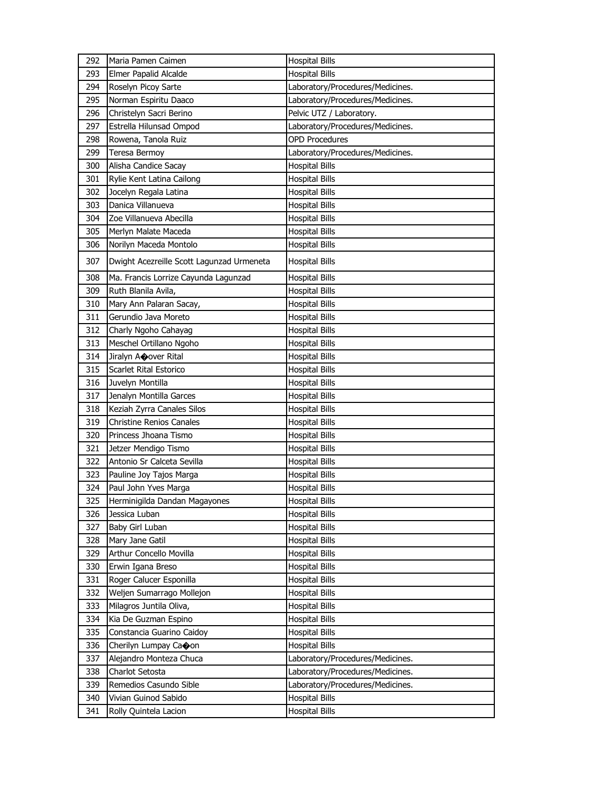| 292 | Maria Pamen Caimen                        | <b>Hospital Bills</b>            |
|-----|-------------------------------------------|----------------------------------|
| 293 | Elmer Papalid Alcalde                     | <b>Hospital Bills</b>            |
| 294 | Roselyn Picoy Sarte                       | Laboratory/Procedures/Medicines. |
| 295 | Norman Espiritu Daaco                     | Laboratory/Procedures/Medicines. |
| 296 | Christelyn Sacri Berino                   | Pelvic UTZ / Laboratory.         |
| 297 | Estrella Hilunsad Ompod                   | Laboratory/Procedures/Medicines. |
| 298 | Rowena, Tanola Ruiz                       | <b>OPD Procedures</b>            |
| 299 | Teresa Bermoy                             | Laboratory/Procedures/Medicines. |
| 300 | Alisha Candice Sacay                      | <b>Hospital Bills</b>            |
| 301 | Rylie Kent Latina Cailong                 | <b>Hospital Bills</b>            |
| 302 | Jocelyn Regala Latina                     | <b>Hospital Bills</b>            |
| 303 | Danica Villanueva                         | <b>Hospital Bills</b>            |
| 304 | Zoe Villanueva Abecilla                   | <b>Hospital Bills</b>            |
| 305 | Merlyn Malate Maceda                      | <b>Hospital Bills</b>            |
| 306 | Norilyn Maceda Montolo                    | <b>Hospital Bills</b>            |
| 307 | Dwight Acezreille Scott Lagunzad Urmeneta | <b>Hospital Bills</b>            |
| 308 | Ma. Francis Lorrize Cayunda Lagunzad      | <b>Hospital Bills</b>            |
| 309 | Ruth Blanila Avila,                       | <b>Hospital Bills</b>            |
| 310 | Mary Ann Palaran Sacay,                   | <b>Hospital Bills</b>            |
| 311 | Gerundio Java Moreto                      | <b>Hospital Bills</b>            |
| 312 | Charly Ngoho Cahayag                      | <b>Hospital Bills</b>            |
| 313 | Meschel Ortillano Ngoho                   | Hospital Bills                   |
| 314 | Jiralyn Acover Rital                      | <b>Hospital Bills</b>            |
| 315 | Scarlet Rital Estorico                    | <b>Hospital Bills</b>            |
| 316 | Juvelyn Montilla                          | <b>Hospital Bills</b>            |
| 317 | Jenalyn Montilla Garces                   | <b>Hospital Bills</b>            |
| 318 | Keziah Zyrra Canales Silos                | Hospital Bills                   |
| 319 | <b>Christine Renios Canales</b>           | <b>Hospital Bills</b>            |
| 320 | Princess Jhoana Tismo                     | <b>Hospital Bills</b>            |
| 321 | Jetzer Mendigo Tismo                      | <b>Hospital Bills</b>            |
| 322 | Antonio Sr Calceta Sevilla                | <b>Hospital Bills</b>            |
| 323 | Pauline Joy Tajos Marga                   | <b>Hospital Bills</b>            |
| 324 | Paul John Yves Marga                      | <b>Hospital Bills</b>            |
| 325 | Herminigilda Dandan Magayones             | <b>Hospital Bills</b>            |
| 326 | Jessica Luban                             | Hospital Bills                   |
| 327 | Baby Girl Luban                           | <b>Hospital Bills</b>            |
| 328 | Mary Jane Gatil                           | <b>Hospital Bills</b>            |
| 329 | Arthur Concello Movilla                   | <b>Hospital Bills</b>            |
| 330 | Erwin Igana Breso                         | <b>Hospital Bills</b>            |
| 331 | Roger Calucer Esponilla                   | <b>Hospital Bills</b>            |
| 332 | Weljen Sumarrago Mollejon                 | <b>Hospital Bills</b>            |
| 333 | Milagros Juntila Oliva,                   | Hospital Bills                   |
| 334 | Kia De Guzman Espino                      | <b>Hospital Bills</b>            |
| 335 | Constancia Guarino Caidoy                 | <b>Hospital Bills</b>            |
| 336 | Cherilyn Lumpay Caoon                     | <b>Hospital Bills</b>            |
| 337 | Alejandro Monteza Chuca                   | Laboratory/Procedures/Medicines. |
| 338 | Charlot Setosta                           | Laboratory/Procedures/Medicines. |
| 339 | Remedios Casundo Sible                    | Laboratory/Procedures/Medicines. |
| 340 | Vivian Guinod Sabido                      | <b>Hospital Bills</b>            |
| 341 | Rolly Quintela Lacion                     | <b>Hospital Bills</b>            |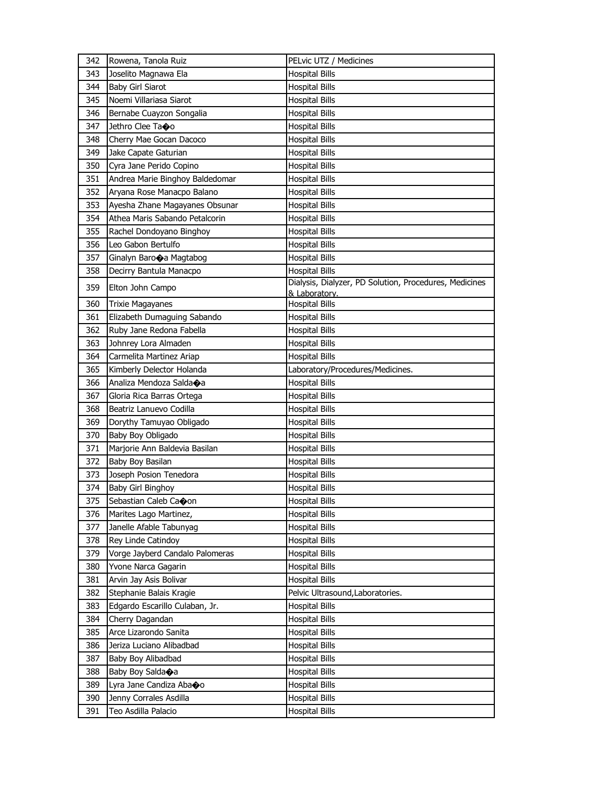| 342 | Rowena, Tanola Ruiz             | PELvic UTZ / Medicines                                 |
|-----|---------------------------------|--------------------------------------------------------|
| 343 | Joselito Magnawa Ela            | <b>Hospital Bills</b>                                  |
| 344 | Baby Girl Siarot                | <b>Hospital Bills</b>                                  |
| 345 | Noemi Villariasa Siarot         | <b>Hospital Bills</b>                                  |
| 346 | Bernabe Cuayzon Songalia        | <b>Hospital Bills</b>                                  |
| 347 | Jethro Clee Tao                 | <b>Hospital Bills</b>                                  |
| 348 | Cherry Mae Gocan Dacoco         | <b>Hospital Bills</b>                                  |
| 349 | Jake Capate Gaturian            | <b>Hospital Bills</b>                                  |
| 350 | Cyra Jane Perido Copino         | <b>Hospital Bills</b>                                  |
| 351 | Andrea Marie Binghoy Baldedomar | <b>Hospital Bills</b>                                  |
| 352 | Aryana Rose Manacpo Balano      | <b>Hospital Bills</b>                                  |
| 353 | Ayesha Zhane Magayanes Obsunar  | <b>Hospital Bills</b>                                  |
| 354 | Athea Maris Sabando Petalcorin  | <b>Hospital Bills</b>                                  |
| 355 | Rachel Dondoyano Binghoy        | <b>Hospital Bills</b>                                  |
| 356 | Leo Gabon Bertulfo              | <b>Hospital Bills</b>                                  |
| 357 | Ginalyn Barooa Magtabog         | <b>Hospital Bills</b>                                  |
| 358 | Decirry Bantula Manacpo         | <b>Hospital Bills</b>                                  |
| 359 | Elton John Campo                | Dialysis, Dialyzer, PD Solution, Procedures, Medicines |
| 360 |                                 | & Laboratory.                                          |
|     | <b>Trixie Magayanes</b>         | <b>Hospital Bills</b>                                  |
| 361 | Elizabeth Dumaguing Sabando     | <b>Hospital Bills</b>                                  |
| 362 | Ruby Jane Redona Fabella        | <b>Hospital Bills</b>                                  |
| 363 | Johnrey Lora Almaden            | <b>Hospital Bills</b>                                  |
| 364 | Carmelita Martinez Ariap        | <b>Hospital Bills</b>                                  |
| 365 | Kimberly Delector Holanda       | Laboratory/Procedures/Medicines.                       |
| 366 | Analiza Mendoza Salda�a         | <b>Hospital Bills</b>                                  |
| 367 | Gloria Rica Barras Ortega       | <b>Hospital Bills</b>                                  |
| 368 | Beatriz Lanuevo Codilla         | <b>Hospital Bills</b>                                  |
| 369 | Dorythy Tamuyao Obligado        | Hospital Bills                                         |
| 370 | Baby Boy Obligado               | <b>Hospital Bills</b>                                  |
| 371 | Marjorie Ann Baldevia Basilan   | <b>Hospital Bills</b>                                  |
| 372 | Baby Boy Basilan                | <b>Hospital Bills</b>                                  |
| 373 | Joseph Posion Tenedora          | <b>Hospital Bills</b>                                  |
| 374 | Baby Girl Binghoy               | <b>Hospital Bills</b>                                  |
| 375 | Sebastian Caleb Caoon           | <b>Hospital Bills</b>                                  |
| 376 | Marites Lago Martinez,          | Hospital Bills                                         |
| 377 | Janelle Afable Tabunyag         | Hospital Bills                                         |
| 378 | Rey Linde Catindoy              | <b>Hospital Bills</b>                                  |
| 379 | Vorge Jayberd Candalo Palomeras | <b>Hospital Bills</b>                                  |
| 380 | Yvone Narca Gagarin             | <b>Hospital Bills</b>                                  |
| 381 | Arvin Jay Asis Bolivar          | <b>Hospital Bills</b>                                  |
| 382 | Stephanie Balais Kragie         | Pelvic Ultrasound, Laboratories.                       |
| 383 | Edgardo Escarillo Culaban, Jr.  | <b>Hospital Bills</b>                                  |
| 384 | Cherry Dagandan                 | <b>Hospital Bills</b>                                  |
| 385 | Arce Lizarondo Sanita           | <b>Hospital Bills</b>                                  |
| 386 | Jeriza Luciano Alibadbad        | <b>Hospital Bills</b>                                  |
| 387 | Baby Boy Alibadbad              | Hospital Bills                                         |
| 388 | Baby Boy Salda�a                | <b>Hospital Bills</b>                                  |
| 389 | Lyra Jane Candiza Abaoo         | <b>Hospital Bills</b>                                  |
| 390 | Jenny Corrales Asdilla          | <b>Hospital Bills</b>                                  |
| 391 | Teo Asdilla Palacio             | <b>Hospital Bills</b>                                  |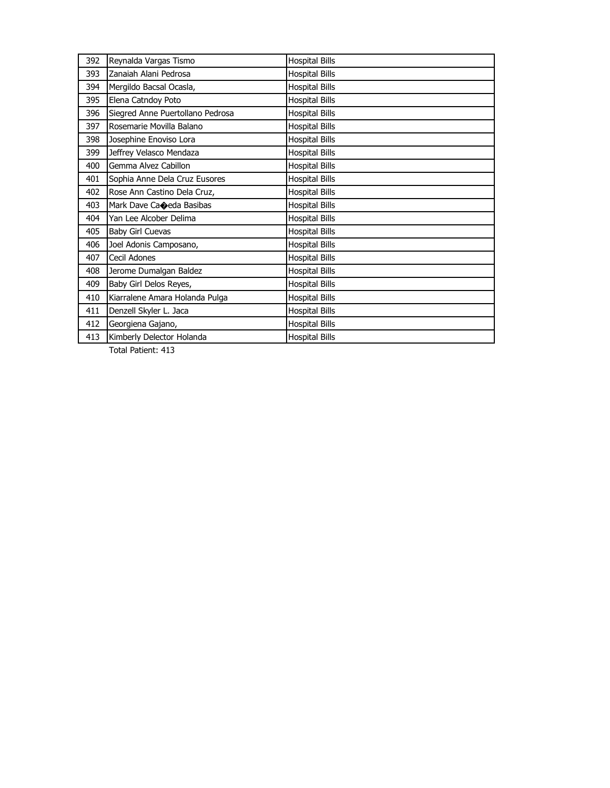| 392 | Reynalda Vargas Tismo            | <b>Hospital Bills</b> |
|-----|----------------------------------|-----------------------|
| 393 | Zanaiah Alani Pedrosa            | <b>Hospital Bills</b> |
| 394 | Mergildo Bacsal Ocasla,          | <b>Hospital Bills</b> |
| 395 | Elena Catndoy Poto               | <b>Hospital Bills</b> |
| 396 | Siegred Anne Puertollano Pedrosa | <b>Hospital Bills</b> |
| 397 | Rosemarie Movilla Balano         | <b>Hospital Bills</b> |
| 398 | Josephine Enoviso Lora           | <b>Hospital Bills</b> |
| 399 | Jeffrey Velasco Mendaza          | <b>Hospital Bills</b> |
| 400 | Gemma Alvez Cabillon             | <b>Hospital Bills</b> |
| 401 | Sophia Anne Dela Cruz Eusores    | <b>Hospital Bills</b> |
| 402 | Rose Ann Castino Dela Cruz,      | <b>Hospital Bills</b> |
| 403 | Mark Dave Caoeda Basibas         | <b>Hospital Bills</b> |
| 404 | Yan Lee Alcober Delima           | <b>Hospital Bills</b> |
| 405 | <b>Baby Girl Cuevas</b>          | <b>Hospital Bills</b> |
| 406 | Joel Adonis Camposano,           | <b>Hospital Bills</b> |
| 407 | Cecil Adones                     | <b>Hospital Bills</b> |
| 408 | Jerome Dumalgan Baldez           | <b>Hospital Bills</b> |
| 409 | Baby Girl Delos Reyes,           | <b>Hospital Bills</b> |
| 410 | Kiarralene Amara Holanda Pulga   | <b>Hospital Bills</b> |
| 411 | Denzell Skyler L. Jaca           | <b>Hospital Bills</b> |
| 412 | Georgiena Gajano,                | <b>Hospital Bills</b> |
| 413 | Kimberly Delector Holanda        | <b>Hospital Bills</b> |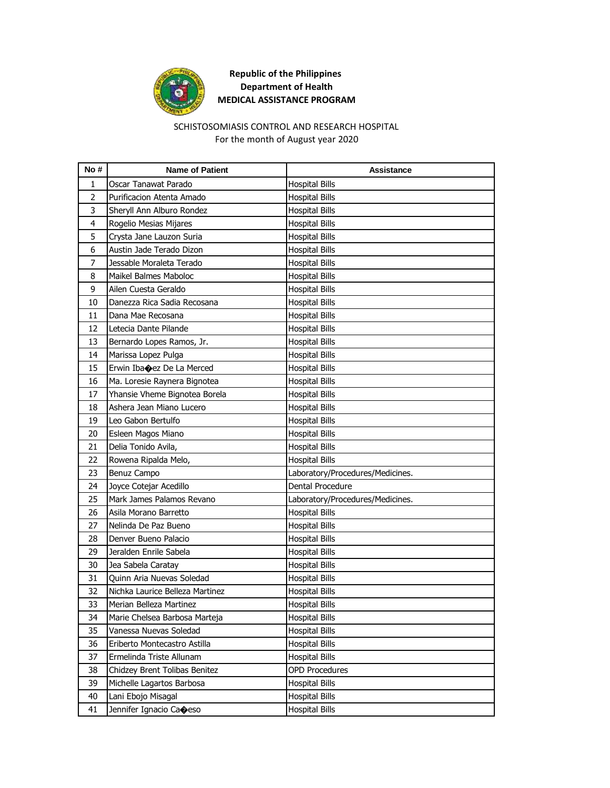

# SCHISTOSOMIASIS CONTROL AND RESEARCH HOSPITAL For the month of August year 2020

| No#            | <b>Name of Patient</b>          | Assistance                       |
|----------------|---------------------------------|----------------------------------|
| 1              | Oscar Tanawat Parado            | <b>Hospital Bills</b>            |
| $\overline{2}$ | Purificacion Atenta Amado       | <b>Hospital Bills</b>            |
| 3              | Sheryll Ann Alburo Rondez       | <b>Hospital Bills</b>            |
| $\overline{4}$ | Rogelio Mesias Mijares          | <b>Hospital Bills</b>            |
| 5              | Crysta Jane Lauzon Suria        | <b>Hospital Bills</b>            |
| 6              | Austin Jade Terado Dizon        | <b>Hospital Bills</b>            |
| $\overline{7}$ | Jessable Moraleta Terado        | <b>Hospital Bills</b>            |
| 8              | Maikel Balmes Maboloc           | <b>Hospital Bills</b>            |
| 9              | Ailen Cuesta Geraldo            | <b>Hospital Bills</b>            |
| 10             | Danezza Rica Sadia Recosana     | <b>Hospital Bills</b>            |
| 11             | Dana Mae Recosana               | <b>Hospital Bills</b>            |
| 12             | Letecia Dante Pilande           | <b>Hospital Bills</b>            |
| 13             | Bernardo Lopes Ramos, Jr.       | <b>Hospital Bills</b>            |
| 14             | Marissa Lopez Pulga             | <b>Hospital Bills</b>            |
| 15             | Erwin Ibacez De La Merced       | <b>Hospital Bills</b>            |
| 16             | Ma. Loresie Raynera Bignotea    | <b>Hospital Bills</b>            |
| 17             | Yhansie Vheme Bignotea Borela   | <b>Hospital Bills</b>            |
| 18             | Ashera Jean Miano Lucero        | <b>Hospital Bills</b>            |
| 19             | Leo Gabon Bertulfo              | <b>Hospital Bills</b>            |
| 20             | Esleen Magos Miano              | <b>Hospital Bills</b>            |
| 21             | Delia Tonido Avila,             | <b>Hospital Bills</b>            |
| 22             | Rowena Ripalda Melo,            | <b>Hospital Bills</b>            |
| 23             | Benuz Campo                     | Laboratory/Procedures/Medicines. |
| 24             | Joyce Cotejar Acedillo          | Dental Procedure                 |
| 25             | Mark James Palamos Revano       | Laboratory/Procedures/Medicines. |
| 26             | Asila Morano Barretto           | <b>Hospital Bills</b>            |
| 27             | Nelinda De Paz Bueno            | <b>Hospital Bills</b>            |
| 28             | Denver Bueno Palacio            | <b>Hospital Bills</b>            |
| 29             | Jeralden Enrile Sabela          | <b>Hospital Bills</b>            |
| 30             | Jea Sabela Caratay              | <b>Hospital Bills</b>            |
| 31             | Quinn Aria Nuevas Soledad       | <b>Hospital Bills</b>            |
| 32             | Nichka Laurice Belleza Martinez | <b>Hospital Bills</b>            |
| 33             | Merian Belleza Martinez         | <b>Hospital Bills</b>            |
| 34             | Marie Chelsea Barbosa Marteja   | <b>Hospital Bills</b>            |
| 35             | Vanessa Nuevas Soledad          | <b>Hospital Bills</b>            |
| 36             | Eriberto Montecastro Astilla    | <b>Hospital Bills</b>            |
| 37             | Ermelinda Triste Allunam        | <b>Hospital Bills</b>            |
| 38             | Chidzey Brent Tolibas Benitez   | <b>OPD Procedures</b>            |
| 39             | Michelle Lagartos Barbosa       | <b>Hospital Bills</b>            |
| 40             | Lani Ebojo Misagal              | <b>Hospital Bills</b>            |
| 41             | Jennifer Ignacio Caoeso         | <b>Hospital Bills</b>            |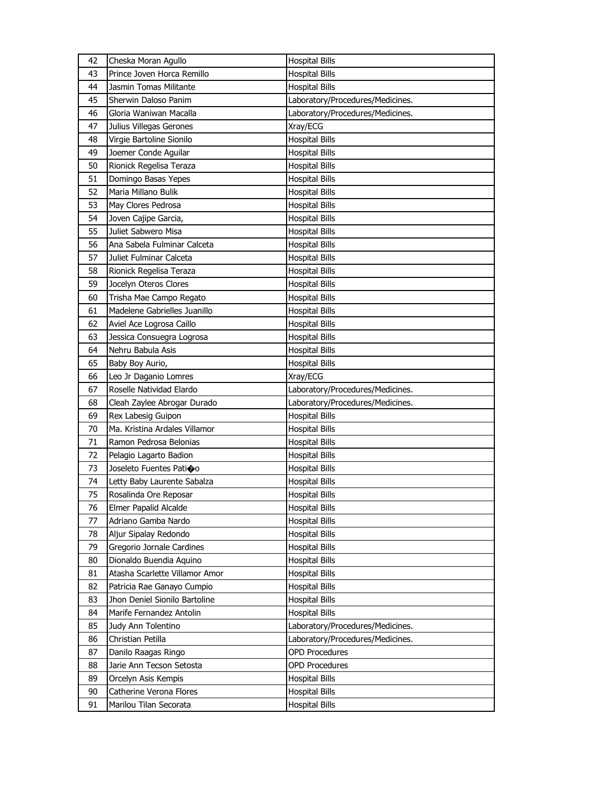| 42       | Cheska Moran Agullo                                         | <b>Hospital Bills</b>                          |
|----------|-------------------------------------------------------------|------------------------------------------------|
| 43       | Prince Joven Horca Remillo                                  | <b>Hospital Bills</b>                          |
| 44       | Jasmin Tomas Militante                                      | <b>Hospital Bills</b>                          |
| 45       | Sherwin Daloso Panim                                        | Laboratory/Procedures/Medicines.               |
| 46       | Gloria Waniwan Macalla                                      | Laboratory/Procedures/Medicines.               |
| 47       | Julius Villegas Gerones                                     | Xray/ECG                                       |
| 48       | Virgie Bartoline Sionilo                                    | <b>Hospital Bills</b>                          |
| 49       | Joemer Conde Aguilar                                        | <b>Hospital Bills</b>                          |
| 50       | Rionick Regelisa Teraza                                     | <b>Hospital Bills</b>                          |
| 51       | Domingo Basas Yepes                                         | <b>Hospital Bills</b>                          |
| 52       | Maria Millano Bulik                                         | <b>Hospital Bills</b>                          |
| 53       | May Clores Pedrosa                                          | <b>Hospital Bills</b>                          |
| 54       | Joven Cajipe Garcia,                                        | <b>Hospital Bills</b>                          |
| 55       | Juliet Sabwero Misa                                         | <b>Hospital Bills</b>                          |
| 56       | Ana Sabela Fulminar Calceta                                 | <b>Hospital Bills</b>                          |
| 57       | Juliet Fulminar Calceta                                     | <b>Hospital Bills</b>                          |
| 58       | Rionick Regelisa Teraza                                     | <b>Hospital Bills</b>                          |
| 59       | Jocelyn Oteros Clores                                       | <b>Hospital Bills</b>                          |
| 60       | Trisha Mae Campo Regato                                     | <b>Hospital Bills</b>                          |
| 61       | Madelene Gabrielles Juanillo                                | <b>Hospital Bills</b>                          |
| 62       | Aviel Ace Logrosa Caillo                                    | <b>Hospital Bills</b>                          |
| 63       | Jessica Consuegra Logrosa                                   | <b>Hospital Bills</b>                          |
| 64       | Nehru Babula Asis                                           | <b>Hospital Bills</b>                          |
| 65       | Baby Boy Aurio,                                             | <b>Hospital Bills</b>                          |
| 66       | Leo Jr Daganio Lomres                                       | Xray/ECG                                       |
|          |                                                             |                                                |
| 67       | Roselle Natividad Elardo                                    | Laboratory/Procedures/Medicines.               |
|          |                                                             |                                                |
| 68<br>69 | Cleah Zaylee Abrogar Durado                                 | Laboratory/Procedures/Medicines.               |
| 70       | Rex Labesig Guipon<br>Ma. Kristina Ardales Villamor         | <b>Hospital Bills</b><br><b>Hospital Bills</b> |
| 71       | Ramon Pedrosa Belonias                                      |                                                |
| 72       |                                                             | <b>Hospital Bills</b>                          |
| 73       | Pelagio Lagarto Badion                                      | <b>Hospital Bills</b>                          |
| 74       | Joseleto Fuentes Patioo<br>Letty Baby Laurente Sabalza      | <b>Hospital Bills</b>                          |
| 75       | Rosalinda Ore Reposar                                       | <b>Hospital Bills</b><br><b>Hospital Bills</b> |
| 76       |                                                             |                                                |
| 77       | Elmer Papalid Alcalde<br>Adriano Gamba Nardo                | <b>Hospital Bills</b><br><b>Hospital Bills</b> |
| 78       | Aljur Sipalay Redondo                                       | <b>Hospital Bills</b>                          |
| 79       | Gregorio Jornale Cardines                                   | <b>Hospital Bills</b>                          |
| 80       |                                                             | <b>Hospital Bills</b>                          |
| 81       | Dionaldo Buendia Aquino<br>Atasha Scarlette Villamor Amor   |                                                |
| 82       |                                                             | <b>Hospital Bills</b>                          |
| 83       | Patricia Rae Ganayo Cumpio<br>Jhon Deniel Sionilo Bartoline | Hospital Bills                                 |
| 84       | Marife Fernandez Antolin                                    | <b>Hospital Bills</b><br><b>Hospital Bills</b> |
| 85       | Judy Ann Tolentino                                          | Laboratory/Procedures/Medicines.               |
| 86       | Christian Petilla                                           | Laboratory/Procedures/Medicines.               |
| 87       | Danilo Raagas Ringo                                         | <b>OPD Procedures</b>                          |
| 88       | Jarie Ann Tecson Setosta                                    | <b>OPD Procedures</b>                          |
| 89       | Orcelyn Asis Kempis                                         | <b>Hospital Bills</b>                          |
| 90       | Catherine Verona Flores                                     | <b>Hospital Bills</b>                          |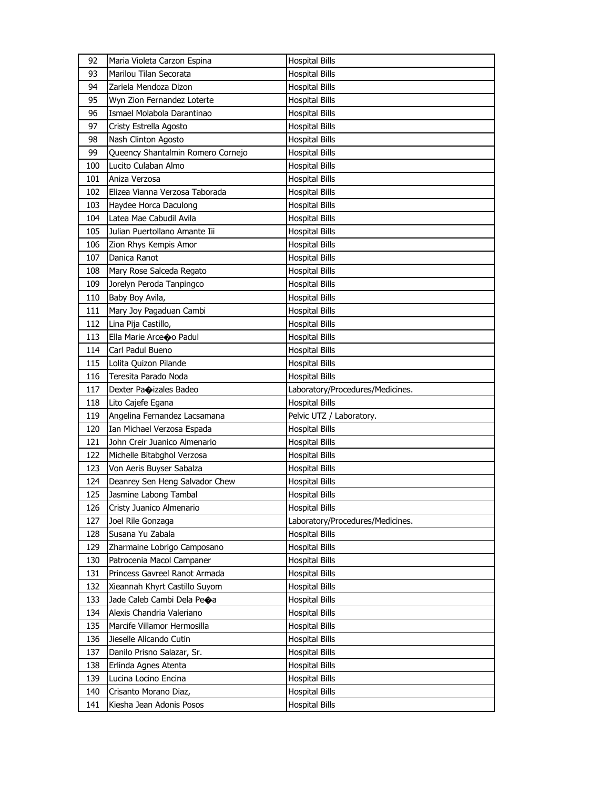| 92         | Maria Violeta Carzon Espina                       | <b>Hospital Bills</b>                   |
|------------|---------------------------------------------------|-----------------------------------------|
| 93         | Marilou Tilan Secorata                            | <b>Hospital Bills</b>                   |
| 94         | Zariela Mendoza Dizon                             | <b>Hospital Bills</b>                   |
| 95         | Wyn Zion Fernandez Loterte                        | <b>Hospital Bills</b>                   |
| 96         | Ismael Molabola Darantinao                        | <b>Hospital Bills</b>                   |
| 97         | Cristy Estrella Agosto                            | <b>Hospital Bills</b>                   |
| 98         | Nash Clinton Agosto                               | <b>Hospital Bills</b>                   |
| 99         | Queency Shantalmin Romero Cornejo                 | Hospital Bills                          |
| 100        | Lucito Culaban Almo                               | Hospital Bills                          |
| 101        | Aniza Verzosa                                     | <b>Hospital Bills</b>                   |
| 102        | Elizea Vianna Verzosa Taborada                    | <b>Hospital Bills</b>                   |
| 103        | Haydee Horca Daculong                             | <b>Hospital Bills</b>                   |
| 104        | Latea Mae Cabudil Avila                           | Hospital Bills                          |
| 105        | Julian Puertollano Amante Iii                     | Hospital Bills                          |
| 106        | Zion Rhys Kempis Amor                             | <b>Hospital Bills</b>                   |
| 107        | Danica Ranot                                      | Hospital Bills                          |
| 108        | Mary Rose Salceda Regato                          | <b>Hospital Bills</b>                   |
| 109        | Jorelyn Peroda Tanpingco                          | Hospital Bills                          |
| 110        | Baby Boy Avila,                                   | <b>Hospital Bills</b>                   |
| 111        | Mary Joy Pagaduan Cambi                           | <b>Hospital Bills</b>                   |
| 112        | Lina Pija Castillo,                               | <b>Hospital Bills</b>                   |
| 113        | Ella Marie Arceoo Padul                           | <b>Hospital Bills</b>                   |
| 114        | Carl Padul Bueno                                  | Hospital Bills                          |
| 115        | Lolita Quizon Pilande                             | <b>Hospital Bills</b>                   |
| 116        | Teresita Parado Noda                              | <b>Hospital Bills</b>                   |
| 117        | Dexter Paoizales Badeo                            | Laboratory/Procedures/Medicines.        |
|            |                                                   |                                         |
|            |                                                   |                                         |
| 118        | Lito Cajefe Egana                                 | <b>Hospital Bills</b>                   |
| 119        | Angelina Fernandez Lacsamana                      | Pelvic UTZ / Laboratory.                |
| 120        | Ian Michael Verzosa Espada                        | <b>Hospital Bills</b>                   |
| 121        | John Creir Juanico Almenario                      | <b>Hospital Bills</b>                   |
| 122        | Michelle Bitabghol Verzosa                        | Hospital Bills                          |
| 123        | Von Aeris Buyser Sabalza                          | Hospital Bills                          |
| 124        | Deanrey Sen Heng Salvador Chew                    | Hospital Bills                          |
| 125        | Jasmine Labong Tambal                             | <b>Hospital Bills</b>                   |
| 126        | Cristy Juanico Almenario                          | <b>Hospital Bills</b>                   |
| 127        | Joel Rile Gonzaga                                 | Laboratory/Procedures/Medicines.        |
| 128        | Susana Yu Zabala                                  | <b>Hospital Bills</b>                   |
| 129        | Zharmaine Lobrigo Camposano                       | <b>Hospital Bills</b>                   |
| 130        | Patrocenia Macol Campaner                         | Hospital Bills                          |
| 131        | Princess Gavreel Ranot Armada                     | <b>Hospital Bills</b>                   |
| 132        | Xieannah Khyrt Castillo Suyom                     | <b>Hospital Bills</b>                   |
| 133        | Jade Caleb Cambi Dela Peoa                        | <b>Hospital Bills</b>                   |
| 134        | Alexis Chandria Valeriano                         | Hospital Bills                          |
| 135        | Marcife Villamor Hermosilla                       | Hospital Bills                          |
| 136        | Jieselle Alicando Cutin                           | <b>Hospital Bills</b>                   |
| 137        | Danilo Prisno Salazar, Sr.                        | <b>Hospital Bills</b>                   |
| 138        | Erlinda Agnes Atenta                              | <b>Hospital Bills</b>                   |
| 139        | Lucina Locino Encina                              | Hospital Bills                          |
| 140<br>141 | Crisanto Morano Diaz,<br>Kiesha Jean Adonis Posos | Hospital Bills<br><b>Hospital Bills</b> |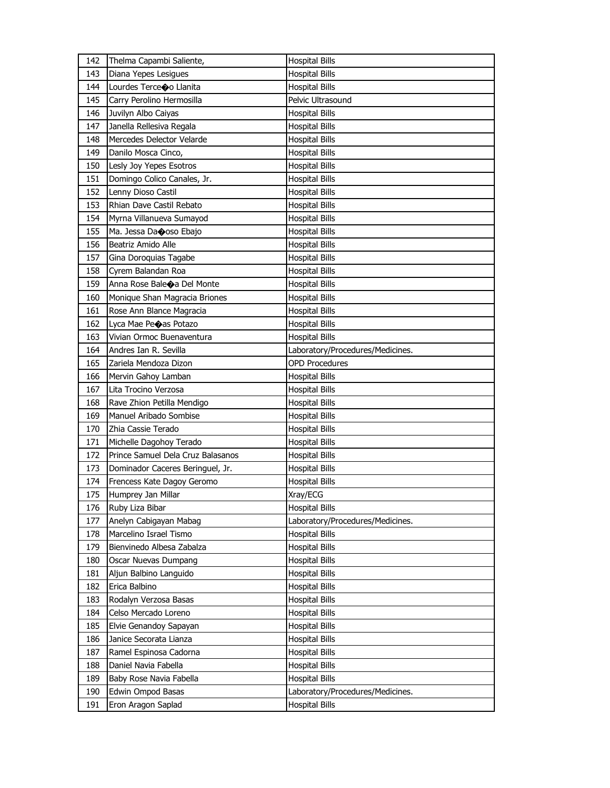| 142 | Thelma Capambi Saliente,          | <b>Hospital Bills</b>            |
|-----|-----------------------------------|----------------------------------|
| 143 | Diana Yepes Lesigues              | <b>Hospital Bills</b>            |
| 144 | Lourdes Terceoo Llanita           | <b>Hospital Bills</b>            |
| 145 | Carry Perolino Hermosilla         | Pelvic Ultrasound                |
| 146 | Juvilyn Albo Caiyas               | <b>Hospital Bills</b>            |
| 147 | Janella Rellesiva Regala          | <b>Hospital Bills</b>            |
| 148 | Mercedes Delector Velarde         | Hospital Bills                   |
| 149 | Danilo Mosca Cinco,               | <b>Hospital Bills</b>            |
| 150 | Lesly Joy Yepes Esotros           | <b>Hospital Bills</b>            |
| 151 | Domingo Colico Canales, Jr.       | <b>Hospital Bills</b>            |
| 152 | Lenny Dioso Castil                | <b>Hospital Bills</b>            |
| 153 | Rhian Dave Castil Rebato          | <b>Hospital Bills</b>            |
| 154 | Myrna Villanueva Sumayod          | <b>Hospital Bills</b>            |
| 155 | Ma. Jessa Daooso Ebajo            | <b>Hospital Bills</b>            |
| 156 | Beatriz Amido Alle                | <b>Hospital Bills</b>            |
| 157 | Gina Doroquias Tagabe             | <b>Hospital Bills</b>            |
| 158 | Cyrem Balandan Roa                | <b>Hospital Bills</b>            |
| 159 | Anna Rose Baleoa Del Monte        | <b>Hospital Bills</b>            |
| 160 | Monique Shan Magracia Briones     | <b>Hospital Bills</b>            |
| 161 | Rose Ann Blance Magracia          | <b>Hospital Bills</b>            |
| 162 | Lyca Mae Peoas Potazo             | <b>Hospital Bills</b>            |
| 163 | Vivian Ormoc Buenaventura         | <b>Hospital Bills</b>            |
| 164 | Andres Ian R. Sevilla             | Laboratory/Procedures/Medicines. |
| 165 | Zariela Mendoza Dizon             | <b>OPD Procedures</b>            |
| 166 | Mervin Gahoy Lamban               | <b>Hospital Bills</b>            |
| 167 | Lita Trocino Verzosa              | <b>Hospital Bills</b>            |
| 168 | Rave Zhion Petilla Mendigo        | Hospital Bills                   |
| 169 | Manuel Aribado Sombise            | <b>Hospital Bills</b>            |
| 170 | Zhia Cassie Terado                | <b>Hospital Bills</b>            |
| 171 | Michelle Dagohoy Terado           | <b>Hospital Bills</b>            |
| 172 | Prince Samuel Dela Cruz Balasanos | <b>Hospital Bills</b>            |
| 173 | Dominador Caceres Beringuel, Jr.  | Hospital Bills                   |
| 174 | Frencess Kate Dagoy Geromo        | <b>Hospital Bills</b>            |
| 175 | Humprey Jan Millar                | Xray/ECG                         |
| 176 | Ruby Liza Bibar                   | <b>Hospital Bills</b>            |
| 177 | Anelyn Cabigayan Mabag            | Laboratory/Procedures/Medicines. |
| 178 | Marcelino Israel Tismo            | <b>Hospital Bills</b>            |
| 179 | Bienvinedo Albesa Zabalza         | <b>Hospital Bills</b>            |
| 180 | Oscar Nuevas Dumpang              | <b>Hospital Bills</b>            |
| 181 | Aljun Balbino Languido            | <b>Hospital Bills</b>            |
| 182 | Erica Balbino                     | <b>Hospital Bills</b>            |
| 183 | Rodalyn Verzosa Basas             | <b>Hospital Bills</b>            |
| 184 | Celso Mercado Loreno              | <b>Hospital Bills</b>            |
| 185 | Elvie Genandoy Sapayan            | <b>Hospital Bills</b>            |
| 186 | Janice Secorata Lianza            | <b>Hospital Bills</b>            |
| 187 | Ramel Espinosa Cadorna            | Hospital Bills                   |
| 188 | Daniel Navia Fabella              | <b>Hospital Bills</b>            |
| 189 | Baby Rose Navia Fabella           | <b>Hospital Bills</b>            |
|     |                                   |                                  |
| 190 | Edwin Ompod Basas                 | Laboratory/Procedures/Medicines. |
| 191 | Eron Aragon Saplad                | <b>Hospital Bills</b>            |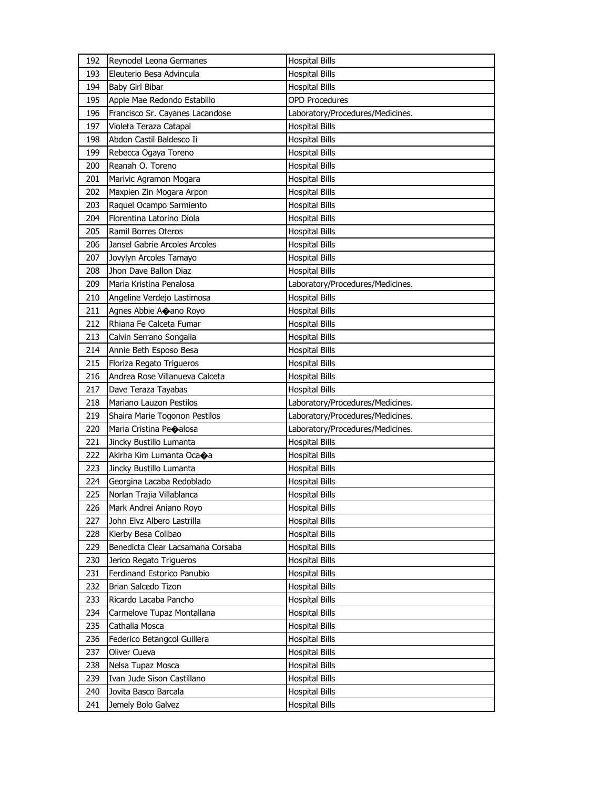| 192 | Reynodel Leona Germanes           | <b>Hospital Bills</b>            |
|-----|-----------------------------------|----------------------------------|
| 193 | Eleuterio Besa Advincula          | <b>Hospital Bills</b>            |
| 194 | Baby Girl Bibar                   | <b>Hospital Bills</b>            |
| 195 | Apple Mae Redondo Estabillo       | <b>OPD Procedures</b>            |
| 196 | Francisco Sr. Cayanes Lacandose   | Laboratory/Procedures/Medicines. |
| 197 | Violeta Teraza Catapal            | <b>Hospital Bills</b>            |
| 198 | Abdon Castil Baldesco Ii          | Hospital Bills                   |
| 199 | Rebecca Ogaya Toreno              | <b>Hospital Bills</b>            |
| 200 | Reanah O. Toreno                  | <b>Hospital Bills</b>            |
| 201 | Marivic Agramon Mogara            | <b>Hospital Bills</b>            |
| 202 | Maxpien Zin Mogara Arpon          | <b>Hospital Bills</b>            |
| 203 | Raquel Ocampo Sarmiento           | <b>Hospital Bills</b>            |
| 204 | Florentina Latorino Diola         | Hospital Bills                   |
| 205 | Ramil Borres Oteros               | Hospital Bills                   |
| 206 | Jansel Gabrie Arcoles Arcoles     | <b>Hospital Bills</b>            |
| 207 | Jovylyn Arcoles Tamayo            | <b>Hospital Bills</b>            |
| 208 | Jhon Dave Ballon Diaz             | <b>Hospital Bills</b>            |
| 209 | Maria Kristina Penalosa           | Laboratory/Procedures/Medicines. |
| 210 | Angeline Verdejo Lastimosa        | <b>Hospital Bills</b>            |
| 211 | Agnes Abbie Ao ano Royo           | <b>Hospital Bills</b>            |
| 212 | Rhiana Fe Calceta Fumar           | <b>Hospital Bills</b>            |
| 213 | Calvin Serrano Songalia           | <b>Hospital Bills</b>            |
| 214 | Annie Beth Esposo Besa            | Hospital Bills                   |
| 215 | Floriza Regato Trigueros          | <b>Hospital Bills</b>            |
| 216 | Andrea Rose Villanueva Calceta    | <b>Hospital Bills</b>            |
| 217 | Dave Teraza Tayabas               | <b>Hospital Bills</b>            |
|     |                                   |                                  |
| 218 | Mariano Lauzon Pestilos           | Laboratory/Procedures/Medicines. |
| 219 | Shaira Marie Togonon Pestilos     | Laboratory/Procedures/Medicines. |
| 220 | Maria Cristina Peoalosa           | Laboratory/Procedures/Medicines. |
| 221 | Jincky Bustillo Lumanta           | <b>Hospital Bills</b>            |
| 222 | Akirha Kim Lumanta Oca+a          | Hospital Bills                   |
| 223 | Jincky Bustillo Lumanta           | <b>Hospital Bills</b>            |
| 224 | Georgina Lacaba Redoblado         | <b>Hospital Bills</b>            |
| 225 | Norlan Trajia Villablanca         | <b>Hospital Bills</b>            |
| 226 | Mark Andrei Aniano Royo           | <b>Hospital Bills</b>            |
| 227 | John Elvz Albero Lastrilla        | <b>Hospital Bills</b>            |
| 228 | Kierby Besa Colibao               | <b>Hospital Bills</b>            |
| 229 | Benedicta Clear Lacsamana Corsaba | <b>Hospital Bills</b>            |
| 230 | Jerico Regato Trigueros           | <b>Hospital Bills</b>            |
| 231 | Ferdinand Estorico Panubio        | Hospital Bills                   |
| 232 | Brian Salcedo Tizon               | Hospital Bills                   |
| 233 | Ricardo Lacaba Pancho             | <b>Hospital Bills</b>            |
| 234 | Carmelove Tupaz Montallana        | <b>Hospital Bills</b>            |
| 235 | Cathalia Mosca                    | <b>Hospital Bills</b>            |
| 236 | Federico Betangcol Guillera       | Hospital Bills                   |
| 237 | Oliver Cueva                      | Hospital Bills                   |
| 238 | Nelsa Tupaz Mosca                 | Hospital Bills                   |
| 239 | Ivan Jude Sison Castillano        | <b>Hospital Bills</b>            |
| 240 | Jovita Basco Barcala              | Hospital Bills                   |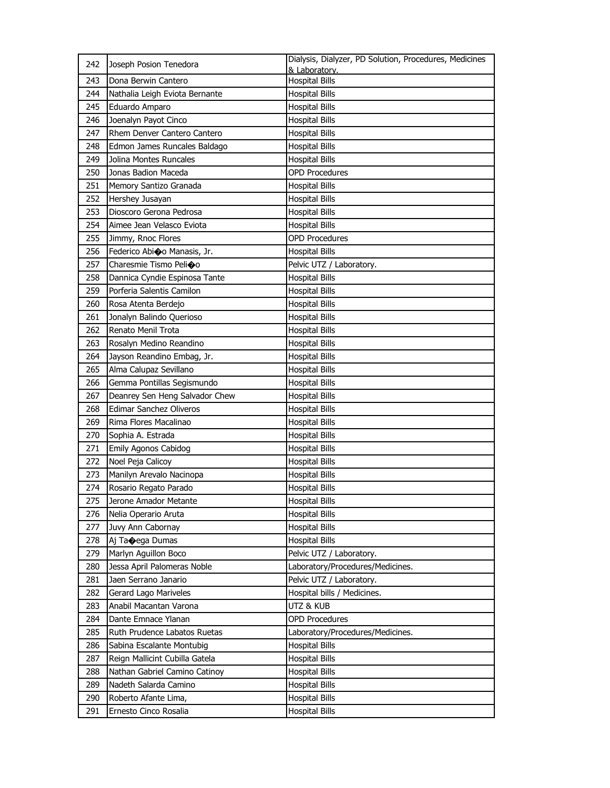| 242 | Joseph Posion Tenedora         | Dialysis, Dialyzer, PD Solution, Procedures, Medicines<br>& Laboratory. |
|-----|--------------------------------|-------------------------------------------------------------------------|
| 243 | Dona Berwin Cantero            | <b>Hospital Bills</b>                                                   |
| 244 | Nathalia Leigh Eviota Bernante | <b>Hospital Bills</b>                                                   |
| 245 | Eduardo Amparo                 | <b>Hospital Bills</b>                                                   |
| 246 | Joenalyn Payot Cinco           | <b>Hospital Bills</b>                                                   |
| 247 | Rhem Denver Cantero Cantero    | <b>Hospital Bills</b>                                                   |
| 248 | Edmon James Runcales Baldago   | <b>Hospital Bills</b>                                                   |
| 249 | Jolina Montes Runcales         | <b>Hospital Bills</b>                                                   |
| 250 | Jonas Badion Maceda            | <b>OPD Procedures</b>                                                   |
| 251 | Memory Santizo Granada         | <b>Hospital Bills</b>                                                   |
| 252 | Hershey Jusayan                | <b>Hospital Bills</b>                                                   |
| 253 | Dioscoro Gerona Pedrosa        | <b>Hospital Bills</b>                                                   |
| 254 | Aimee Jean Velasco Eviota      | <b>Hospital Bills</b>                                                   |
| 255 | Jimmy, Rnoc Flores             | <b>OPD Procedures</b>                                                   |
| 256 | Federico Abioo Manasis, Jr.    | <b>Hospital Bills</b>                                                   |
| 257 | Charesmie Tismo Pelioo         | Pelvic UTZ / Laboratory.                                                |
| 258 | Dannica Cyndie Espinosa Tante  | <b>Hospital Bills</b>                                                   |
| 259 | Porferia Salentis Camilon      | <b>Hospital Bills</b>                                                   |
| 260 | Rosa Atenta Berdejo            | <b>Hospital Bills</b>                                                   |
| 261 | Jonalyn Balindo Querioso       | <b>Hospital Bills</b>                                                   |
| 262 | Renato Menil Trota             | <b>Hospital Bills</b>                                                   |
| 263 | Rosalyn Medino Reandino        | <b>Hospital Bills</b>                                                   |
| 264 | Jayson Reandino Embag, Jr.     | <b>Hospital Bills</b>                                                   |
| 265 | Alma Calupaz Sevillano         | <b>Hospital Bills</b>                                                   |
| 266 | Gemma Pontillas Segismundo     | <b>Hospital Bills</b>                                                   |
| 267 | Deanrey Sen Heng Salvador Chew | <b>Hospital Bills</b>                                                   |
| 268 | Edimar Sanchez Oliveros        | <b>Hospital Bills</b>                                                   |
| 269 | Rima Flores Macalinao          | <b>Hospital Bills</b>                                                   |
| 270 | Sophia A. Estrada              | <b>Hospital Bills</b>                                                   |
| 271 | Emily Agonos Cabidog           | <b>Hospital Bills</b>                                                   |
| 272 | Noel Peja Calicoy              | <b>Hospital Bills</b>                                                   |
| 273 | Manilyn Arevalo Nacinopa       | <b>Hospital Bills</b>                                                   |
| 274 | Rosario Regato Parado          | <b>Hospital Bills</b>                                                   |
| 275 | Jerone Amador Metante          | <b>Hospital Bills</b>                                                   |
| 276 | Nelia Operario Aruta           | <b>Hospital Bills</b>                                                   |
| 277 | Juvy Ann Cabornay              | Hospital Bills                                                          |
| 278 | Aj Ta $\bigcirc$ ega Dumas     | <b>Hospital Bills</b>                                                   |
| 279 | Marlyn Aguillon Boco           | Pelvic UTZ / Laboratory.                                                |
| 280 | Jessa April Palomeras Noble    | Laboratory/Procedures/Medicines.                                        |
| 281 | Jaen Serrano Janario           | Pelvic UTZ / Laboratory.                                                |
| 282 | Gerard Lago Mariveles          | Hospital bills / Medicines.                                             |
| 283 | Anabil Macantan Varona         | utz & Kub                                                               |
| 284 | Dante Emnace Ylanan            | <b>OPD Procedures</b>                                                   |
| 285 | Ruth Prudence Labatos Ruetas   | Laboratory/Procedures/Medicines.                                        |
| 286 | Sabina Escalante Montubig      | <b>Hospital Bills</b>                                                   |
| 287 | Reign Mallicint Cubilla Gatela | Hospital Bills                                                          |
| 288 | Nathan Gabriel Camino Catinoy  | <b>Hospital Bills</b>                                                   |
| 289 | Nadeth Salarda Camino          | <b>Hospital Bills</b>                                                   |
| 290 | Roberto Afante Lima,           | <b>Hospital Bills</b>                                                   |
| 291 | Ernesto Cinco Rosalia          | <b>Hospital Bills</b>                                                   |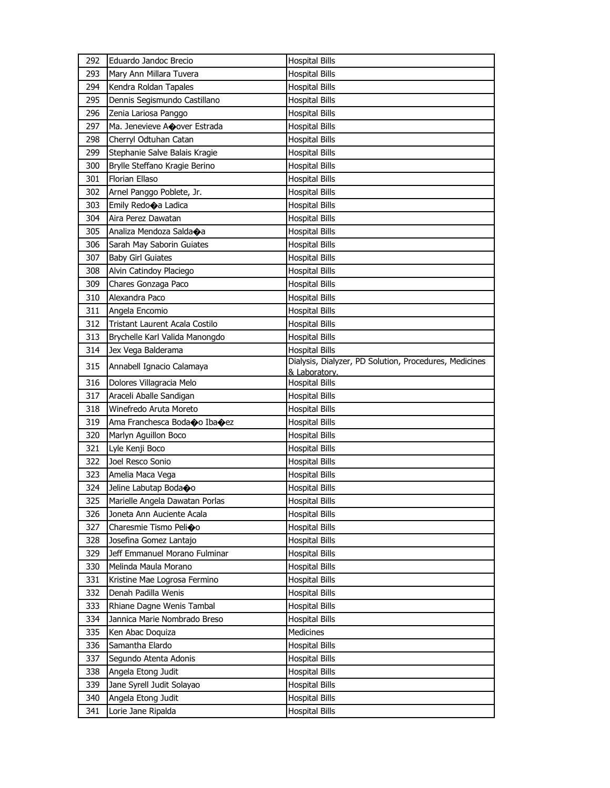| 292 | Eduardo Jandoc Brecio                | <b>Hospital Bills</b>                                                   |
|-----|--------------------------------------|-------------------------------------------------------------------------|
| 293 | Mary Ann Millara Tuvera              | <b>Hospital Bills</b>                                                   |
| 294 | Kendra Roldan Tapales                | <b>Hospital Bills</b>                                                   |
| 295 | Dennis Segismundo Castillano         | <b>Hospital Bills</b>                                                   |
| 296 | Zenia Lariosa Panggo                 | <b>Hospital Bills</b>                                                   |
| 297 | Ma. Jenevieve Acover Estrada         | <b>Hospital Bills</b>                                                   |
| 298 | Cherryl Odtuhan Catan                | <b>Hospital Bills</b>                                                   |
| 299 | Stephanie Salve Balais Kragie        | <b>Hospital Bills</b>                                                   |
| 300 | Brylle Steffano Kragie Berino        | <b>Hospital Bills</b>                                                   |
| 301 | Florian Ellaso                       | <b>Hospital Bills</b>                                                   |
| 302 | Arnel Panggo Poblete, Jr.            | <b>Hospital Bills</b>                                                   |
| 303 | Emily Redo $\bigcirc$ a Ladica       | <b>Hospital Bills</b>                                                   |
| 304 | Aira Perez Dawatan                   | <b>Hospital Bills</b>                                                   |
| 305 | Analiza Mendoza Salda $\spadesuit$ a | <b>Hospital Bills</b>                                                   |
| 306 | Sarah May Saborin Guiates            | <b>Hospital Bills</b>                                                   |
| 307 | <b>Baby Girl Guiates</b>             | <b>Hospital Bills</b>                                                   |
| 308 | Alvin Catindoy Placiego              | <b>Hospital Bills</b>                                                   |
| 309 | Chares Gonzaga Paco                  | <b>Hospital Bills</b>                                                   |
| 310 | Alexandra Paco                       | <b>Hospital Bills</b>                                                   |
| 311 | Angela Encomio                       | <b>Hospital Bills</b>                                                   |
| 312 | Tristant Laurent Acala Costilo       | <b>Hospital Bills</b>                                                   |
| 313 | Brychelle Karl Valida Manongdo       | <b>Hospital Bills</b>                                                   |
| 314 | Jex Vega Balderama                   | <b>Hospital Bills</b>                                                   |
| 315 | Annabell Ignacio Calamaya            | Dialysis, Dialyzer, PD Solution, Procedures, Medicines<br>& Laboratory. |
| 316 | Dolores Villagracia Melo             | <b>Hospital Bills</b>                                                   |
| 317 | Araceli Aballe Sandigan              | <b>Hospital Bills</b>                                                   |
| 318 | Winefredo Aruta Moreto               | Hospital Bills                                                          |
| 319 | Ama Franchesca Boda�o Iba�ez         | <b>Hospital Bills</b>                                                   |
| 320 | Marlyn Aguillon Boco                 | <b>Hospital Bills</b>                                                   |
| 321 | Lyle Kenji Boco                      | <b>Hospital Bills</b>                                                   |
| 322 | Joel Resco Sonio                     | <b>Hospital Bills</b>                                                   |
| 323 | Amelia Maca Vega                     | <b>Hospital Bills</b>                                                   |
| 324 | Jeline Labutap Boda�o                | <b>Hospital Bills</b>                                                   |
| 325 | Marielle Angela Dawatan Porlas       | <b>Hospital Bills</b>                                                   |
| 326 | Joneta Ann Auciente Acala            | <b>Hospital Bills</b>                                                   |
| 327 | Charesmie Tismo Pelioo               | <b>Hospital Bills</b>                                                   |
| 328 | Josefina Gomez Lantajo               | <b>Hospital Bills</b>                                                   |
| 329 | Jeff Emmanuel Morano Fulminar        | <b>Hospital Bills</b>                                                   |
| 330 | Melinda Maula Morano                 | <b>Hospital Bills</b>                                                   |
| 331 | Kristine Mae Logrosa Fermino         | <b>Hospital Bills</b>                                                   |
| 332 | Denah Padilla Wenis                  | <b>Hospital Bills</b>                                                   |
| 333 | Rhiane Dagne Wenis Tambal            | <b>Hospital Bills</b>                                                   |
| 334 | Jannica Marie Nombrado Breso         | <b>Hospital Bills</b>                                                   |
| 335 | Ken Abac Doquiza                     | <b>Medicines</b>                                                        |
| 336 | Samantha Elardo                      | <b>Hospital Bills</b>                                                   |
| 337 | Segundo Atenta Adonis                | <b>Hospital Bills</b>                                                   |
| 338 | Angela Etong Judit                   | Hospital Bills                                                          |
| 339 | Jane Syrell Judit Solayao            | <b>Hospital Bills</b>                                                   |
| 340 | Angela Etong Judit                   | <b>Hospital Bills</b>                                                   |
| 341 | Lorie Jane Ripalda                   | <b>Hospital Bills</b>                                                   |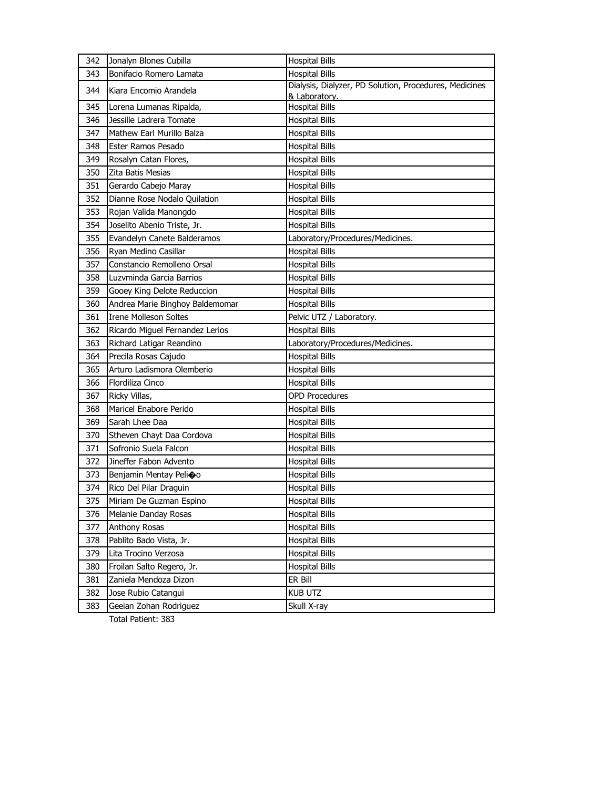| 342 | Jonalyn Blones Cubilla          | <b>Hospital Bills</b>                                  |
|-----|---------------------------------|--------------------------------------------------------|
| 343 | Bonifacio Romero Lamata         | <b>Hospital Bills</b>                                  |
| 344 | Kiara Encomio Arandela          | Dialysis, Dialyzer, PD Solution, Procedures, Medicines |
| 345 | Lorena Lumanas Ripalda,         | & Laboratory.<br><b>Hospital Bills</b>                 |
| 346 | Jessille Ladrera Tomate         | Hospital Bills                                         |
| 347 | Mathew Earl Murillo Balza       | <b>Hospital Bills</b>                                  |
| 348 | Ester Ramos Pesado              | <b>Hospital Bills</b>                                  |
| 349 | Rosalyn Catan Flores,           | <b>Hospital Bills</b>                                  |
| 350 | Zita Batis Mesias               | <b>Hospital Bills</b>                                  |
| 351 | Gerardo Cabejo Maray            | <b>Hospital Bills</b>                                  |
| 352 | Dianne Rose Nodalo Quilation    | <b>Hospital Bills</b>                                  |
| 353 | Rojan Valida Manongdo           | <b>Hospital Bills</b>                                  |
| 354 | Joselito Abenio Triste, Jr.     | <b>Hospital Bills</b>                                  |
| 355 | Evandelyn Canete Balderamos     | Laboratory/Procedures/Medicines.                       |
| 356 | Ryan Medino Casillar            | <b>Hospital Bills</b>                                  |
| 357 | Constancio Remolleno Orsal      | <b>Hospital Bills</b>                                  |
| 358 | Luzvminda Garcia Barrios        | <b>Hospital Bills</b>                                  |
| 359 | Gooey King Delote Reduccion     | <b>Hospital Bills</b>                                  |
| 360 | Andrea Marie Binghoy Baldemomar | <b>Hospital Bills</b>                                  |
| 361 | <b>Irene Molleson Soltes</b>    | Pelvic UTZ / Laboratory.                               |
| 362 | Ricardo Miguel Fernandez Lerios | <b>Hospital Bills</b>                                  |
| 363 | Richard Latigar Reandino        | Laboratory/Procedures/Medicines.                       |
| 364 | Precila Rosas Cajudo            | <b>Hospital Bills</b>                                  |
| 365 | Arturo Ladismora Olemberio      | <b>Hospital Bills</b>                                  |
| 366 | Flordiliza Cinco                | <b>Hospital Bills</b>                                  |
| 367 | Ricky Villas,                   | <b>OPD Procedures</b>                                  |
| 368 | Maricel Enabore Perido          | <b>Hospital Bills</b>                                  |
| 369 | Sarah Lhee Daa                  | <b>Hospital Bills</b>                                  |
| 370 | Stheven Chayt Daa Cordova       | <b>Hospital Bills</b>                                  |
| 371 | Sofronio Suela Falcon           | <b>Hospital Bills</b>                                  |
| 372 | Jineffer Fabon Advento          | <b>Hospital Bills</b>                                  |
| 373 | Benjamin Mentay Pelioo          | <b>Hospital Bills</b>                                  |
| 374 | Rico Del Pilar Draguin          | <b>Hospital Bills</b>                                  |
| 375 | Miriam De Guzman Espino         | <b>Hospital Bills</b>                                  |
| 376 | Melanie Danday Rosas            | <b>Hospital Bills</b>                                  |
| 377 | Anthony Rosas                   | <b>Hospital Bills</b>                                  |
| 378 | Pablito Bado Vista, Jr.         | <b>Hospital Bills</b>                                  |
| 379 | Lita Trocino Verzosa            | <b>Hospital Bills</b>                                  |
| 380 | Froilan Salto Regero, Jr.       | <b>Hospital Bills</b>                                  |
| 381 | Zaniela Mendoza Dizon           | ER Bill                                                |
| 382 | Jose Rubio Catangui             | <b>KUB UTZ</b>                                         |
| 383 | Geeian Zohan Rodriguez          | Skull X-ray                                            |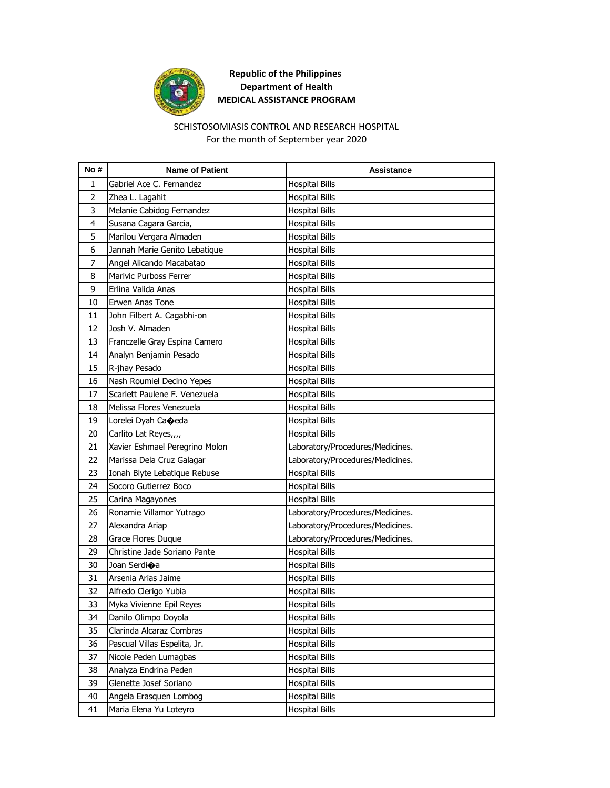

#### SCHISTOSOMIASIS CONTROL AND RESEARCH HOSPITAL For the month of September year 2020

| No #           | <b>Name of Patient</b>         | Assistance                       |
|----------------|--------------------------------|----------------------------------|
| 1              | Gabriel Ace C. Fernandez       | <b>Hospital Bills</b>            |
| $\overline{2}$ | Zhea L. Lagahit                | <b>Hospital Bills</b>            |
| 3              | Melanie Cabidog Fernandez      | <b>Hospital Bills</b>            |
| 4              | Susana Cagara Garcia,          | <b>Hospital Bills</b>            |
| 5              | Marilou Vergara Almaden        | <b>Hospital Bills</b>            |
| 6              | Jannah Marie Genito Lebatique  | Hospital Bills                   |
| 7              | Angel Alicando Macabatao       | <b>Hospital Bills</b>            |
| 8              | Marivic Purboss Ferrer         | <b>Hospital Bills</b>            |
| 9              | Erlina Valida Anas             | <b>Hospital Bills</b>            |
| 10             | Erwen Anas Tone                | <b>Hospital Bills</b>            |
| 11             | John Filbert A. Cagabhi-on     | Hospital Bills                   |
| 12             | Josh V. Almaden                | <b>Hospital Bills</b>            |
| 13             | Franczelle Gray Espina Camero  | <b>Hospital Bills</b>            |
| 14             | Analyn Benjamin Pesado         | Hospital Bills                   |
| 15             | R-jhay Pesado                  | <b>Hospital Bills</b>            |
| 16             | Nash Roumiel Decino Yepes      | Hospital Bills                   |
| 17             | Scarlett Paulene F. Venezuela  | <b>Hospital Bills</b>            |
| 18             | Melissa Flores Venezuela       | <b>Hospital Bills</b>            |
| 19             | Lorelei Dyah Ca�eda            | <b>Hospital Bills</b>            |
| 20             | Carlito Lat Reyes,,,,          | <b>Hospital Bills</b>            |
| 21             | Xavier Eshmael Peregrino Molon | Laboratory/Procedures/Medicines. |
| 22             | Marissa Dela Cruz Galagar      | Laboratory/Procedures/Medicines. |
| 23             | Ionah Blyte Lebatique Rebuse   | <b>Hospital Bills</b>            |
| 24             | Socoro Gutierrez Boco          | Hospital Bills                   |
| 25             | Carina Magayones               | <b>Hospital Bills</b>            |
| 26             | Ronamie Villamor Yutrago       | Laboratory/Procedures/Medicines. |
| 27             | Alexandra Ariap                | Laboratory/Procedures/Medicines. |
| 28             | Grace Flores Duque             | Laboratory/Procedures/Medicines. |
| 29             | Christine Jade Soriano Pante   | <b>Hospital Bills</b>            |
| 30             | Joan Serdi�a                   | <b>Hospital Bills</b>            |
| 31             | Arsenia Arias Jaime            | Hospital Bills                   |
| 32             | Alfredo Clerigo Yubia          | <b>Hospital Bills</b>            |
| 33             | Myka Vivienne Epil Reyes       | <b>Hospital Bills</b>            |
| 34             | Danilo Olimpo Doyola           | <b>Hospital Bills</b>            |
| 35             | Clarinda Alcaraz Combras       | <b>Hospital Bills</b>            |
| 36             | Pascual Villas Espelita, Jr.   | <b>Hospital Bills</b>            |
| 37             | Nicole Peden Lumagbas          | <b>Hospital Bills</b>            |
| 38             | Analyza Endrina Peden          | <b>Hospital Bills</b>            |
| 39             | Glenette Josef Soriano         | <b>Hospital Bills</b>            |
| 40             | Angela Erasquen Lombog         | <b>Hospital Bills</b>            |
| 41             | Maria Elena Yu Loteyro         | <b>Hospital Bills</b>            |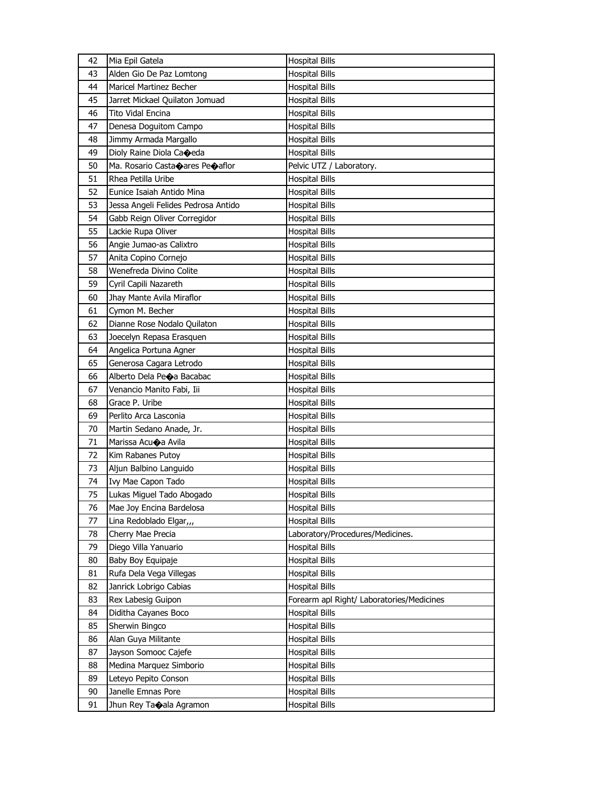| 42 | Mia Epil Gatela                                     | <b>Hospital Bills</b>                     |
|----|-----------------------------------------------------|-------------------------------------------|
| 43 | Alden Gio De Paz Lomtong                            | <b>Hospital Bills</b>                     |
| 44 | <b>Maricel Martinez Becher</b>                      | <b>Hospital Bills</b>                     |
| 45 | Jarret Mickael Quilaton Jomuad                      | <b>Hospital Bills</b>                     |
| 46 | <b>Tito Vidal Encina</b>                            | <b>Hospital Bills</b>                     |
| 47 | Denesa Doguitom Campo                               | <b>Hospital Bills</b>                     |
| 48 | Jimmy Armada Margallo                               | <b>Hospital Bills</b>                     |
| 49 | Dioly Raine Diola Caoeda                            | <b>Hospital Bills</b>                     |
| 50 | Ma. Rosario Casta $\bullet$ ares Pe $\bullet$ aflor | Pelvic UTZ / Laboratory.                  |
| 51 | Rhea Petilla Uribe                                  | <b>Hospital Bills</b>                     |
| 52 | Eunice Isaiah Antido Mina                           | <b>Hospital Bills</b>                     |
| 53 | Jessa Angeli Felides Pedrosa Antido                 | <b>Hospital Bills</b>                     |
| 54 | Gabb Reign Oliver Corregidor                        | <b>Hospital Bills</b>                     |
| 55 | Lackie Rupa Oliver                                  | <b>Hospital Bills</b>                     |
| 56 | Angie Jumao-as Calixtro                             | <b>Hospital Bills</b>                     |
| 57 | Anita Copino Cornejo                                | <b>Hospital Bills</b>                     |
| 58 | Wenefreda Divino Colite                             | Hospital Bills                            |
| 59 | Cyril Capili Nazareth                               | <b>Hospital Bills</b>                     |
| 60 | Jhay Mante Avila Miraflor                           | <b>Hospital Bills</b>                     |
| 61 | Cymon M. Becher                                     | <b>Hospital Bills</b>                     |
| 62 | Dianne Rose Nodalo Quilaton                         | <b>Hospital Bills</b>                     |
| 63 | Joecelyn Repasa Erasquen                            | Hospital Bills                            |
| 64 | Angelica Portuna Agner                              | <b>Hospital Bills</b>                     |
| 65 | Generosa Cagara Letrodo                             | <b>Hospital Bills</b>                     |
| 66 | Alberto Dela Peoa Bacabac                           | <b>Hospital Bills</b>                     |
| 67 | Venancio Manito Fabi, Iii                           | <b>Hospital Bills</b>                     |
| 68 | Grace P. Uribe                                      | Hospital Bills                            |
| 69 | Perlito Arca Lasconia                               | <b>Hospital Bills</b>                     |
| 70 | Martin Sedano Anade, Jr.                            | <b>Hospital Bills</b>                     |
| 71 | Marissa Acuoa Avila                                 | <b>Hospital Bills</b>                     |
| 72 | Kim Rabanes Putoy                                   | <b>Hospital Bills</b>                     |
| 73 | Aljun Balbino Languido                              | <b>Hospital Bills</b>                     |
| 74 | Ivy Mae Capon Tado                                  | <b>Hospital Bills</b>                     |
| 75 | Lukas Miguel Tado Abogado                           | <b>Hospital Bills</b>                     |
| 76 | Mae Joy Encina Bardelosa                            | <b>Hospital Bills</b>                     |
| 77 | Lina Redoblado Elgar,,,                             | <b>Hospital Bills</b>                     |
| 78 | Cherry Mae Precia                                   | Laboratory/Procedures/Medicines.          |
| 79 | Diego Villa Yanuario                                | <b>Hospital Bills</b>                     |
| 80 | Baby Boy Equipaje                                   | <b>Hospital Bills</b>                     |
| 81 | Rufa Dela Vega Villegas                             | <b>Hospital Bills</b>                     |
| 82 | Janrick Lobrigo Cabias                              | <b>Hospital Bills</b>                     |
| 83 | Rex Labesig Guipon                                  | Forearm apl Right/ Laboratories/Medicines |
| 84 | Diditha Cayanes Boco                                | <b>Hospital Bills</b>                     |
| 85 | Sherwin Bingco                                      | <b>Hospital Bills</b>                     |
| 86 | Alan Guya Militante                                 | <b>Hospital Bills</b>                     |
| 87 | Jayson Somooc Cajefe                                | <b>Hospital Bills</b>                     |
| 88 | Medina Marquez Simborio                             | <b>Hospital Bills</b>                     |
| 89 | Leteyo Pepito Conson                                | <b>Hospital Bills</b>                     |
| 90 | Janelle Emnas Pore                                  | <b>Hospital Bills</b>                     |
| 91 | Jhun Rey Taoala Agramon                             | <b>Hospital Bills</b>                     |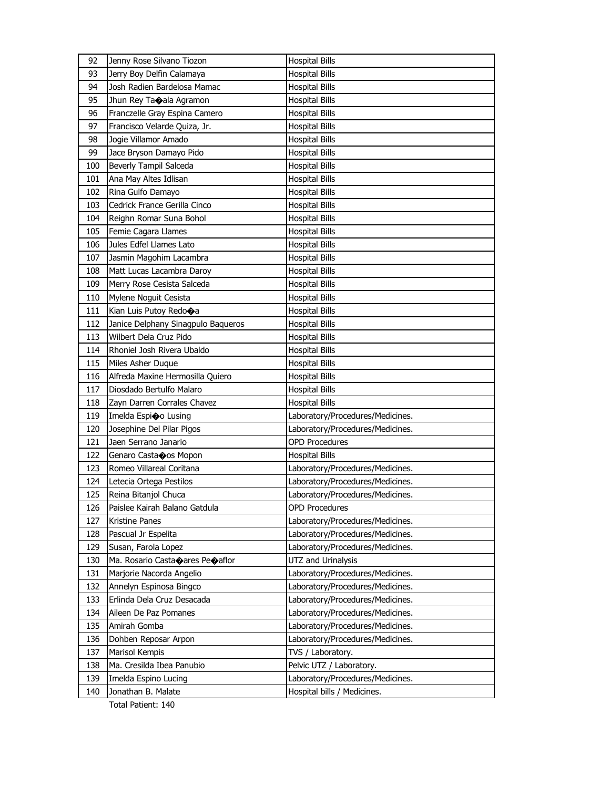| 92  | Jenny Rose Silvano Tiozon                           | <b>Hospital Bills</b>                                        |
|-----|-----------------------------------------------------|--------------------------------------------------------------|
| 93  | Jerry Boy Delfin Calamaya                           | <b>Hospital Bills</b>                                        |
| 94  | Josh Radien Bardelosa Mamac                         | <b>Hospital Bills</b>                                        |
| 95  | Jhun Rey Taoala Agramon                             | <b>Hospital Bills</b>                                        |
| 96  | Franczelle Gray Espina Camero                       | <b>Hospital Bills</b>                                        |
| 97  | Francisco Velarde Quiza, Jr.                        | <b>Hospital Bills</b>                                        |
| 98  | Jogie Villamor Amado                                | <b>Hospital Bills</b>                                        |
| 99  | Jace Bryson Damayo Pido                             | <b>Hospital Bills</b>                                        |
| 100 | Beverly Tampil Salceda                              | <b>Hospital Bills</b>                                        |
| 101 | Ana May Altes Idlisan                               | <b>Hospital Bills</b>                                        |
| 102 | Rina Gulfo Damayo                                   | <b>Hospital Bills</b>                                        |
| 103 | Cedrick France Gerilla Cinco                        | <b>Hospital Bills</b>                                        |
| 104 | Reighn Romar Suna Bohol                             | <b>Hospital Bills</b>                                        |
| 105 | Femie Cagara Llames                                 | <b>Hospital Bills</b>                                        |
| 106 | Jules Edfel Llames Lato                             | <b>Hospital Bills</b>                                        |
| 107 | Jasmin Magohim Lacambra                             | <b>Hospital Bills</b>                                        |
| 108 | Matt Lucas Lacambra Daroy                           | <b>Hospital Bills</b>                                        |
| 109 | Merry Rose Cesista Salceda                          | <b>Hospital Bills</b>                                        |
| 110 | Mylene Noguit Cesista                               | <b>Hospital Bills</b>                                        |
| 111 | Kian Luis Putoy Redo�a                              | <b>Hospital Bills</b>                                        |
| 112 | Janice Delphany Sinagpulo Baqueros                  | <b>Hospital Bills</b>                                        |
| 113 | Wilbert Dela Cruz Pido                              | <b>Hospital Bills</b>                                        |
| 114 | Rhoniel Josh Rivera Ubaldo                          | <b>Hospital Bills</b>                                        |
| 115 | Miles Asher Duque                                   | <b>Hospital Bills</b>                                        |
| 116 | Alfreda Maxine Hermosilla Quiero                    | <b>Hospital Bills</b>                                        |
| 117 | Diosdado Bertulfo Malaro                            | <b>Hospital Bills</b>                                        |
| 118 | Zayn Darren Corrales Chavez                         | <b>Hospital Bills</b>                                        |
| 119 | Imelda Espioo Lusing                                | Laboratory/Procedures/Medicines.                             |
| 120 | Josephine Del Pilar Pigos                           | Laboratory/Procedures/Medicines.                             |
| 121 | Jaen Serrano Janario                                | <b>OPD Procedures</b>                                        |
| 122 | Genaro Castaoos Mopon                               | <b>Hospital Bills</b>                                        |
| 123 | Romeo Villareal Coritana                            | Laboratory/Procedures/Medicines.                             |
| 124 | Letecia Ortega Pestilos                             | Laboratory/Procedures/Medicines.                             |
| 125 | Reina Bitanjol Chuca                                | Laboratory/Procedures/Medicines.                             |
| 126 | Paislee Kairah Balano Gatdula                       | <b>OPD Procedures</b>                                        |
| 127 | Kristine Panes                                      | Laboratory/Procedures/Medicines.                             |
| 128 | Pascual Jr Espelita                                 | Laboratory/Procedures/Medicines.                             |
| 129 | Susan, Farola Lopez                                 | Laboratory/Procedures/Medicines.                             |
| 130 | Ma. Rosario Casta $\bullet$ ares Pe $\bullet$ aflor | UTZ and Urinalysis                                           |
| 131 | Marjorie Nacorda Angelio                            | Laboratory/Procedures/Medicines.                             |
| 132 | Annelyn Espinosa Bingco                             | Laboratory/Procedures/Medicines.                             |
| 133 | Erlinda Dela Cruz Desacada                          | Laboratory/Procedures/Medicines.                             |
| 134 | Aileen De Paz Pomanes                               | Laboratory/Procedures/Medicines.                             |
| 135 | Amirah Gomba                                        | Laboratory/Procedures/Medicines.                             |
| 136 | Dohben Reposar Arpon                                | Laboratory/Procedures/Medicines.                             |
| 137 | Marisol Kempis                                      | TVS / Laboratory.                                            |
| 138 | Ma. Cresilda Ibea Panubio                           | Pelvic UTZ / Laboratory.<br>Laboratory/Procedures/Medicines. |
| 139 | Imelda Espino Lucing                                |                                                              |
| 140 | Jonathan B. Malate                                  | Hospital bills / Medicines.                                  |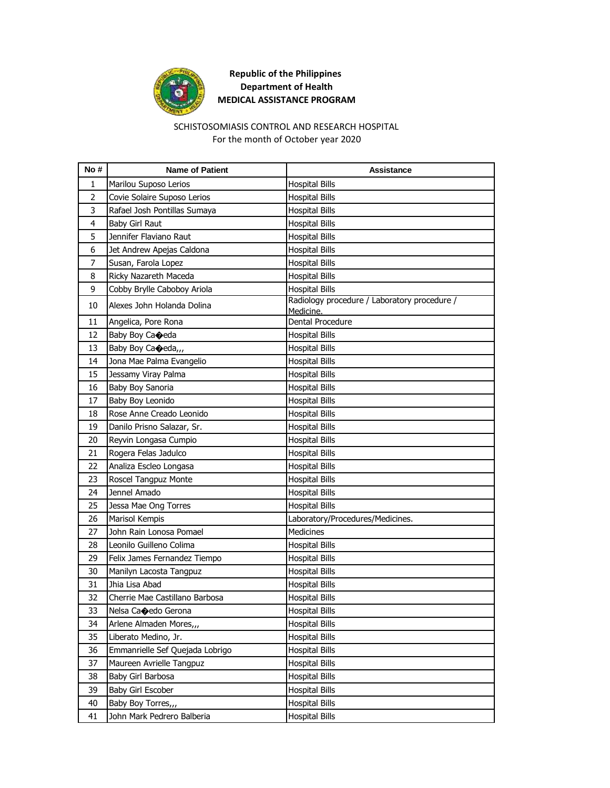

#### SCHISTOSOMIASIS CONTROL AND RESEARCH HOSPITAL For the month of October year 2020

| No#            | <b>Name of Patient</b>          | <b>Assistance</b>                                         |
|----------------|---------------------------------|-----------------------------------------------------------|
| 1              | Marilou Suposo Lerios           | <b>Hospital Bills</b>                                     |
| $\overline{2}$ | Covie Solaire Suposo Lerios     | <b>Hospital Bills</b>                                     |
| 3              | Rafael Josh Pontillas Sumaya    | <b>Hospital Bills</b>                                     |
| 4              | Baby Girl Raut                  | <b>Hospital Bills</b>                                     |
| 5              | Jennifer Flaviano Raut          | <b>Hospital Bills</b>                                     |
| 6              | Jet Andrew Apejas Caldona       | <b>Hospital Bills</b>                                     |
| $\overline{7}$ | Susan, Farola Lopez             | <b>Hospital Bills</b>                                     |
| 8              | Ricky Nazareth Maceda           | <b>Hospital Bills</b>                                     |
| 9              | Cobby Brylle Caboboy Ariola     | <b>Hospital Bills</b>                                     |
| 10             | Alexes John Holanda Dolina      | Radiology procedure / Laboratory procedure /<br>Medicine. |
| 11             | Angelica, Pore Rona             | Dental Procedure                                          |
| 12             | Baby Boy Caoeda                 | <b>Hospital Bills</b>                                     |
| 13             | Baby Boy Caoeda,,,              | <b>Hospital Bills</b>                                     |
| 14             | Jona Mae Palma Evangelio        | <b>Hospital Bills</b>                                     |
| 15             | Jessamy Viray Palma             | <b>Hospital Bills</b>                                     |
| 16             | Baby Boy Sanoria                | <b>Hospital Bills</b>                                     |
| 17             | Baby Boy Leonido                | <b>Hospital Bills</b>                                     |
| 18             | Rose Anne Creado Leonido        | <b>Hospital Bills</b>                                     |
| 19             | Danilo Prisno Salazar, Sr.      | <b>Hospital Bills</b>                                     |
| 20             | Reyvin Longasa Cumpio           | <b>Hospital Bills</b>                                     |
| 21             | Rogera Felas Jadulco            | <b>Hospital Bills</b>                                     |
| 22             | Analiza Escleo Longasa          | <b>Hospital Bills</b>                                     |
| 23             | Roscel Tangpuz Monte            | <b>Hospital Bills</b>                                     |
| 24             | Jennel Amado                    | <b>Hospital Bills</b>                                     |
| 25             | Jessa Mae Ong Torres            | <b>Hospital Bills</b>                                     |
| 26             | Marisol Kempis                  | Laboratory/Procedures/Medicines.                          |
| 27             | John Rain Lonosa Pomael         | <b>Medicines</b>                                          |
| 28             | Leonilo Guilleno Colima         | <b>Hospital Bills</b>                                     |
| 29             | Felix James Fernandez Tiempo    | Hospital Bills                                            |
| 30             | Manilyn Lacosta Tangpuz         | <b>Hospital Bills</b>                                     |
| 31             | Jhia Lisa Abad                  | <b>Hospital Bills</b>                                     |
| 32             | Cherrie Mae Castillano Barbosa  | <b>Hospital Bills</b>                                     |
| 33             | Nelsa Ca $\bigcirc$ edo Gerona  | <b>Hospital Bills</b>                                     |
| 34             | Arlene Almaden Mores,           | <b>Hospital Bills</b>                                     |
| 35             | Liberato Medino, Jr.            | <b>Hospital Bills</b>                                     |
| 36             | Emmanrielle Sef Quejada Lobrigo | <b>Hospital Bills</b>                                     |
| 37             | Maureen Avrielle Tangpuz        | <b>Hospital Bills</b>                                     |
| 38             | Baby Girl Barbosa               | <b>Hospital Bills</b>                                     |
| 39             | Baby Girl Escober               | Hospital Bills                                            |
| 40             | Baby Boy Torres,,,              | <b>Hospital Bills</b>                                     |
| 41             | John Mark Pedrero Balberia      | <b>Hospital Bills</b>                                     |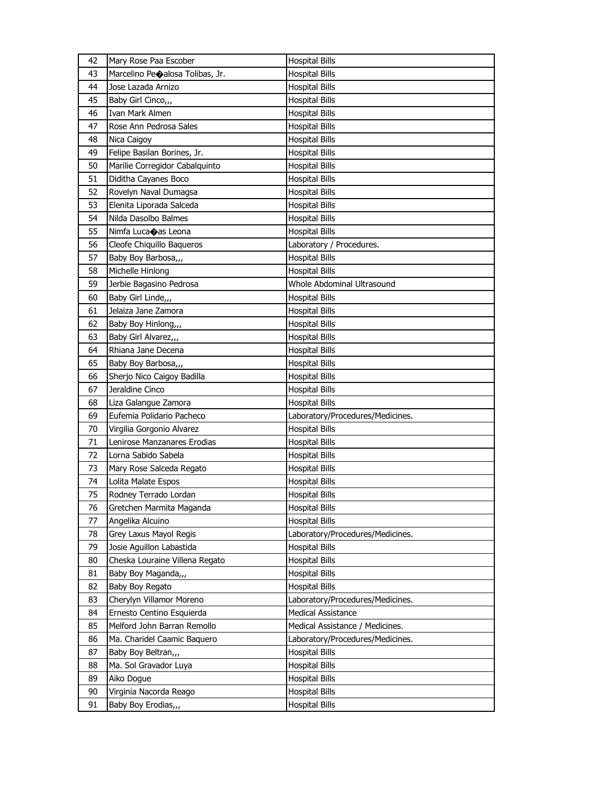| 42 | Mary Rose Paa Escober           | <b>Hospital Bills</b>            |
|----|---------------------------------|----------------------------------|
| 43 | Marcelino Peoalosa Tolibas, Jr. | <b>Hospital Bills</b>            |
| 44 | Jose Lazada Arnizo              | <b>Hospital Bills</b>            |
| 45 | Baby Girl Cinco,,,              | <b>Hospital Bills</b>            |
| 46 | Ivan Mark Almen                 | Hospital Bills                   |
| 47 | Rose Ann Pedrosa Sales          | <b>Hospital Bills</b>            |
| 48 | Nica Caigoy                     | <b>Hospital Bills</b>            |
| 49 | Felipe Basilan Borines, Jr.     | Hospital Bills                   |
| 50 | Marilie Corregidor Cabalquinto  | <b>Hospital Bills</b>            |
| 51 | Diditha Cayanes Boco            | <b>Hospital Bills</b>            |
| 52 | Rovelyn Naval Dumagsa           | <b>Hospital Bills</b>            |
| 53 | Elenita Liporada Salceda        | <b>Hospital Bills</b>            |
| 54 | Nilda Dasolbo Balmes            | Hospital Bills                   |
| 55 | Nimfa Lucaoas Leona             | <b>Hospital Bills</b>            |
| 56 | Cleofe Chiquillo Baqueros       | Laboratory / Procedures.         |
| 57 | Baby Boy Barbosa,,,             | <b>Hospital Bills</b>            |
| 58 | Michelle Hinlong                | <b>Hospital Bills</b>            |
| 59 | Jerbie Bagasino Pedrosa         | Whole Abdominal Ultrasound       |
| 60 | Baby Girl Linde,,,              | <b>Hospital Bills</b>            |
| 61 | Jelaiza Jane Zamora             | Hospital Bills                   |
| 62 | Baby Boy Hinlong,,,             | Hospital Bills                   |
| 63 | Baby Girl Alvarez,,,            | <b>Hospital Bills</b>            |
| 64 | Rhiana Jane Decena              | Hospital Bills                   |
| 65 | Baby Boy Barbosa,,,             | <b>Hospital Bills</b>            |
| 66 | Sherjo Nico Caigoy Badilla      | Hospital Bills                   |
|    | Jeraldine Cinco                 | <b>Hospital Bills</b>            |
| 67 |                                 |                                  |
| 68 | Liza Galangue Zamora            | <b>Hospital Bills</b>            |
| 69 | Eufemia Polidario Pacheco       | Laboratory/Procedures/Medicines. |
| 70 | Virgilia Gorgonio Alvarez       | <b>Hospital Bills</b>            |
| 71 | Lenirose Manzanares Erodias     | Hospital Bills                   |
| 72 | Lorna Sabido Sabela             | Hospital Bills                   |
| 73 | Mary Rose Salceda Regato        | Hospital Bills                   |
| 74 | Lolita Malate Espos             | Hospital Bills                   |
| 75 | Rodney Terrado Lordan           | <b>Hospital Bills</b>            |
| 76 | Gretchen Marmita Maganda        | <b>Hospital Bills</b>            |
| 77 | Angelika Alcuino                | <b>Hospital Bills</b>            |
| 78 | Grey Laxus Mayol Regis          | Laboratory/Procedures/Medicines. |
| 79 | Josie Aguillon Labastida        | <b>Hospital Bills</b>            |
| 80 | Cheska Louraine Villena Regato  | Hospital Bills                   |
| 81 | Baby Boy Maganda,,,             | <b>Hospital Bills</b>            |
| 82 | Baby Boy Regato                 | <b>Hospital Bills</b>            |
| 83 | Cherylyn Villamor Moreno        | Laboratory/Procedures/Medicines. |
| 84 | Ernesto Centino Esquierda       | Medical Assistance               |
| 85 | Melford John Barran Remollo     | Medical Assistance / Medicines.  |
| 86 | Ma. Charidel Caamic Baquero     | Laboratory/Procedures/Medicines. |
| 87 | Baby Boy Beltran,,,             | <b>Hospital Bills</b>            |
| 88 | Ma. Sol Gravador Luya           | <b>Hospital Bills</b>            |
| 89 | Aiko Dogue                      | <b>Hospital Bills</b>            |
| 90 | Virginia Nacorda Reago          | Hospital Bills                   |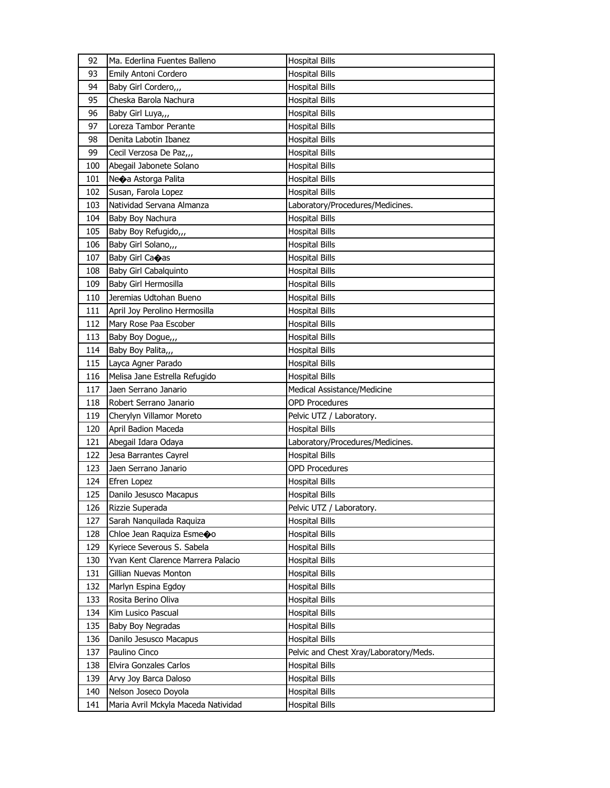| 92  | Ma. Ederlina Fuentes Balleno        | <b>Hospital Bills</b>                  |
|-----|-------------------------------------|----------------------------------------|
| 93  | Emily Antoni Cordero                | <b>Hospital Bills</b>                  |
| 94  | Baby Girl Cordero,,,                | <b>Hospital Bills</b>                  |
| 95  | Cheska Barola Nachura               | Hospital Bills                         |
| 96  | Baby Girl Luya,,,                   | <b>Hospital Bills</b>                  |
| 97  | Loreza Tambor Perante               | <b>Hospital Bills</b>                  |
| 98  | Denita Labotin Ibanez               | <b>Hospital Bills</b>                  |
| 99  | Cecil Verzosa De Paz,,,             | <b>Hospital Bills</b>                  |
| 100 | Abegail Jabonete Solano             | Hospital Bills                         |
| 101 | Ne $\bigcirc$ a Astorga Palita      | <b>Hospital Bills</b>                  |
| 102 | Susan, Farola Lopez                 | <b>Hospital Bills</b>                  |
| 103 | Natividad Servana Almanza           | Laboratory/Procedures/Medicines.       |
| 104 | Baby Boy Nachura                    | <b>Hospital Bills</b>                  |
| 105 | Baby Boy Refugido,,,                | Hospital Bills                         |
| 106 | Baby Girl Solano,,,                 | <b>Hospital Bills</b>                  |
| 107 | Baby Girl Ca�as                     | <b>Hospital Bills</b>                  |
| 108 | Baby Girl Cabalquinto               | <b>Hospital Bills</b>                  |
| 109 | Baby Girl Hermosilla                | <b>Hospital Bills</b>                  |
| 110 | Jeremias Udtohan Bueno              | Hospital Bills                         |
| 111 | April Joy Perolino Hermosilla       | <b>Hospital Bills</b>                  |
| 112 | Mary Rose Paa Escober               | <b>Hospital Bills</b>                  |
| 113 | Baby Boy Dogue,                     | <b>Hospital Bills</b>                  |
| 114 | Baby Boy Palita,,,                  | <b>Hospital Bills</b>                  |
| 115 | Layca Agner Parado                  | Hospital Bills                         |
| 116 | Melisa Jane Estrella Refugido       | <b>Hospital Bills</b>                  |
| 117 | Jaen Serrano Janario                | Medical Assistance/Medicine            |
| 118 | Robert Serrano Janario              | <b>OPD Procedures</b>                  |
| 119 | Cherylyn Villamor Moreto            | Pelvic UTZ / Laboratory.               |
| 120 | April Badion Maceda                 | <b>Hospital Bills</b>                  |
| 121 | Abegail Idara Odaya                 | Laboratory/Procedures/Medicines.       |
| 122 | Jesa Barrantes Cayrel               | <b>Hospital Bills</b>                  |
| 123 | Jaen Serrano Janario                | OPD Procedures                         |
| 124 | Efren Lopez                         | Hospital Bills                         |
| 125 | Danilo Jesusco Macapus              | <b>Hospital Bills</b>                  |
| 126 | Rizzie Superada                     | Pelvic UTZ / Laboratory.               |
| 127 | Sarah Nanguilada Raguiza            | <b>Hospital Bills</b>                  |
| 128 | Chloe Jean Raquiza Esmeoo           | <b>Hospital Bills</b>                  |
| 129 | Kyriece Severous S. Sabela          | <b>Hospital Bills</b>                  |
| 130 | Yvan Kent Clarence Marrera Palacio  | Hospital Bills                         |
| 131 | Gillian Nuevas Monton               | <b>Hospital Bills</b>                  |
| 132 | Marlyn Espina Egdoy                 | <b>Hospital Bills</b>                  |
| 133 | Rosita Berino Oliva                 | <b>Hospital Bills</b>                  |
| 134 | Kim Lusico Pascual                  | Hospital Bills                         |
| 135 | Baby Boy Negradas                   | <b>Hospital Bills</b>                  |
| 136 | Danilo Jesusco Macapus              | <b>Hospital Bills</b>                  |
| 137 | Paulino Cinco                       | Pelvic and Chest Xray/Laboratory/Meds. |
| 138 | Elvira Gonzales Carlos              | <b>Hospital Bills</b>                  |
| 139 | Arvy Joy Barca Daloso               | Hospital Bills                         |
| 140 | Nelson Joseco Doyola                | Hospital Bills                         |
| 141 | Maria Avril Mckyla Maceda Natividad | <b>Hospital Bills</b>                  |
|     |                                     |                                        |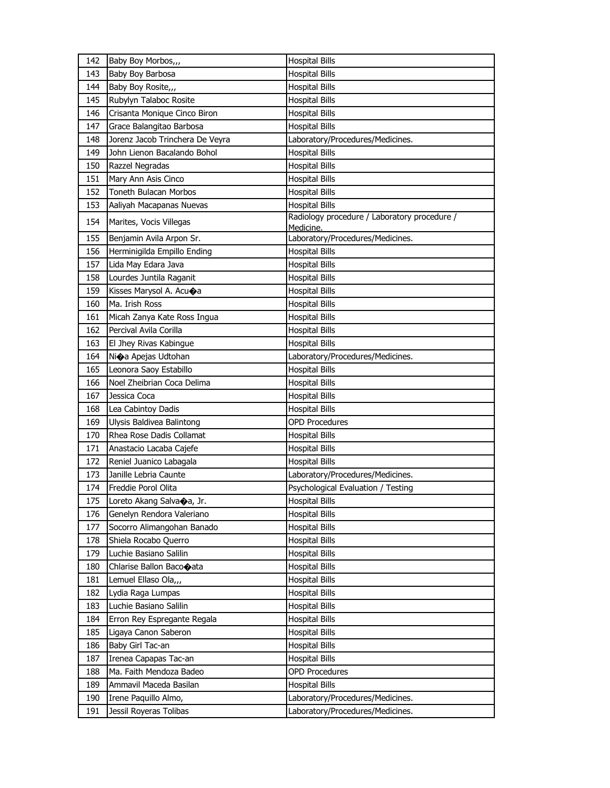| 142 | Baby Boy Morbos,,,                     | <b>Hospital Bills</b>                                     |
|-----|----------------------------------------|-----------------------------------------------------------|
| 143 | Baby Boy Barbosa                       | <b>Hospital Bills</b>                                     |
| 144 | Baby Boy Rosite,,,                     | <b>Hospital Bills</b>                                     |
| 145 | Rubylyn Talaboc Rosite                 | <b>Hospital Bills</b>                                     |
| 146 | Crisanta Monique Cinco Biron           | <b>Hospital Bills</b>                                     |
| 147 | Grace Balangitao Barbosa               | <b>Hospital Bills</b>                                     |
| 148 | Jorenz Jacob Trinchera De Veyra        | Laboratory/Procedures/Medicines.                          |
| 149 | John Lienon Bacalando Bohol            | <b>Hospital Bills</b>                                     |
| 150 | Razzel Negradas                        | <b>Hospital Bills</b>                                     |
| 151 | Mary Ann Asis Cinco                    | <b>Hospital Bills</b>                                     |
| 152 | Toneth Bulacan Morbos                  | <b>Hospital Bills</b>                                     |
| 153 | Aaliyah Macapanas Nuevas               | <b>Hospital Bills</b>                                     |
| 154 | Marites, Vocis Villegas                | Radiology procedure / Laboratory procedure /<br>Medicine. |
| 155 | Benjamin Avila Arpon Sr.               | Laboratory/Procedures/Medicines.                          |
| 156 | Herminigilda Empillo Ending            | <b>Hospital Bills</b>                                     |
| 157 | Lida May Edara Java                    | <b>Hospital Bills</b>                                     |
| 158 | Lourdes Juntila Raganit                | <b>Hospital Bills</b>                                     |
| 159 | Kisses Marysol A. Acu�a                | <b>Hospital Bills</b>                                     |
| 160 | Ma. Irish Ross                         | <b>Hospital Bills</b>                                     |
| 161 | Micah Zanya Kate Ross Ingua            | <b>Hospital Bills</b>                                     |
| 162 | Percival Avila Corilla                 | <b>Hospital Bills</b>                                     |
| 163 | El Jhey Rivas Kabingue                 | <b>Hospital Bills</b>                                     |
| 164 | Ni $\bigcirc$ a Apejas Udtohan         | Laboratory/Procedures/Medicines.                          |
| 165 | Leonora Saoy Estabillo                 | <b>Hospital Bills</b>                                     |
| 166 | Noel Zheibrian Coca Delima             | <b>Hospital Bills</b>                                     |
| 167 | Jessica Coca                           | <b>Hospital Bills</b>                                     |
| 168 | Lea Cabintoy Dadis                     | <b>Hospital Bills</b>                                     |
| 169 | Ulysis Baldivea Balintong              | <b>OPD Procedures</b>                                     |
| 170 | Rhea Rose Dadis Collamat               | <b>Hospital Bills</b>                                     |
| 171 | Anastacio Lacaba Cajefe                | <b>Hospital Bills</b>                                     |
| 172 | Reniel Juanico Labagala                | <b>Hospital Bills</b>                                     |
| 173 | Janille Lebria Caunte                  | Laboratory/Procedures/Medicines.                          |
| 174 | Freddie Porol Olita                    | Psychological Evaluation / Testing                        |
| 175 | Loreto Akang Salva $\spadesuit$ a, Jr. | <b>Hospital Bills</b>                                     |
| 176 | Genelyn Rendora Valeriano              | <b>Hospital Bills</b>                                     |
| 177 | Socorro Alimangohan Banado             | <b>Hospital Bills</b>                                     |
| 178 | Shiela Rocabo Querro                   | <b>Hospital Bills</b>                                     |
| 179 | Luchie Basiano Salilin                 | Hospital Bills                                            |
| 180 | Chlarise Ballon Baco�ata               | <b>Hospital Bills</b>                                     |
| 181 | Lemuel Ellaso Ola,,,                   | <b>Hospital Bills</b>                                     |
| 182 | Lydia Raga Lumpas                      | <b>Hospital Bills</b>                                     |
| 183 | Luchie Basiano Salilin                 | Hospital Bills                                            |
| 184 | Erron Rey Espregante Regala            | Hospital Bills                                            |
| 185 | Ligaya Canon Saberon                   | <b>Hospital Bills</b>                                     |
| 186 | Baby Girl Tac-an                       | <b>Hospital Bills</b>                                     |
| 187 | Irenea Capapas Tac-an                  | <b>Hospital Bills</b>                                     |
| 188 | Ma. Faith Mendoza Badeo                | OPD Procedures                                            |
| 189 | Ammavil Maceda Basilan                 | <b>Hospital Bills</b>                                     |
| 190 | Irene Paquillo Almo,                   | Laboratory/Procedures/Medicines.                          |
| 191 | Jessil Royeras Tolibas                 | Laboratory/Procedures/Medicines.                          |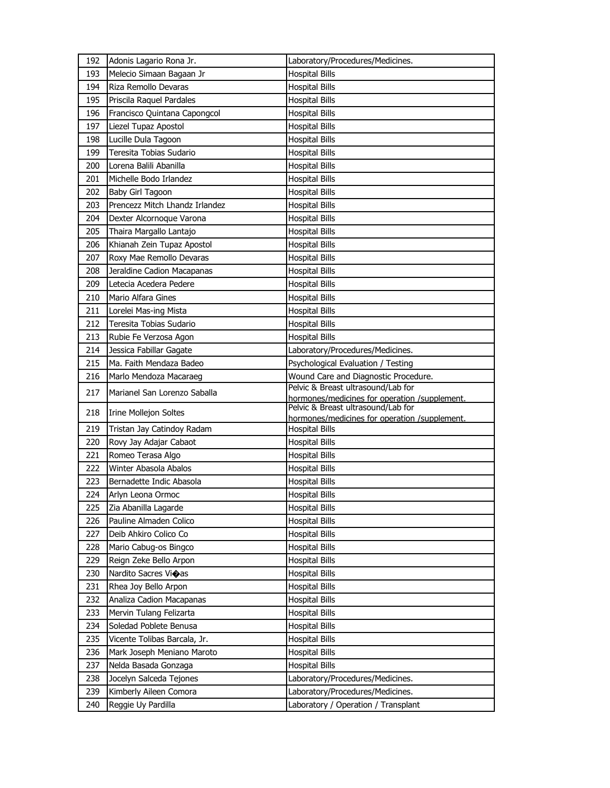| 192 | Adonis Lagario Rona Jr.        | Laboratory/Procedures/Medicines.                                       |
|-----|--------------------------------|------------------------------------------------------------------------|
| 193 | Melecio Simaan Bagaan Jr       | <b>Hospital Bills</b>                                                  |
| 194 | Riza Remollo Devaras           | <b>Hospital Bills</b>                                                  |
| 195 | Priscila Raquel Pardales       | <b>Hospital Bills</b>                                                  |
| 196 | Francisco Quintana Capongcol   | <b>Hospital Bills</b>                                                  |
| 197 | Liezel Tupaz Apostol           | <b>Hospital Bills</b>                                                  |
| 198 | Lucille Dula Tagoon            | <b>Hospital Bills</b>                                                  |
| 199 | Teresita Tobias Sudario        | <b>Hospital Bills</b>                                                  |
| 200 | Lorena Balili Abanilla         | <b>Hospital Bills</b>                                                  |
| 201 | Michelle Bodo Irlandez         | <b>Hospital Bills</b>                                                  |
| 202 | Baby Girl Tagoon               | <b>Hospital Bills</b>                                                  |
| 203 | Prencezz Mitch Lhandz Irlandez | <b>Hospital Bills</b>                                                  |
| 204 | Dexter Alcornoque Varona       | <b>Hospital Bills</b>                                                  |
| 205 | Thaira Margallo Lantajo        | <b>Hospital Bills</b>                                                  |
| 206 | Khianah Zein Tupaz Apostol     | <b>Hospital Bills</b>                                                  |
| 207 | Roxy Mae Remollo Devaras       | <b>Hospital Bills</b>                                                  |
| 208 | Jeraldine Cadion Macapanas     | <b>Hospital Bills</b>                                                  |
| 209 | Letecia Acedera Pedere         | <b>Hospital Bills</b>                                                  |
| 210 | Mario Alfara Gines             | <b>Hospital Bills</b>                                                  |
| 211 | Lorelei Mas-ing Mista          | <b>Hospital Bills</b>                                                  |
| 212 | Teresita Tobias Sudario        | <b>Hospital Bills</b>                                                  |
| 213 | Rubie Fe Verzosa Agon          | Hospital Bills                                                         |
| 214 | Jessica Fabillar Gagate        | Laboratory/Procedures/Medicines.                                       |
|     | Ma. Faith Mendaza Badeo        | Psychological Evaluation / Testing                                     |
| 215 |                                |                                                                        |
| 216 | Marlo Mendoza Macaraeg         | Wound Care and Diagnostic Procedure.                                   |
|     |                                | Pelvic & Breast ultrasound/Lab for                                     |
| 217 | Marianel San Lorenzo Saballa   | hormones/medicines for operation /supplement.                          |
| 218 | <b>Irine Mollejon Soltes</b>   | Pelvic & Breast ultrasound/Lab for                                     |
| 219 | Tristan Jay Catindoy Radam     | hormones/medicines for operation /supplement.<br><b>Hospital Bills</b> |
| 220 | Rovy Jay Adajar Cabaot         | <b>Hospital Bills</b>                                                  |
| 221 | Romeo Terasa Algo              | <b>Hospital Bills</b>                                                  |
| 222 | Winter Abasola Abalos          | <b>Hospital Bills</b>                                                  |
| 223 | Bernadette Indic Abasola       | <b>Hospital Bills</b>                                                  |
| 224 | Arlyn Leona Ormoc              | <b>Hospital Bills</b>                                                  |
| 225 | Zia Abanilla Lagarde           | <b>Hospital Bills</b>                                                  |
| 226 | Pauline Almaden Colico         | <b>Hospital Bills</b>                                                  |
| 227 | Deib Ahkiro Colico Co          | <b>Hospital Bills</b>                                                  |
| 228 | Mario Cabug-os Bingco          | <b>Hospital Bills</b>                                                  |
| 229 | Reign Zeke Bello Arpon         | <b>Hospital Bills</b>                                                  |
| 230 | Nardito Sacres Vioas           | <b>Hospital Bills</b>                                                  |
| 231 | Rhea Joy Bello Arpon           | <b>Hospital Bills</b>                                                  |
| 232 | Analiza Cadion Macapanas       | <b>Hospital Bills</b>                                                  |
| 233 | Mervin Tulang Felizarta        | <b>Hospital Bills</b>                                                  |
| 234 | Soledad Poblete Benusa         | <b>Hospital Bills</b>                                                  |
| 235 | Vicente Tolibas Barcala, Jr.   | <b>Hospital Bills</b>                                                  |
| 236 | Mark Joseph Meniano Maroto     | <b>Hospital Bills</b>                                                  |
| 237 | Nelda Basada Gonzaga           | <b>Hospital Bills</b>                                                  |
| 238 | Jocelyn Salceda Tejones        | Laboratory/Procedures/Medicines.                                       |
| 239 | Kimberly Aileen Comora         | Laboratory/Procedures/Medicines.                                       |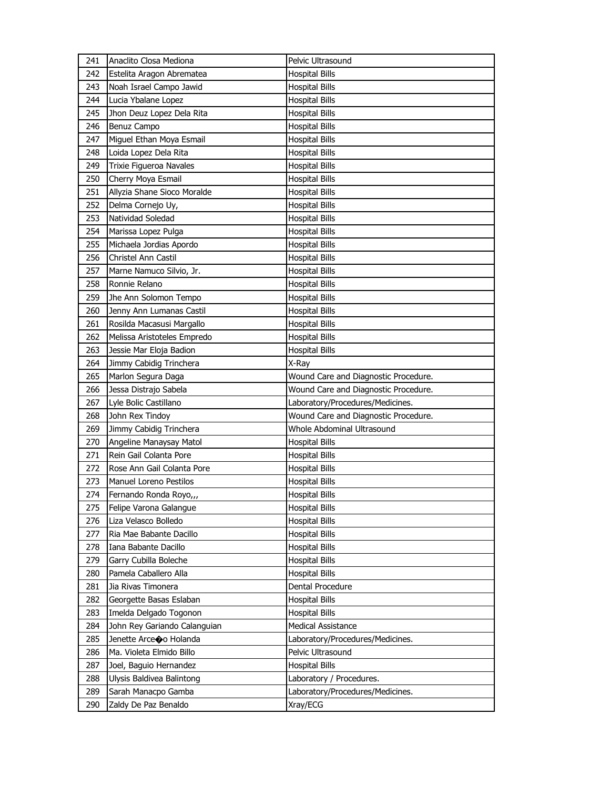| 241        | Anaclito Closa Mediona                      | Pelvic Ultrasound                            |
|------------|---------------------------------------------|----------------------------------------------|
| 242        | Estelita Aragon Abrematea                   | <b>Hospital Bills</b>                        |
| 243        | Noah Israel Campo Jawid                     | <b>Hospital Bills</b>                        |
| 244        | Lucia Ybalane Lopez                         | <b>Hospital Bills</b>                        |
| 245        | Jhon Deuz Lopez Dela Rita                   | <b>Hospital Bills</b>                        |
| 246        | Benuz Campo                                 | <b>Hospital Bills</b>                        |
| 247        | Miguel Ethan Moya Esmail                    | Hospital Bills                               |
| 248        | Loida Lopez Dela Rita                       | <b>Hospital Bills</b>                        |
| 249        | Trixie Figueroa Navales                     | <b>Hospital Bills</b>                        |
| 250        | Cherry Moya Esmail                          | Hospital Bills                               |
| 251        | Allyzia Shane Sioco Moralde                 | <b>Hospital Bills</b>                        |
| 252        | Delma Cornejo Uy,                           | Hospital Bills                               |
| 253        | Natividad Soledad                           | <b>Hospital Bills</b>                        |
| 254        | Marissa Lopez Pulga                         | Hospital Bills                               |
| 255        | Michaela Jordias Apordo                     | <b>Hospital Bills</b>                        |
| 256        | Christel Ann Castil                         | <b>Hospital Bills</b>                        |
| 257        | Marne Namuco Silvio, Jr.                    | Hospital Bills                               |
| 258        | Ronnie Relano                               | <b>Hospital Bills</b>                        |
| 259        | Jhe Ann Solomon Tempo                       | <b>Hospital Bills</b>                        |
| 260        | Jenny Ann Lumanas Castil                    | <b>Hospital Bills</b>                        |
| 261        | Rosilda Macasusi Margallo                   | <b>Hospital Bills</b>                        |
| 262        | Melissa Aristoteles Empredo                 | <b>Hospital Bills</b>                        |
| 263        | Jessie Mar Eloja Badion                     | <b>Hospital Bills</b>                        |
| 264        | Jimmy Cabidig Trinchera                     | X-Ray                                        |
| 265        | Marlon Segura Daga                          | Wound Care and Diagnostic Procedure.         |
| 266        | Jessa Distrajo Sabela                       | Wound Care and Diagnostic Procedure.         |
| 267        | Lyle Bolic Castillano                       | Laboratory/Procedures/Medicines.             |
| 268        | John Rex Tindoy                             | Wound Care and Diagnostic Procedure.         |
| 269        | Jimmy Cabidig Trinchera                     | Whole Abdominal Ultrasound                   |
| 270        | Angeline Manaysay Matol                     | <b>Hospital Bills</b>                        |
| 271        | Rein Gail Colanta Pore                      | <b>Hospital Bills</b>                        |
| 272        | Rose Ann Gail Colanta Pore                  | Hospital Bills                               |
| 273        | Manuel Loreno Pestilos                      | <b>Hospital Bills</b>                        |
| 274        | Fernando Ronda Royo,,,                      | <b>Hospital Bills</b>                        |
| 275        | Felipe Varona Galangue                      | <b>Hospital Bills</b>                        |
| 276        | Liza Velasco Bolledo                        | <b>Hospital Bills</b>                        |
| 277        | Ria Mae Babante Dacillo                     | <b>Hospital Bills</b>                        |
| 278        | Iana Babante Dacillo                        | <b>Hospital Bills</b>                        |
| 279        | Garry Cubilla Boleche                       | <b>Hospital Bills</b>                        |
| 280        | Pamela Caballero Alla                       | <b>Hospital Bills</b>                        |
| 281        | Jia Rivas Timonera                          | Dental Procedure                             |
| 282        | Georgette Basas Eslaban                     | <b>Hospital Bills</b>                        |
| 283        |                                             |                                              |
|            | Imelda Delgado Togonon                      |                                              |
| 284        | John Rey Gariando Calanguian                | <b>Hospital Bills</b><br>Medical Assistance  |
|            |                                             |                                              |
| 285        | Jenette Arceoo Holanda                      | Laboratory/Procedures/Medicines.             |
| 286<br>287 | Ma. Violeta Elmido Billo                    | Pelvic Ultrasound<br><b>Hospital Bills</b>   |
|            | Joel, Baguio Hernandez                      |                                              |
| 288        | Ulysis Baldivea Balintong                   | Laboratory / Procedures.                     |
| 289<br>290 | Sarah Manacpo Gamba<br>Zaldy De Paz Benaldo | Laboratory/Procedures/Medicines.<br>Xray/ECG |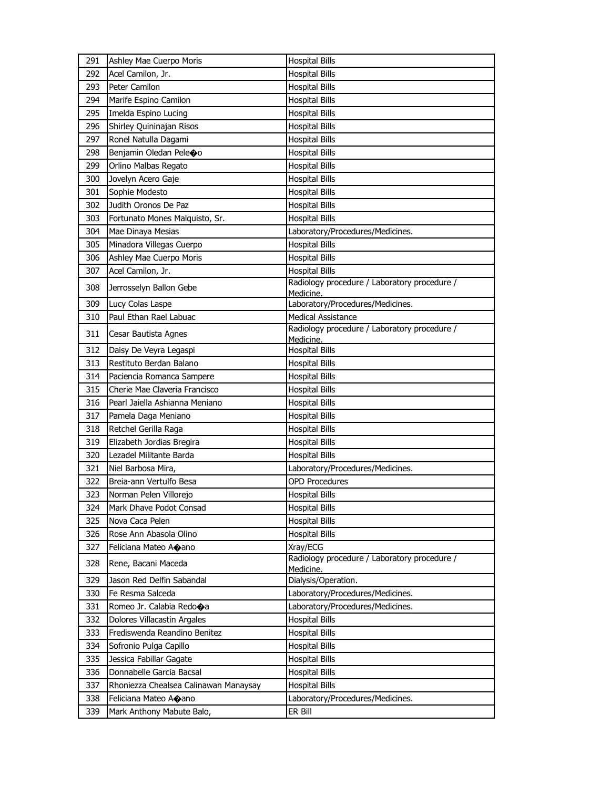| 291        | Ashley Mae Cuerpo Moris                           | <b>Hospital Bills</b>                                     |
|------------|---------------------------------------------------|-----------------------------------------------------------|
| 292        | Acel Camilon, Jr.                                 | <b>Hospital Bills</b>                                     |
| 293        | Peter Camilon                                     | <b>Hospital Bills</b>                                     |
| 294        | Marife Espino Camilon                             | <b>Hospital Bills</b>                                     |
| 295        | Imelda Espino Lucing                              | <b>Hospital Bills</b>                                     |
| 296        | Shirley Quininajan Risos                          | <b>Hospital Bills</b>                                     |
| 297        | Ronel Natulla Dagami                              | <b>Hospital Bills</b>                                     |
| 298        | Benjamin Oledan Pele�o                            | <b>Hospital Bills</b>                                     |
| 299        | Orlino Malbas Regato                              | <b>Hospital Bills</b>                                     |
| 300        | Jovelyn Acero Gaje                                | <b>Hospital Bills</b>                                     |
| 301        | Sophie Modesto                                    | <b>Hospital Bills</b>                                     |
| 302        | Judith Oronos De Paz                              | <b>Hospital Bills</b>                                     |
| 303        | Fortunato Mones Malquisto, Sr.                    | <b>Hospital Bills</b>                                     |
| 304        | Mae Dinaya Mesias                                 | Laboratory/Procedures/Medicines.                          |
| 305        | Minadora Villegas Cuerpo                          | <b>Hospital Bills</b>                                     |
| 306        | Ashley Mae Cuerpo Moris                           | <b>Hospital Bills</b>                                     |
| 307        | Acel Camilon, Jr.                                 | <b>Hospital Bills</b>                                     |
| 308        | Jerrosselyn Ballon Gebe                           | Radiology procedure / Laboratory procedure /<br>Medicine. |
| 309        | Lucy Colas Laspe                                  | Laboratory/Procedures/Medicines.                          |
| 310        | Paul Ethan Rael Labuac                            | <b>Medical Assistance</b>                                 |
| 311        | Cesar Bautista Agnes                              | Radiology procedure / Laboratory procedure /              |
|            |                                                   | Medicine.                                                 |
| 312        | Daisy De Veyra Legaspi                            | <b>Hospital Bills</b>                                     |
| 313        | Restituto Berdan Balano                           | <b>Hospital Bills</b>                                     |
| 314        | Paciencia Romanca Sampere                         | <b>Hospital Bills</b>                                     |
| 315        | Cherie Mae Claveria Francisco                     | <b>Hospital Bills</b>                                     |
| 316        | Pearl Jaiella Ashianna Meniano                    | <b>Hospital Bills</b>                                     |
| 317        | Pamela Daga Meniano                               | <b>Hospital Bills</b>                                     |
| 318        | Retchel Gerilla Raga                              | <b>Hospital Bills</b>                                     |
| 319        | Elizabeth Jordias Bregira                         | <b>Hospital Bills</b>                                     |
| 320        | Lezadel Militante Barda                           | <b>Hospital Bills</b>                                     |
| 321        | Niel Barbosa Mira,<br>Breia-ann Vertulfo Besa     | Laboratory/Procedures/Medicines.                          |
| 322        |                                                   | <b>OPD Procedures</b>                                     |
| 323        | Norman Pelen Villorejo<br>Mark Dhave Podot Consad | <b>Hospital Bills</b>                                     |
| 324<br>325 | Nova Caca Pelen                                   | <b>Hospital Bills</b><br><b>Hospital Bills</b>            |
| 326        | Rose Ann Abasola Olino                            | <b>Hospital Bills</b>                                     |
| 327        | Feliciana Mateo Aoano                             | Xray/ECG                                                  |
|            |                                                   | Radiology procedure / Laboratory procedure /              |
| 328        | Rene, Bacani Maceda                               | Medicine.                                                 |
| 329        | Jason Red Delfin Sabandal                         | Dialysis/Operation.                                       |
| 330        | Fe Resma Salceda                                  | Laboratory/Procedures/Medicines.                          |
| 331        | Romeo Jr. Calabia Redo�a                          | Laboratory/Procedures/Medicines.                          |
| 332        | Dolores Villacastin Argales                       | <b>Hospital Bills</b>                                     |
| 333        | Frediswenda Reandino Benitez                      | <b>Hospital Bills</b>                                     |
| 334        | Sofronio Pulga Capillo                            | Hospital Bills                                            |
| 335        | Jessica Fabillar Gagate                           | <b>Hospital Bills</b>                                     |
| 336        | Donnabelle Garcia Bacsal                          | <b>Hospital Bills</b>                                     |
| 337        | Rhoniezza Chealsea Calinawan Manaysay             | <b>Hospital Bills</b>                                     |
| 338        | Feliciana Mateo Aoano                             | Laboratory/Procedures/Medicines.<br>er Bill               |
| 339        | Mark Anthony Mabute Balo,                         |                                                           |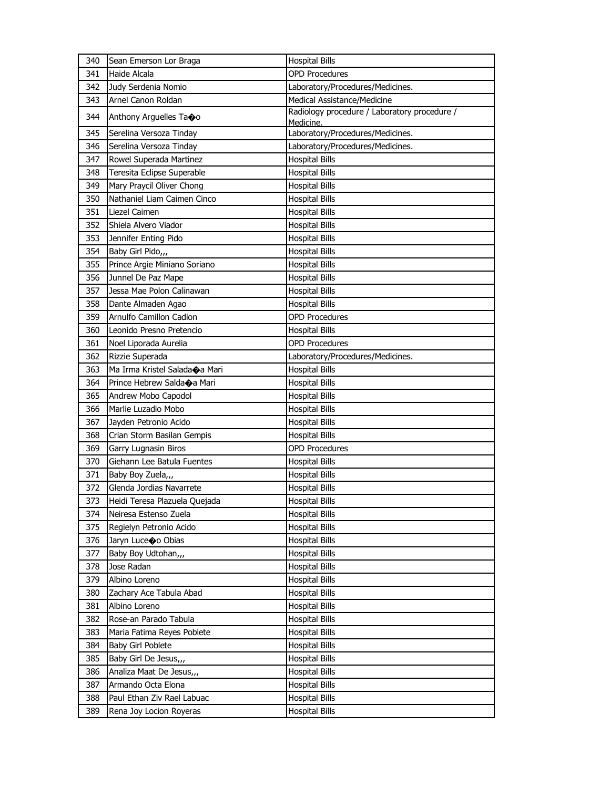| 340 | Sean Emerson Lor Braga                     | <b>Hospital Bills</b>                                     |
|-----|--------------------------------------------|-----------------------------------------------------------|
| 341 | Haide Alcala                               | <b>OPD Procedures</b>                                     |
| 342 | Judy Serdenia Nomio                        | Laboratory/Procedures/Medicines.                          |
| 343 | Arnel Canon Roldan                         | Medical Assistance/Medicine                               |
| 344 | Anthony Arguelles Taoo                     | Radiology procedure / Laboratory procedure /<br>Medicine. |
| 345 | Serelina Versoza Tinday                    | Laboratory/Procedures/Medicines.                          |
| 346 | Serelina Versoza Tinday                    | Laboratory/Procedures/Medicines.                          |
| 347 | Rowel Superada Martinez                    | <b>Hospital Bills</b>                                     |
| 348 | Teresita Eclipse Superable                 | <b>Hospital Bills</b>                                     |
| 349 | Mary Praycil Oliver Chong                  | <b>Hospital Bills</b>                                     |
| 350 | Nathaniel Liam Caimen Cinco                | <b>Hospital Bills</b>                                     |
| 351 | Liezel Caimen                              | <b>Hospital Bills</b>                                     |
| 352 | Shiela Alvero Viador                       | <b>Hospital Bills</b>                                     |
| 353 | Jennifer Enting Pido                       | <b>Hospital Bills</b>                                     |
| 354 | Baby Girl Pido,,,                          | <b>Hospital Bills</b>                                     |
| 355 | Prince Argie Miniano Soriano               | <b>Hospital Bills</b>                                     |
| 356 | Junnel De Paz Mape                         | <b>Hospital Bills</b>                                     |
| 357 | Jessa Mae Polon Calinawan                  | <b>Hospital Bills</b>                                     |
| 358 | Dante Almaden Agao                         | <b>Hospital Bills</b>                                     |
| 359 | Arnulfo Camillon Cadion                    | <b>OPD Procedures</b>                                     |
| 360 | Leonido Presno Pretencio                   | <b>Hospital Bills</b>                                     |
| 361 | Noel Liporada Aurelia                      | <b>OPD Procedures</b>                                     |
| 362 | Rizzie Superada                            | Laboratory/Procedures/Medicines.                          |
| 363 | Ma Irma Kristel Salada $\spadesuit$ a Mari | <b>Hospital Bills</b>                                     |
| 364 | Prince Hebrew Salda�a Mari                 | <b>Hospital Bills</b>                                     |
| 365 | Andrew Mobo Capodol                        | <b>Hospital Bills</b>                                     |
| 366 | Marlie Luzadio Mobo                        | <b>Hospital Bills</b>                                     |
| 367 | Jayden Petronio Acido                      | <b>Hospital Bills</b>                                     |
| 368 | Crian Storm Basilan Gempis                 | <b>Hospital Bills</b>                                     |
| 369 | Garry Lugnasin Biros                       | <b>OPD Procedures</b>                                     |
| 370 | Giehann Lee Batula Fuentes                 | <b>Hospital Bills</b>                                     |
| 371 | Baby Boy Zuela,,,                          | <b>Hospital Bills</b>                                     |
| 372 | Glenda Jordias Navarrete                   | <b>Hospital Bills</b>                                     |
| 373 | Heidi Teresa Plazuela Quejada              | <b>Hospital Bills</b>                                     |
| 374 | Neiresa Estenso Zuela                      | Hospital Bills                                            |
| 375 | Regielyn Petronio Acido                    | Hospital Bills                                            |
| 376 | Jaryn Luce�o Obias                         | Hospital Bills                                            |
| 377 | Baby Boy Udtohan,,,                        | <b>Hospital Bills</b>                                     |
| 378 | Jose Radan                                 | Hospital Bills                                            |
| 379 | Albino Loreno                              | Hospital Bills                                            |
| 380 | Zachary Ace Tabula Abad                    | <b>Hospital Bills</b>                                     |
| 381 | Albino Loreno                              | Hospital Bills                                            |
| 382 | Rose-an Parado Tabula                      | <b>Hospital Bills</b>                                     |
| 383 | Maria Fatima Reyes Poblete                 | <b>Hospital Bills</b>                                     |
| 384 | Baby Girl Poblete                          | <b>Hospital Bills</b>                                     |
| 385 | Baby Girl De Jesus,,,                      | <b>Hospital Bills</b>                                     |
| 386 | Analiza Maat De Jesus,,,                   | Hospital Bills                                            |
| 387 | Armando Octa Elona                         | <b>Hospital Bills</b>                                     |
| 388 | Paul Ethan Ziv Rael Labuac                 | <b>Hospital Bills</b>                                     |
| 389 | Rena Joy Locion Royeras                    | <b>Hospital Bills</b>                                     |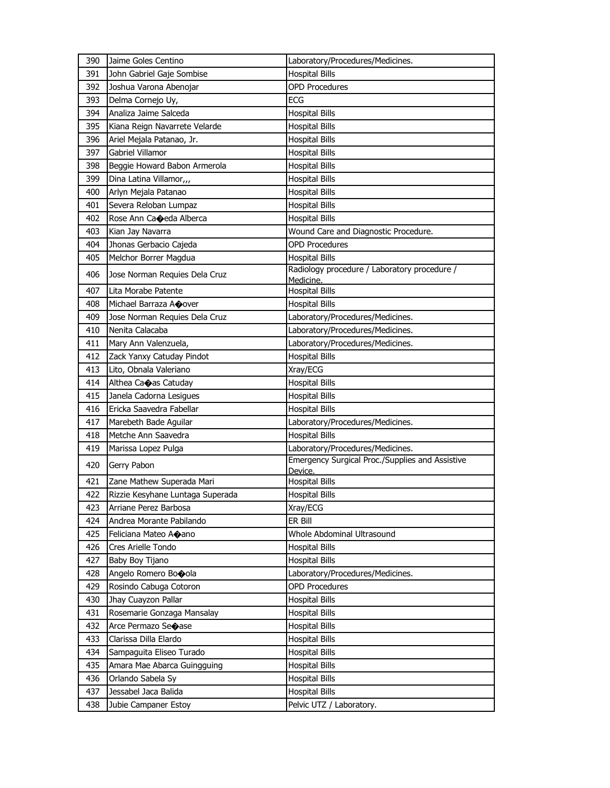| 390 | Jaime Goles Centino              | Laboratory/Procedures/Medicines.                           |
|-----|----------------------------------|------------------------------------------------------------|
| 391 | John Gabriel Gaje Sombise        | <b>Hospital Bills</b>                                      |
| 392 | Joshua Varona Abenojar           | <b>OPD Procedures</b>                                      |
| 393 | Delma Cornejo Uy,                | ECG                                                        |
| 394 | Analiza Jaime Salceda            | <b>Hospital Bills</b>                                      |
| 395 | Kiana Reign Navarrete Velarde    | <b>Hospital Bills</b>                                      |
| 396 | Ariel Mejala Patanao, Jr.        | <b>Hospital Bills</b>                                      |
| 397 | Gabriel Villamor                 | <b>Hospital Bills</b>                                      |
| 398 | Beggie Howard Babon Armerola     | <b>Hospital Bills</b>                                      |
| 399 | Dina Latina Villamor,,,          | <b>Hospital Bills</b>                                      |
| 400 | Arlyn Mejala Patanao             | <b>Hospital Bills</b>                                      |
| 401 | Severa Reloban Lumpaz            | <b>Hospital Bills</b>                                      |
| 402 | Rose Ann Caoeda Alberca          | <b>Hospital Bills</b>                                      |
| 403 | Kian Jay Navarra                 | Wound Care and Diagnostic Procedure.                       |
| 404 | Jhonas Gerbacio Cajeda           | <b>OPD Procedures</b>                                      |
| 405 | Melchor Borrer Magdua            | <b>Hospital Bills</b>                                      |
| 406 | Jose Norman Requies Dela Cruz    | Radiology procedure / Laboratory procedure /<br>Medicine.  |
| 407 | Lita Morabe Patente              | <b>Hospital Bills</b>                                      |
| 408 | Michael Barraza AOover           | <b>Hospital Bills</b>                                      |
| 409 | Jose Norman Requies Dela Cruz    | Laboratory/Procedures/Medicines.                           |
| 410 | Nenita Calacaba                  | Laboratory/Procedures/Medicines.                           |
| 411 | Mary Ann Valenzuela,             | Laboratory/Procedures/Medicines.                           |
| 412 | Zack Yanxy Catuday Pindot        | <b>Hospital Bills</b>                                      |
| 413 | Lito, Obnala Valeriano           | Xray/ECG                                                   |
| 414 | Althea Caoas Catuday             | <b>Hospital Bills</b>                                      |
| 415 | Janela Cadorna Lesigues          | <b>Hospital Bills</b>                                      |
| 416 | Ericka Saavedra Fabellar         | <b>Hospital Bills</b>                                      |
| 417 | Marebeth Bade Aguilar            | Laboratory/Procedures/Medicines.                           |
| 418 | Metche Ann Saavedra              | <b>Hospital Bills</b>                                      |
| 419 | Marissa Lopez Pulga              | Laboratory/Procedures/Medicines.                           |
| 420 | Gerry Pabon                      | Emergency Surgical Proc./Supplies and Assistive<br>Device. |
| 421 | Zane Mathew Superada Mari        | <b>Hospital Bills</b>                                      |
| 422 | Rizzie Kesyhane Luntaga Superada | <b>Hospital Bills</b>                                      |
| 423 | Arriane Perez Barbosa            | Xray/ECG                                                   |
| 424 | Andrea Morante Pabilando         | ER Bill                                                    |
| 425 | Feliciana Mateo Aoano            | Whole Abdominal Ultrasound                                 |
| 426 | Cres Arielle Tondo               | <b>Hospital Bills</b>                                      |
| 427 | Baby Boy Tijano                  | <b>Hospital Bills</b>                                      |
| 428 | Angelo Romero Booola             | Laboratory/Procedures/Medicines.                           |
| 429 | Rosindo Cabuga Cotoron           | <b>OPD Procedures</b>                                      |
| 430 | Jhay Cuayzon Pallar              | <b>Hospital Bills</b>                                      |
| 431 | Rosemarie Gonzaga Mansalay       | <b>Hospital Bills</b>                                      |
| 432 | Arce Permazo Seoase              | <b>Hospital Bills</b>                                      |
| 433 | Clarissa Dilla Elardo            | <b>Hospital Bills</b>                                      |
| 434 | Sampaguita Eliseo Turado         | <b>Hospital Bills</b>                                      |
| 435 | Amara Mae Abarca Guingguing      | <b>Hospital Bills</b>                                      |
| 436 | Orlando Sabela Sy                | <b>Hospital Bills</b>                                      |
| 437 | Jessabel Jaca Balida             | <b>Hospital Bills</b>                                      |
| 438 | Jubie Campaner Estoy             | Pelvic UTZ / Laboratory.                                   |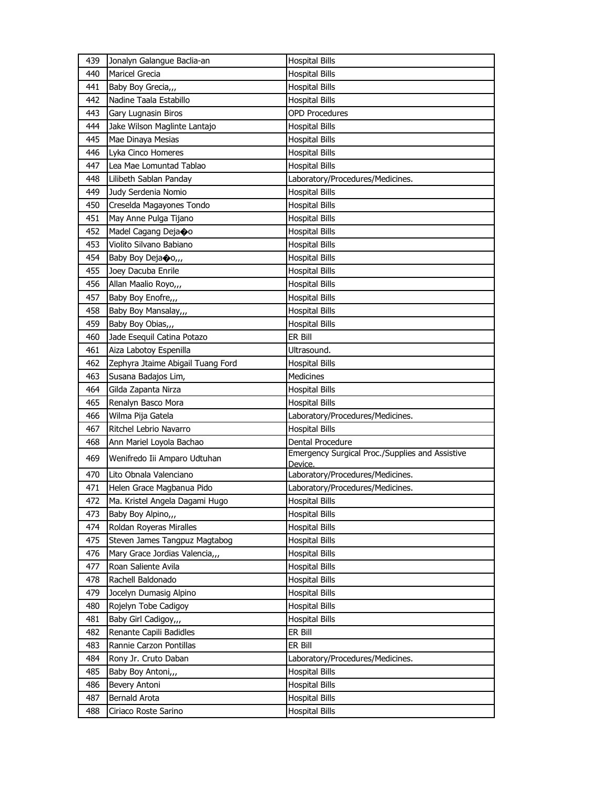| 439 | Jonalyn Galangue Baclia-an        | <b>Hospital Bills</b>                                      |
|-----|-----------------------------------|------------------------------------------------------------|
| 440 | Maricel Grecia                    | <b>Hospital Bills</b>                                      |
| 441 | Baby Boy Grecia,,,                | <b>Hospital Bills</b>                                      |
| 442 | Nadine Taala Estabillo            | <b>Hospital Bills</b>                                      |
| 443 | Gary Lugnasin Biros               | <b>OPD Procedures</b>                                      |
| 444 | Jake Wilson Maglinte Lantajo      | <b>Hospital Bills</b>                                      |
| 445 | Mae Dinaya Mesias                 | <b>Hospital Bills</b>                                      |
| 446 | Lyka Cinco Homeres                | <b>Hospital Bills</b>                                      |
| 447 | Lea Mae Lomuntad Tablao           | <b>Hospital Bills</b>                                      |
| 448 | Lilibeth Sablan Panday            | Laboratory/Procedures/Medicines.                           |
| 449 | Judy Serdenia Nomio               | <b>Hospital Bills</b>                                      |
| 450 | Creselda Magayones Tondo          | <b>Hospital Bills</b>                                      |
| 451 | May Anne Pulga Tijano             | <b>Hospital Bills</b>                                      |
| 452 | Madel Cagang Deja�o               | Hospital Bills                                             |
| 453 | Violito Silvano Babiano           | <b>Hospital Bills</b>                                      |
| 454 | Baby Boy Deja�o,,                 | <b>Hospital Bills</b>                                      |
| 455 | Joey Dacuba Enrile                | <b>Hospital Bills</b>                                      |
| 456 | Allan Maalio Royo,,,              | <b>Hospital Bills</b>                                      |
| 457 | Baby Boy Enofre,                  | <b>Hospital Bills</b>                                      |
| 458 | Baby Boy Mansalay,,,              | <b>Hospital Bills</b>                                      |
| 459 | Baby Boy Obias,,,                 | <b>Hospital Bills</b>                                      |
| 460 | Jade Esequil Catina Potazo        | ER Bill                                                    |
| 461 | Aiza Labotoy Espenilla            | Ultrasound.                                                |
| 462 | Zephyra Jtaime Abigail Tuang Ford | <b>Hospital Bills</b>                                      |
| 463 | Susana Badajos Lim,               | Medicines                                                  |
| 464 | Gilda Zapanta Nirza               | <b>Hospital Bills</b>                                      |
| 465 | Renalyn Basco Mora                | <b>Hospital Bills</b>                                      |
| 466 | Wilma Pija Gatela                 | Laboratory/Procedures/Medicines.                           |
| 467 | Ritchel Lebrio Navarro            | <b>Hospital Bills</b>                                      |
| 468 | Ann Mariel Loyola Bachao          | Dental Procedure                                           |
| 469 | Wenifredo Iii Amparo Udtuhan      | Emergency Surgical Proc./Supplies and Assistive<br>Device. |
| 470 | Lito Obnala Valenciano            | Laboratory/Procedures/Medicines.                           |
| 471 | Helen Grace Magbanua Pido         | Laboratory/Procedures/Medicines.                           |
| 472 | Ma. Kristel Angela Dagami Hugo    | <b>Hospital Bills</b>                                      |
| 473 | Baby Boy Alpino,,,                | Hospital Bills                                             |
| 474 | Roldan Royeras Miralles           | Hospital Bills                                             |
| 475 | Steven James Tangpuz Magtabog     | <b>Hospital Bills</b>                                      |
| 476 | Mary Grace Jordias Valencia,,,    | <b>Hospital Bills</b>                                      |
| 477 | Roan Saliente Avila               | Hospital Bills                                             |
| 478 | Rachell Baldonado                 | <b>Hospital Bills</b>                                      |
| 479 | Jocelyn Dumasig Alpino            | Hospital Bills                                             |
| 480 | Rojelyn Tobe Cadigoy              | <b>Hospital Bills</b>                                      |
| 481 | Baby Girl Cadigoy,,,              | <b>Hospital Bills</b>                                      |
| 482 | Renante Capili Badidles           | ER Bill                                                    |
| 483 | Rannie Carzon Pontillas           | ER Bill                                                    |
| 484 | Rony Jr. Cruto Daban              | Laboratory/Procedures/Medicines.                           |
| 485 | Baby Boy Antoni,,,                | <b>Hospital Bills</b>                                      |
| 486 | Bevery Antoni                     | <b>Hospital Bills</b>                                      |
| 487 | Bernald Arota                     | Hospital Bills                                             |
| 488 | Ciriaco Roste Sarino              | <b>Hospital Bills</b>                                      |